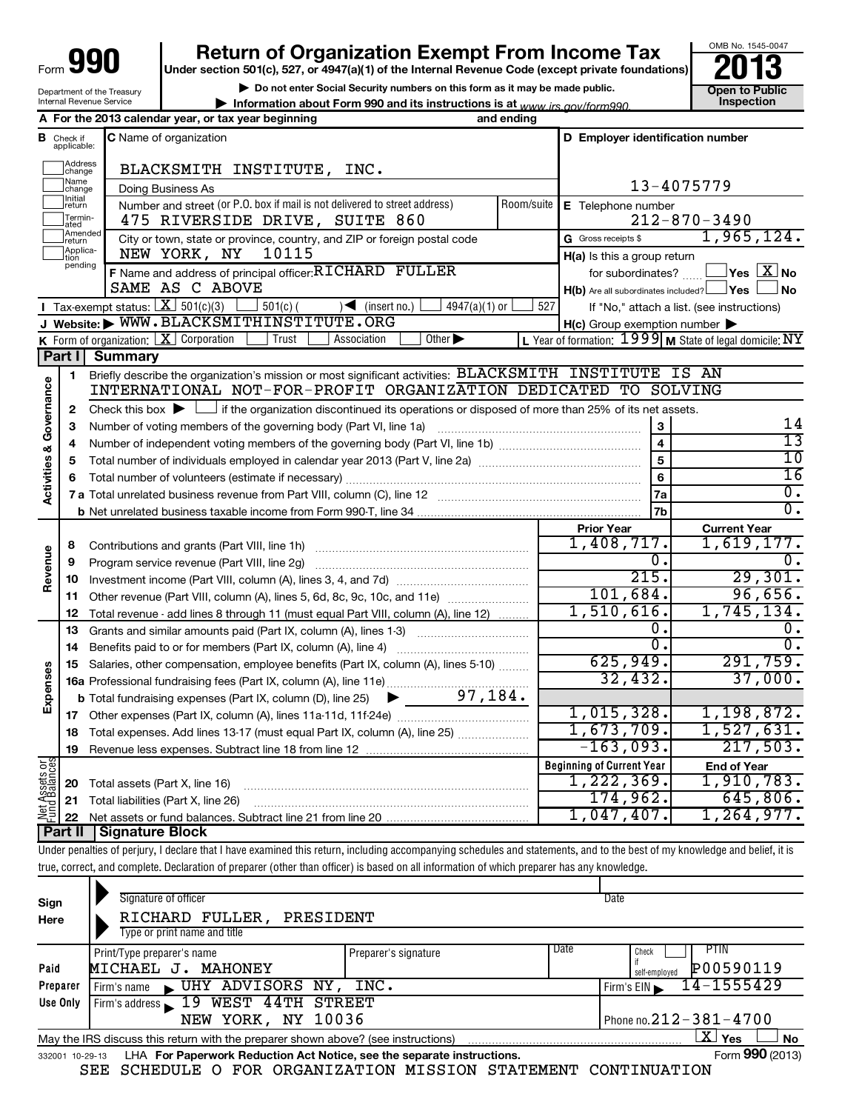| 990<br>Form $\bigcup$      |
|----------------------------|
| Department of the Treasury |

Internal Revenue Service

## **Return of Organization Exempt From Income Tax**

**Under section 501(c), 527, or 4947(a)(1) of the Internal Revenue Code (except private foundations)**

**| Do not enter Social Security numbers on this form as it may be made public.**

**| Information about Form 990 and its instructions is at Inspection** *www.irs.gov/form990.*



|                                    |                             | A For the 2013 calendar year, or tax year beginning                                                                                         | and ending                       |                                                     |                                                           |
|------------------------------------|-----------------------------|---------------------------------------------------------------------------------------------------------------------------------------------|----------------------------------|-----------------------------------------------------|-----------------------------------------------------------|
| В                                  | Check if<br>applicable:     | C Name of organization                                                                                                                      |                                  | D Employer identification number                    |                                                           |
|                                    | <b>Address</b><br>change    | BLACKSMITH INSTITUTE, INC.                                                                                                                  |                                  |                                                     |                                                           |
|                                    | Name<br>change              | Doing Business As                                                                                                                           |                                  |                                                     | 13-4075779                                                |
|                                    | <b>Initial</b><br>return    | Number and street (or P.O. box if mail is not delivered to street address)                                                                  | Room/suite                       | E Telephone number                                  |                                                           |
|                                    | Termin-<br>ated             | 475 RIVERSIDE DRIVE, SUITE 860                                                                                                              |                                  |                                                     | $212 - 870 - 3490$                                        |
|                                    | Amended<br>Ireturn          | City or town, state or province, country, and ZIP or foreign postal code                                                                    |                                  | G Gross receipts \$                                 | 1,965,124.                                                |
|                                    | Applica-<br>tion<br>pending | NEW YORK, NY<br>10115                                                                                                                       |                                  | $H(a)$ is this a group return                       |                                                           |
|                                    |                             | F Name and address of principal officer: RICHARD FULLER                                                                                     |                                  | for subordinates?                                   | $\vert$ Yes $\vert$ $\rm X$ $\vert$ No $\;$               |
|                                    |                             | SAME AS C ABOVE                                                                                                                             |                                  | $H(b)$ Are all subordinates included? $\Box$ Yes    | No                                                        |
|                                    |                             | Tax-exempt status: $X \over 301(c)(3)$<br>$501(c)$ (<br>$\sqrt{\frac{1}{1}}$ (insert no.)<br>$4947(a)(1)$ or                                | 527                              |                                                     | If "No," attach a list. (see instructions)                |
|                                    |                             | J Website: WWW.BLACKSMITHINSTITUTE.ORG                                                                                                      |                                  | $H(c)$ Group exemption number $\blacktriangleright$ |                                                           |
|                                    |                             | K Form of organization: $X$ Corporation<br>Other $\blacktriangleright$<br>Trust<br>Association                                              |                                  |                                                     | L Year of formation: $1999$ M State of legal domicile: NY |
|                                    | Part $  $                   | <b>Summary</b>                                                                                                                              |                                  |                                                     |                                                           |
|                                    | $\blacksquare$              | Briefly describe the organization's mission or most significant activities: BLACKSMITH INSTITUTE IS AN                                      |                                  |                                                     |                                                           |
|                                    |                             | INTERNATIONAL NOT-FOR-PROFIT ORGANIZATION DEDICATED TO SOLVING                                                                              |                                  |                                                     |                                                           |
| <b>Activities &amp; Governance</b> | $\mathbf{2}$                | Check this box $\blacktriangleright$ $\Box$ if the organization discontinued its operations or disposed of more than 25% of its net assets. |                                  |                                                     | 14                                                        |
|                                    | 3                           | Number of voting members of the governing body (Part VI, line 1a)                                                                           |                                  | 3<br>$\overline{\mathbf{4}}$                        | $\overline{13}$                                           |
|                                    | 4                           |                                                                                                                                             |                                  |                                                     | $\overline{10}$                                           |
|                                    | 5                           |                                                                                                                                             |                                  | 5<br>6                                              | $\overline{16}$                                           |
|                                    |                             |                                                                                                                                             |                                  |                                                     |                                                           |
|                                    |                             |                                                                                                                                             |                                  | 7a<br>7b                                            | $\overline{0}$ .<br>σ.                                    |
|                                    |                             |                                                                                                                                             |                                  | <b>Prior Year</b>                                   | <b>Current Year</b>                                       |
|                                    | 8                           | Contributions and grants (Part VIII, line 1h)                                                                                               |                                  | 1,408,717.                                          | 1,619,177.                                                |
|                                    | 9                           | Program service revenue (Part VIII, line 2g)                                                                                                |                                  | 0.                                                  | 0.                                                        |
| Revenue                            | 10                          |                                                                                                                                             |                                  | 215.                                                | 29,301.                                                   |
|                                    | 11                          | Other revenue (Part VIII, column (A), lines 5, 6d, 8c, 9c, 10c, and 11e)                                                                    |                                  | 101,684.                                            | 96,656.                                                   |
|                                    | 12                          | Total revenue - add lines 8 through 11 (must equal Part VIII, column (A), line 12)                                                          |                                  | 1,510,616.                                          | 1,745,134.                                                |
|                                    | 13                          | Grants and similar amounts paid (Part IX, column (A), lines 1-3)                                                                            |                                  | Ω.                                                  | 0.                                                        |
|                                    | 14                          | Benefits paid to or for members (Part IX, column (A), line 4)                                                                               |                                  | Ο.                                                  | О.                                                        |
|                                    | 15                          | Salaries, other compensation, employee benefits (Part IX, column (A), lines 5-10)                                                           |                                  | 625,949.                                            | 291,759.                                                  |
|                                    |                             |                                                                                                                                             |                                  | 32,432.                                             | 37,000.                                                   |
| Expenses                           |                             | <b>b</b> Total fundraising expenses (Part IX, column (D), line 25)                                                                          |                                  |                                                     |                                                           |
|                                    |                             |                                                                                                                                             |                                  | 1,015,328.                                          | 1,198,872.                                                |
|                                    | 18                          | Total expenses. Add lines 13-17 (must equal Part IX, column (A), line 25)                                                                   |                                  | 1,673,709.                                          | 1,527,631.                                                |
|                                    | 19                          |                                                                                                                                             |                                  | $-163,093.$                                         | 217,503.                                                  |
| Net Assets or<br>und Balances      |                             |                                                                                                                                             | <b>Beginning of Current Year</b> | <b>End of Year</b>                                  |                                                           |
|                                    | 20                          | Total assets (Part X, line 16)                                                                                                              |                                  | 1,222,369.                                          | 1,910,783.                                                |
|                                    | 21                          | Total liabilities (Part X, line 26)                                                                                                         |                                  | 174,962.                                            | 645,806.                                                  |
|                                    | 22                          |                                                                                                                                             |                                  | 1,047,407.                                          | 1,264,977.                                                |
|                                    | Part II                     | Signature Block                                                                                                                             |                                  |                                                     |                                                           |

Under penalties of perjury, I declare that I have examined this return, including accompanying schedules and statements, and to the best of my knowledge and belief, it is true, correct, and complete. Declaration of preparer (other than officer) is based on all information of which preparer has any knowledge.

| Sign<br>Here | Signature of officer<br>RICHARD FULLER, PRESIDENT<br>Type or print name and title                              |                      |      | Date                                               |  |  |  |
|--------------|----------------------------------------------------------------------------------------------------------------|----------------------|------|----------------------------------------------------|--|--|--|
| Paid         | Print/Type preparer's name<br>MICHAEL J. MAHONEY                                                               | Preparer's signature | Date | <b>PTIN</b><br>Check<br>P00590119<br>self-emploved |  |  |  |
| Preparer     | UHY ADVISORS NY,<br>l Firm's name                                                                              | INC.                 |      | 14-1555429<br>Firm's $EIN \rightharpoonup$         |  |  |  |
| Use Only     | Firm's address 19 WEST 44TH STREET<br>NEW YORK, NY 10036                                                       |                      |      | Phone no. $212 - 381 - 4700$                       |  |  |  |
|              | $\mathbf{X}$<br>Yes<br>No<br>May the IRS discuss this return with the preparer shown above? (see instructions) |                      |      |                                                    |  |  |  |
|              | Form 990 (2013)<br>LHA For Paperwork Reduction Act Notice, see the separate instructions.<br>332001 10-29-13   |                      |      |                                                    |  |  |  |

SEE SCHEDULE O FOR ORGANIZATION MISSION STATEMENT CONTINUATION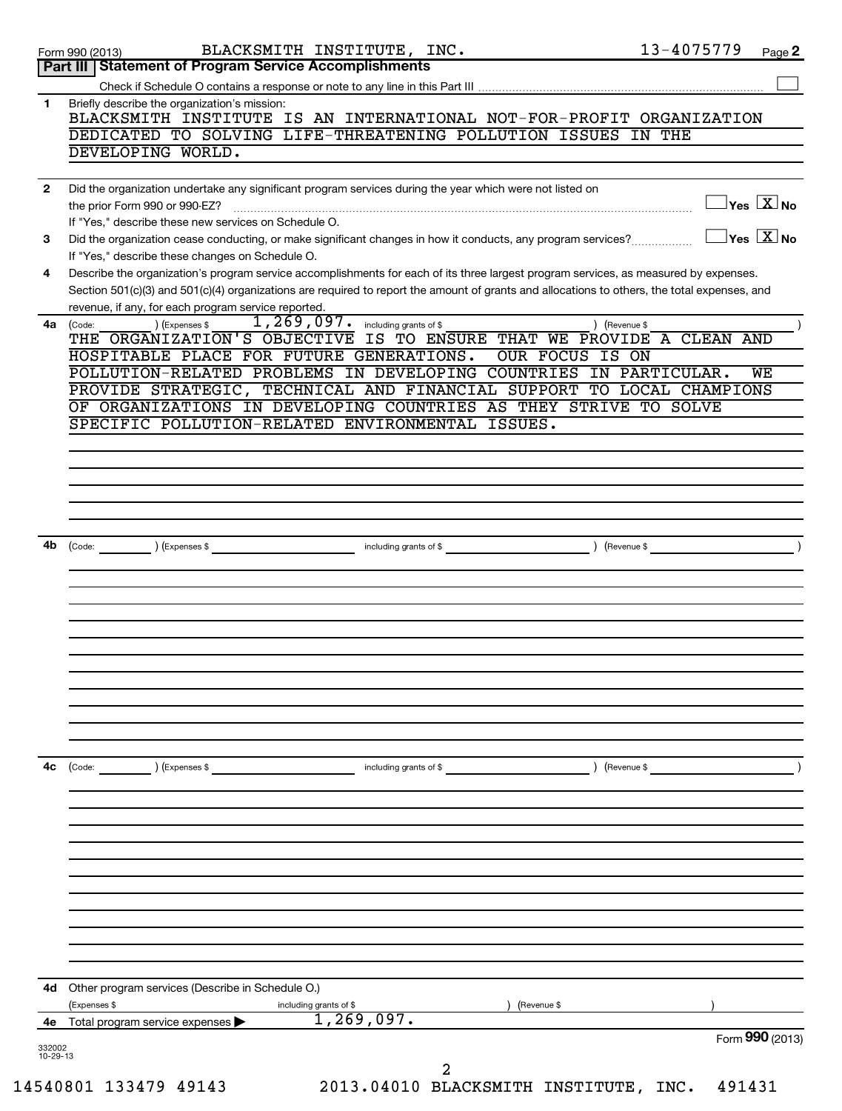| BLACKSMITH INSTITUTE IS AN INTERNATIONAL NOT-FOR-PROFIT ORGANIZATION<br>DEDICATED TO SOLVING LIFE-THREATENING POLLUTION ISSUES IN THE<br>Did the organization undertake any significant program services during the year which were not listed on<br>$\sqrt{}$ Yes $\overline{\text{X}}$ No<br>$\overline{\ }$ Yes $\overline{\mathrm{X}}$ No<br>Did the organization cease conducting, or make significant changes in how it conducts, any program services?<br>Describe the organization's program service accomplishments for each of its three largest program services, as measured by expenses.<br>Section 501(c)(3) and 501(c)(4) organizations are required to report the amount of grants and allocations to others, the total expenses, and<br>) (Revenue \$<br>IS TO ENSURE THAT WE PROVIDE A CLEAN AND<br>OUR FOCUS IS ON<br>POLLUTION-RELATED PROBLEMS IN DEVELOPING COUNTRIES IN PARTICULAR.<br><b>WE</b><br>PROVIDE STRATEGIC, TECHNICAL AND FINANCIAL SUPPORT TO LOCAL CHAMPIONS<br>OF ORGANIZATIONS IN DEVELOPING COUNTRIES AS THEY STRIVE TO SOLVE<br>(Revenue \$<br>) (Revenue \$ |
|------------------------------------------------------------------------------------------------------------------------------------------------------------------------------------------------------------------------------------------------------------------------------------------------------------------------------------------------------------------------------------------------------------------------------------------------------------------------------------------------------------------------------------------------------------------------------------------------------------------------------------------------------------------------------------------------------------------------------------------------------------------------------------------------------------------------------------------------------------------------------------------------------------------------------------------------------------------------------------------------------------------------------------------------------------------------------------------------------|
|                                                                                                                                                                                                                                                                                                                                                                                                                                                                                                                                                                                                                                                                                                                                                                                                                                                                                                                                                                                                                                                                                                      |
|                                                                                                                                                                                                                                                                                                                                                                                                                                                                                                                                                                                                                                                                                                                                                                                                                                                                                                                                                                                                                                                                                                      |
|                                                                                                                                                                                                                                                                                                                                                                                                                                                                                                                                                                                                                                                                                                                                                                                                                                                                                                                                                                                                                                                                                                      |
|                                                                                                                                                                                                                                                                                                                                                                                                                                                                                                                                                                                                                                                                                                                                                                                                                                                                                                                                                                                                                                                                                                      |
|                                                                                                                                                                                                                                                                                                                                                                                                                                                                                                                                                                                                                                                                                                                                                                                                                                                                                                                                                                                                                                                                                                      |
|                                                                                                                                                                                                                                                                                                                                                                                                                                                                                                                                                                                                                                                                                                                                                                                                                                                                                                                                                                                                                                                                                                      |
|                                                                                                                                                                                                                                                                                                                                                                                                                                                                                                                                                                                                                                                                                                                                                                                                                                                                                                                                                                                                                                                                                                      |
|                                                                                                                                                                                                                                                                                                                                                                                                                                                                                                                                                                                                                                                                                                                                                                                                                                                                                                                                                                                                                                                                                                      |
|                                                                                                                                                                                                                                                                                                                                                                                                                                                                                                                                                                                                                                                                                                                                                                                                                                                                                                                                                                                                                                                                                                      |
|                                                                                                                                                                                                                                                                                                                                                                                                                                                                                                                                                                                                                                                                                                                                                                                                                                                                                                                                                                                                                                                                                                      |
|                                                                                                                                                                                                                                                                                                                                                                                                                                                                                                                                                                                                                                                                                                                                                                                                                                                                                                                                                                                                                                                                                                      |
|                                                                                                                                                                                                                                                                                                                                                                                                                                                                                                                                                                                                                                                                                                                                                                                                                                                                                                                                                                                                                                                                                                      |
|                                                                                                                                                                                                                                                                                                                                                                                                                                                                                                                                                                                                                                                                                                                                                                                                                                                                                                                                                                                                                                                                                                      |
|                                                                                                                                                                                                                                                                                                                                                                                                                                                                                                                                                                                                                                                                                                                                                                                                                                                                                                                                                                                                                                                                                                      |
|                                                                                                                                                                                                                                                                                                                                                                                                                                                                                                                                                                                                                                                                                                                                                                                                                                                                                                                                                                                                                                                                                                      |
|                                                                                                                                                                                                                                                                                                                                                                                                                                                                                                                                                                                                                                                                                                                                                                                                                                                                                                                                                                                                                                                                                                      |
|                                                                                                                                                                                                                                                                                                                                                                                                                                                                                                                                                                                                                                                                                                                                                                                                                                                                                                                                                                                                                                                                                                      |
|                                                                                                                                                                                                                                                                                                                                                                                                                                                                                                                                                                                                                                                                                                                                                                                                                                                                                                                                                                                                                                                                                                      |
|                                                                                                                                                                                                                                                                                                                                                                                                                                                                                                                                                                                                                                                                                                                                                                                                                                                                                                                                                                                                                                                                                                      |
|                                                                                                                                                                                                                                                                                                                                                                                                                                                                                                                                                                                                                                                                                                                                                                                                                                                                                                                                                                                                                                                                                                      |
|                                                                                                                                                                                                                                                                                                                                                                                                                                                                                                                                                                                                                                                                                                                                                                                                                                                                                                                                                                                                                                                                                                      |
|                                                                                                                                                                                                                                                                                                                                                                                                                                                                                                                                                                                                                                                                                                                                                                                                                                                                                                                                                                                                                                                                                                      |
|                                                                                                                                                                                                                                                                                                                                                                                                                                                                                                                                                                                                                                                                                                                                                                                                                                                                                                                                                                                                                                                                                                      |
|                                                                                                                                                                                                                                                                                                                                                                                                                                                                                                                                                                                                                                                                                                                                                                                                                                                                                                                                                                                                                                                                                                      |
|                                                                                                                                                                                                                                                                                                                                                                                                                                                                                                                                                                                                                                                                                                                                                                                                                                                                                                                                                                                                                                                                                                      |
|                                                                                                                                                                                                                                                                                                                                                                                                                                                                                                                                                                                                                                                                                                                                                                                                                                                                                                                                                                                                                                                                                                      |
|                                                                                                                                                                                                                                                                                                                                                                                                                                                                                                                                                                                                                                                                                                                                                                                                                                                                                                                                                                                                                                                                                                      |
|                                                                                                                                                                                                                                                                                                                                                                                                                                                                                                                                                                                                                                                                                                                                                                                                                                                                                                                                                                                                                                                                                                      |
|                                                                                                                                                                                                                                                                                                                                                                                                                                                                                                                                                                                                                                                                                                                                                                                                                                                                                                                                                                                                                                                                                                      |
|                                                                                                                                                                                                                                                                                                                                                                                                                                                                                                                                                                                                                                                                                                                                                                                                                                                                                                                                                                                                                                                                                                      |
|                                                                                                                                                                                                                                                                                                                                                                                                                                                                                                                                                                                                                                                                                                                                                                                                                                                                                                                                                                                                                                                                                                      |
|                                                                                                                                                                                                                                                                                                                                                                                                                                                                                                                                                                                                                                                                                                                                                                                                                                                                                                                                                                                                                                                                                                      |
|                                                                                                                                                                                                                                                                                                                                                                                                                                                                                                                                                                                                                                                                                                                                                                                                                                                                                                                                                                                                                                                                                                      |
|                                                                                                                                                                                                                                                                                                                                                                                                                                                                                                                                                                                                                                                                                                                                                                                                                                                                                                                                                                                                                                                                                                      |
|                                                                                                                                                                                                                                                                                                                                                                                                                                                                                                                                                                                                                                                                                                                                                                                                                                                                                                                                                                                                                                                                                                      |
|                                                                                                                                                                                                                                                                                                                                                                                                                                                                                                                                                                                                                                                                                                                                                                                                                                                                                                                                                                                                                                                                                                      |
|                                                                                                                                                                                                                                                                                                                                                                                                                                                                                                                                                                                                                                                                                                                                                                                                                                                                                                                                                                                                                                                                                                      |
|                                                                                                                                                                                                                                                                                                                                                                                                                                                                                                                                                                                                                                                                                                                                                                                                                                                                                                                                                                                                                                                                                                      |
|                                                                                                                                                                                                                                                                                                                                                                                                                                                                                                                                                                                                                                                                                                                                                                                                                                                                                                                                                                                                                                                                                                      |
|                                                                                                                                                                                                                                                                                                                                                                                                                                                                                                                                                                                                                                                                                                                                                                                                                                                                                                                                                                                                                                                                                                      |
|                                                                                                                                                                                                                                                                                                                                                                                                                                                                                                                                                                                                                                                                                                                                                                                                                                                                                                                                                                                                                                                                                                      |
| Form 990 (2013)                                                                                                                                                                                                                                                                                                                                                                                                                                                                                                                                                                                                                                                                                                                                                                                                                                                                                                                                                                                                                                                                                      |
|                                                                                                                                                                                                                                                                                                                                                                                                                                                                                                                                                                                                                                                                                                                                                                                                                                                                                                                                                                                                                                                                                                      |
| 2013.04010 BLACKSMITH INSTITUTE, INC.<br>491431                                                                                                                                                                                                                                                                                                                                                                                                                                                                                                                                                                                                                                                                                                                                                                                                                                                                                                                                                                                                                                                      |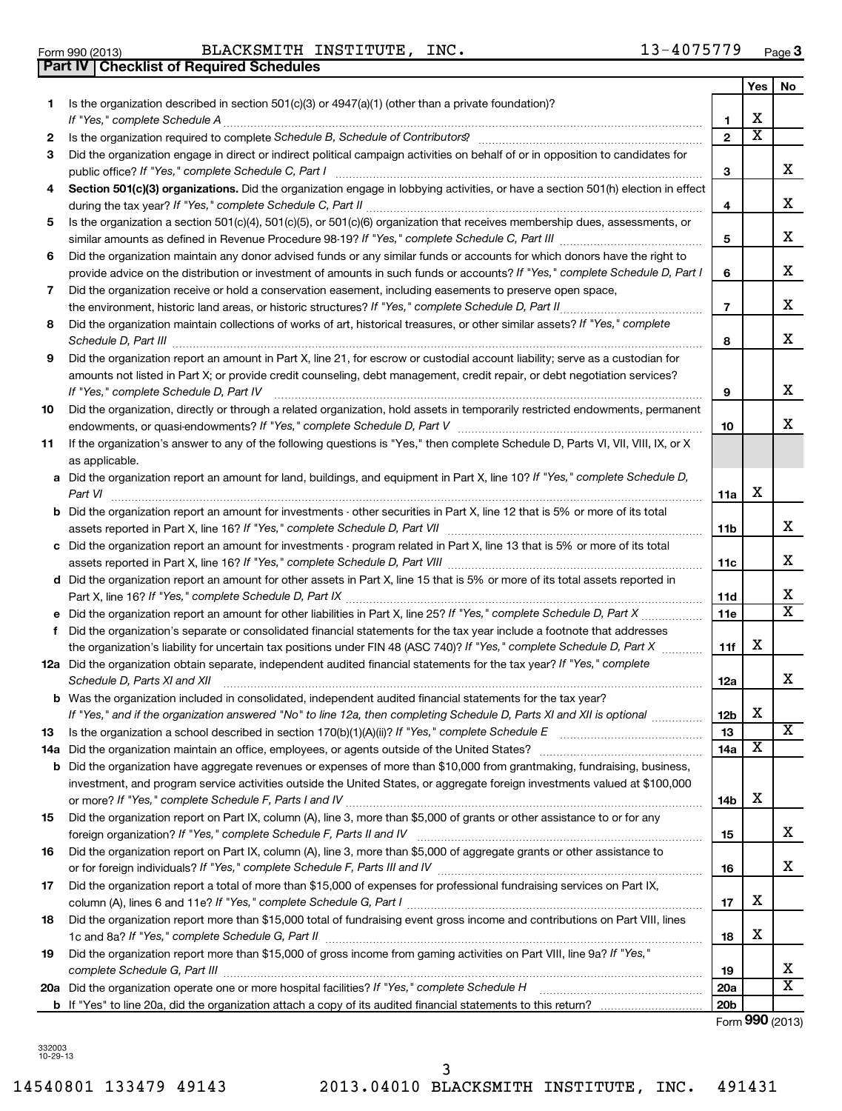**1**

14540801 133479 49143 2013.04010 BLACKSMITH INSTITUTE, INC. 491431 3

|    |                                                                                                                                                                                                                                                     | 5               |   | x                       |
|----|-----------------------------------------------------------------------------------------------------------------------------------------------------------------------------------------------------------------------------------------------------|-----------------|---|-------------------------|
| 6  | Did the organization maintain any donor advised funds or any similar funds or accounts for which donors have the right to                                                                                                                           |                 |   |                         |
|    | provide advice on the distribution or investment of amounts in such funds or accounts? If "Yes," complete Schedule D, Part I                                                                                                                        | 6               |   | X                       |
| 7  | Did the organization receive or hold a conservation easement, including easements to preserve open space,                                                                                                                                           |                 |   |                         |
|    |                                                                                                                                                                                                                                                     | $\overline{7}$  |   | X                       |
| 8  | Did the organization maintain collections of works of art, historical treasures, or other similar assets? If "Yes," complete                                                                                                                        |                 |   |                         |
|    | Schedule D, Part III <b>Process Construction Construction Construction</b> Construction Construction Construction Construction Construction Construction Construction Construction Construction Construction Construction Construct                 | 8               |   | X                       |
| 9  | Did the organization report an amount in Part X, line 21, for escrow or custodial account liability; serve as a custodian for                                                                                                                       |                 |   |                         |
|    | amounts not listed in Part X; or provide credit counseling, debt management, credit repair, or debt negotiation services?                                                                                                                           |                 |   |                         |
|    | If "Yes," complete Schedule D, Part IV                                                                                                                                                                                                              | 9               |   | X                       |
| 10 | Did the organization, directly or through a related organization, hold assets in temporarily restricted endowments, permanent                                                                                                                       |                 |   |                         |
|    |                                                                                                                                                                                                                                                     | 10              |   | X                       |
| 11 | If the organization's answer to any of the following questions is "Yes," then complete Schedule D, Parts VI, VII, VIII, IX, or X                                                                                                                    |                 |   |                         |
|    | as applicable.                                                                                                                                                                                                                                      |                 |   |                         |
|    | a Did the organization report an amount for land, buildings, and equipment in Part X, line 10? If "Yes," complete Schedule D,                                                                                                                       |                 |   |                         |
|    | Part VI                                                                                                                                                                                                                                             | 11a             | х |                         |
|    | <b>b</b> Did the organization report an amount for investments - other securities in Part X, line 12 that is 5% or more of its total                                                                                                                |                 |   |                         |
|    |                                                                                                                                                                                                                                                     | 11b             |   | X                       |
|    | c Did the organization report an amount for investments - program related in Part X, line 13 that is 5% or more of its total                                                                                                                        |                 |   |                         |
|    |                                                                                                                                                                                                                                                     | 11c             |   | X                       |
|    | d Did the organization report an amount for other assets in Part X, line 15 that is 5% or more of its total assets reported in                                                                                                                      |                 |   | X                       |
|    |                                                                                                                                                                                                                                                     | 11d             |   | $\overline{\texttt{x}}$ |
|    |                                                                                                                                                                                                                                                     | 11e             |   |                         |
|    | f Did the organization's separate or consolidated financial statements for the tax year include a footnote that addresses<br>the organization's liability for uncertain tax positions under FIN 48 (ASC 740)? If "Yes," complete Schedule D, Part X | 11f             | Х |                         |
|    | 12a Did the organization obtain separate, independent audited financial statements for the tax year? If "Yes," complete                                                                                                                             |                 |   |                         |
|    | Schedule D, Parts XI and XII                                                                                                                                                                                                                        | 12a             |   | X                       |
|    | <b>b</b> Was the organization included in consolidated, independent audited financial statements for the tax year?                                                                                                                                  |                 |   |                         |
|    | If "Yes," and if the organization answered "No" to line 12a, then completing Schedule D, Parts XI and XII is optional www.                                                                                                                          | 12 <sub>b</sub> | х |                         |
| 13 |                                                                                                                                                                                                                                                     | 13              |   | x                       |
|    |                                                                                                                                                                                                                                                     | 14a             | X |                         |
|    | <b>b</b> Did the organization have aggregate revenues or expenses of more than \$10,000 from grantmaking, fundraising, business,                                                                                                                    |                 |   |                         |
|    | investment, and program service activities outside the United States, or aggregate foreign investments valued at \$100,000                                                                                                                          |                 |   |                         |
|    |                                                                                                                                                                                                                                                     | 14b             | х |                         |
| 15 | Did the organization report on Part IX, column (A), line 3, more than \$5,000 of grants or other assistance to or for any                                                                                                                           |                 |   |                         |
|    |                                                                                                                                                                                                                                                     | 15              |   | X                       |
| 16 | Did the organization report on Part IX, column (A), line 3, more than \$5,000 of aggregate grants or other assistance to                                                                                                                            |                 |   |                         |
|    |                                                                                                                                                                                                                                                     | 16              |   | x                       |
| 17 | Did the organization report a total of more than \$15,000 of expenses for professional fundraising services on Part IX,                                                                                                                             |                 |   |                         |
|    |                                                                                                                                                                                                                                                     | 17              | х |                         |
| 18 | Did the organization report more than \$15,000 total of fundraising event gross income and contributions on Part VIII, lines                                                                                                                        |                 |   |                         |
|    |                                                                                                                                                                                                                                                     | 18              | X |                         |
| 19 | Did the organization report more than \$15,000 of gross income from gaming activities on Part VIII, line 9a? If "Yes,"                                                                                                                              |                 |   |                         |
|    |                                                                                                                                                                                                                                                     | 19              |   | X                       |
|    |                                                                                                                                                                                                                                                     | 20a             |   | $\overline{\text{X}}$   |
|    |                                                                                                                                                                                                                                                     | 20 <sub>b</sub> |   |                         |
|    |                                                                                                                                                                                                                                                     |                 |   | Form 990 (2013)         |

#### **3** Did the organization engage in direct or indirect political campaign activities on behalf of or in opposition to candidates for *If "Yes," complete Schedule C, Part I* public office? ~~~~~~~~~~~~~~~~~~~~~~~~~~~~~~~~~~~~

**Part IV Checklist of Required Schedules**

4 **Section 501(c)(3) organizations.** Did the organization engage in lobbying activities, or have a section 501(h) election in effect during the tax year? If "Yes," complete Schedule C, Part II **manual complete of the complete of the constant of t** 

**2** *Schedule B, Schedule of Contributors* Is the organization required to complete ? ~~~~~~~~~~~~~~~~~~~~~~

*If "Yes," complete Schedule A* ~~~~~~~~~~~~~~~~~~~~~~~~~~~~~~~~~~~~~~~~~~~~~~~

**5** Is the organization a section 501(c)(4), 501(c)(5), or 501(c)(6) organization that receives membership dues, assessments, or

| Form 990 (2013) | BLACKSMITH INSTITUTE, | INC. | 4075779-د | Page |
|-----------------|-----------------------|------|-----------|------|
|                 |                       |      |           |      |

Is the organization described in section 501(c)(3) or 4947(a)(1) (other than a private foundation)?

**1 2**

**3**

**4**

**Yes No**

X

X

X  $\overline{\text{x}}$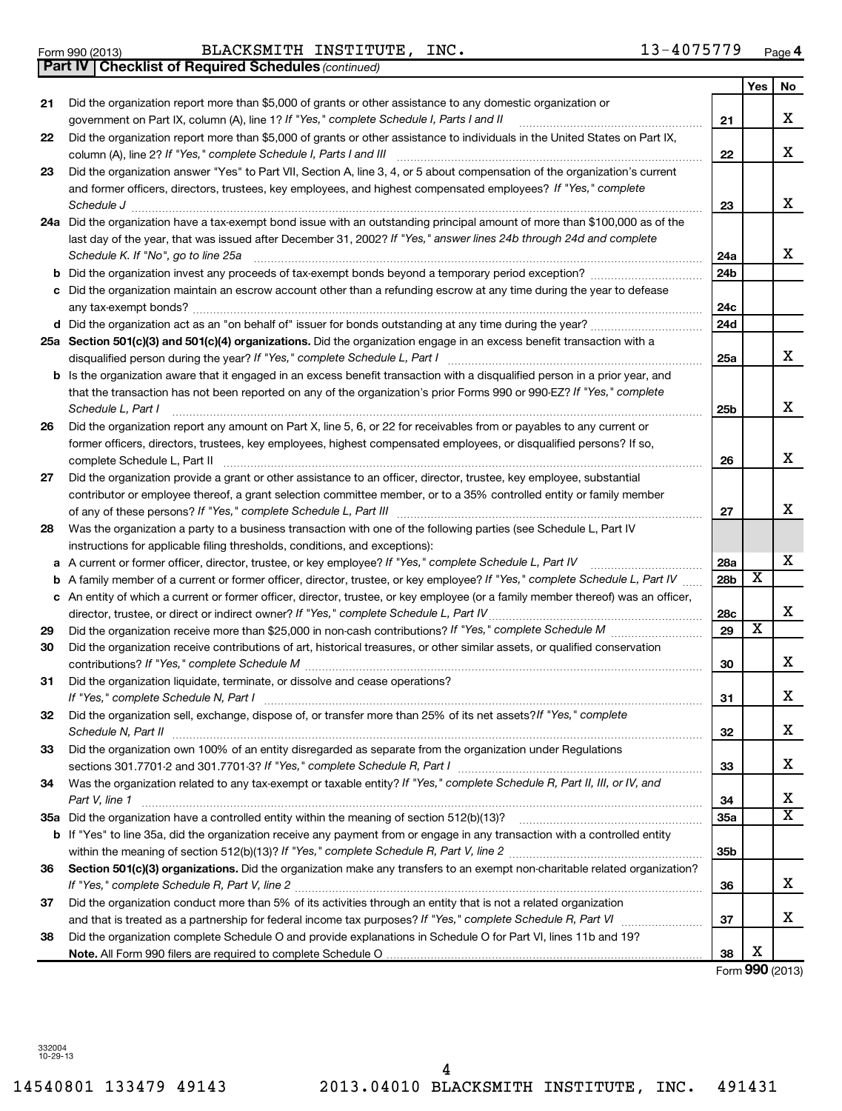**21**

**22**

|    | and former officers, directors, trustees, key employees, and highest compensated employees? If "Yes," complete<br>Schedule J                                                                                                                                                                                    | 23              |                         | х                       |
|----|-----------------------------------------------------------------------------------------------------------------------------------------------------------------------------------------------------------------------------------------------------------------------------------------------------------------|-----------------|-------------------------|-------------------------|
|    | 24a Did the organization have a tax-exempt bond issue with an outstanding principal amount of more than \$100,000 as of the                                                                                                                                                                                     |                 |                         |                         |
|    | last day of the year, that was issued after December 31, 2002? If "Yes," answer lines 24b through 24d and complete                                                                                                                                                                                              |                 |                         |                         |
|    | Schedule K. If "No", go to line 25a                                                                                                                                                                                                                                                                             | 24a             |                         | х                       |
|    |                                                                                                                                                                                                                                                                                                                 | 24 <sub>b</sub> |                         |                         |
|    | c Did the organization maintain an escrow account other than a refunding escrow at any time during the year to defease                                                                                                                                                                                          |                 |                         |                         |
|    |                                                                                                                                                                                                                                                                                                                 | 24c             |                         |                         |
|    |                                                                                                                                                                                                                                                                                                                 | 24d             |                         |                         |
|    | 25a Section 501(c)(3) and 501(c)(4) organizations. Did the organization engage in an excess benefit transaction with a                                                                                                                                                                                          |                 |                         |                         |
|    |                                                                                                                                                                                                                                                                                                                 | 25a             |                         | х                       |
|    | <b>b</b> Is the organization aware that it engaged in an excess benefit transaction with a disqualified person in a prior year, and                                                                                                                                                                             |                 |                         |                         |
|    | that the transaction has not been reported on any of the organization's prior Forms 990 or 990-EZ? If "Yes," complete                                                                                                                                                                                           |                 |                         |                         |
|    | Schedule L, Part I                                                                                                                                                                                                                                                                                              | 25 <sub>b</sub> |                         | x                       |
| 26 | Did the organization report any amount on Part X, line 5, 6, or 22 for receivables from or payables to any current or                                                                                                                                                                                           |                 |                         |                         |
|    | former officers, directors, trustees, key employees, highest compensated employees, or disqualified persons? If so,                                                                                                                                                                                             |                 |                         |                         |
|    | complete Schedule L, Part II                                                                                                                                                                                                                                                                                    | 26              |                         | X                       |
| 27 | Did the organization provide a grant or other assistance to an officer, director, trustee, key employee, substantial                                                                                                                                                                                            |                 |                         |                         |
|    | contributor or employee thereof, a grant selection committee member, or to a 35% controlled entity or family member                                                                                                                                                                                             |                 |                         |                         |
|    |                                                                                                                                                                                                                                                                                                                 | 27              |                         | X                       |
| 28 | Was the organization a party to a business transaction with one of the following parties (see Schedule L, Part IV                                                                                                                                                                                               |                 |                         |                         |
|    | instructions for applicable filing thresholds, conditions, and exceptions):                                                                                                                                                                                                                                     |                 |                         |                         |
|    | a A current or former officer, director, trustee, or key employee? If "Yes," complete Schedule L, Part IV                                                                                                                                                                                                       | 28a             |                         | х                       |
|    | <b>b</b> A family member of a current or former officer, director, trustee, or key employee? If "Yes," complete Schedule L, Part IV                                                                                                                                                                             | <b>28b</b>      | х                       |                         |
|    | c An entity of which a current or former officer, director, trustee, or key employee (or a family member thereof) was an officer,                                                                                                                                                                               |                 |                         |                         |
|    | director, trustee, or direct or indirect owner? If "Yes," complete Schedule L, Part IV                                                                                                                                                                                                                          | 28c             |                         | X                       |
| 29 |                                                                                                                                                                                                                                                                                                                 | 29              | $\overline{\textbf{x}}$ |                         |
| 30 | Did the organization receive contributions of art, historical treasures, or other similar assets, or qualified conservation                                                                                                                                                                                     |                 |                         |                         |
|    |                                                                                                                                                                                                                                                                                                                 | 30              |                         | X                       |
| 31 | Did the organization liquidate, terminate, or dissolve and cease operations?                                                                                                                                                                                                                                    |                 |                         |                         |
|    |                                                                                                                                                                                                                                                                                                                 | 31              |                         | X                       |
| 32 | Did the organization sell, exchange, dispose of, or transfer more than 25% of its net assets? If "Yes," complete                                                                                                                                                                                                |                 |                         | X                       |
|    | Schedule N, Part II                                                                                                                                                                                                                                                                                             | 32              |                         |                         |
| 33 | Did the organization own 100% of an entity disregarded as separate from the organization under Regulations                                                                                                                                                                                                      |                 |                         | X                       |
|    | sections 301.7701-2 and 301.7701-3? If "Yes," complete Schedule R, Part I manufactured and solutions and sections 301.7701-2 and 301.7701-3? If "Yes," complete Schedule R, Part I<br>Was the organization related to any tax-exempt or taxable entity? If "Yes," complete Schedule R, Part II, III, or IV, and | 33              |                         |                         |
| 34 | Part V, line 1                                                                                                                                                                                                                                                                                                  | 34              |                         | х                       |
|    | 35a Did the organization have a controlled entity within the meaning of section 512(b)(13)?                                                                                                                                                                                                                     | 35a             |                         | $\overline{\textbf{x}}$ |
|    | <b>b</b> If "Yes" to line 35a, did the organization receive any payment from or engage in any transaction with a controlled entity                                                                                                                                                                              |                 |                         |                         |
|    |                                                                                                                                                                                                                                                                                                                 | 35 <sub>b</sub> |                         |                         |
| 36 | Section 501(c)(3) organizations. Did the organization make any transfers to an exempt non-charitable related organization?                                                                                                                                                                                      |                 |                         |                         |
|    |                                                                                                                                                                                                                                                                                                                 | 36              |                         | x                       |
| 37 | Did the organization conduct more than 5% of its activities through an entity that is not a related organization                                                                                                                                                                                                |                 |                         |                         |
|    |                                                                                                                                                                                                                                                                                                                 | 37              |                         | x                       |
| 38 | Did the organization complete Schedule O and provide explanations in Schedule O for Part VI, lines 11b and 19?                                                                                                                                                                                                  |                 |                         |                         |
|    |                                                                                                                                                                                                                                                                                                                 | 38              | X                       |                         |
|    |                                                                                                                                                                                                                                                                                                                 |                 |                         | Form 990 (2013)         |
|    |                                                                                                                                                                                                                                                                                                                 |                 |                         |                         |

#### *(continued)* **Part IV Checklist of Required Schedules** Form 990 (2013) BLACKSMITH INSTITUTE,INC . 1 3- $4$  0 7 5 7 7 9 <sub>Page</sub>

Did the organization report more than \$5,000 of grants or other assistance to any domestic organization or

**23** Did the organization answer "Yes" to Part VII, Section A, line 3, 4, or 5 about compensation of the organization's current

*If "Yes," complete Schedule I, Parts I and II* government on Part IX, column (A), line 1? ~~~~~~~~~~~~~~~~~~

Did the organization report more than \$5,000 of grants or other assistance to individuals in the United States on Part IX,

*If "Yes," complete Schedule I, Parts I and III* column (A), line 2? ~~~~~~~~~~~~~~~~~~~~~~~~~~~~~~

**4**

**21**

**22**

**Yes No**

X

X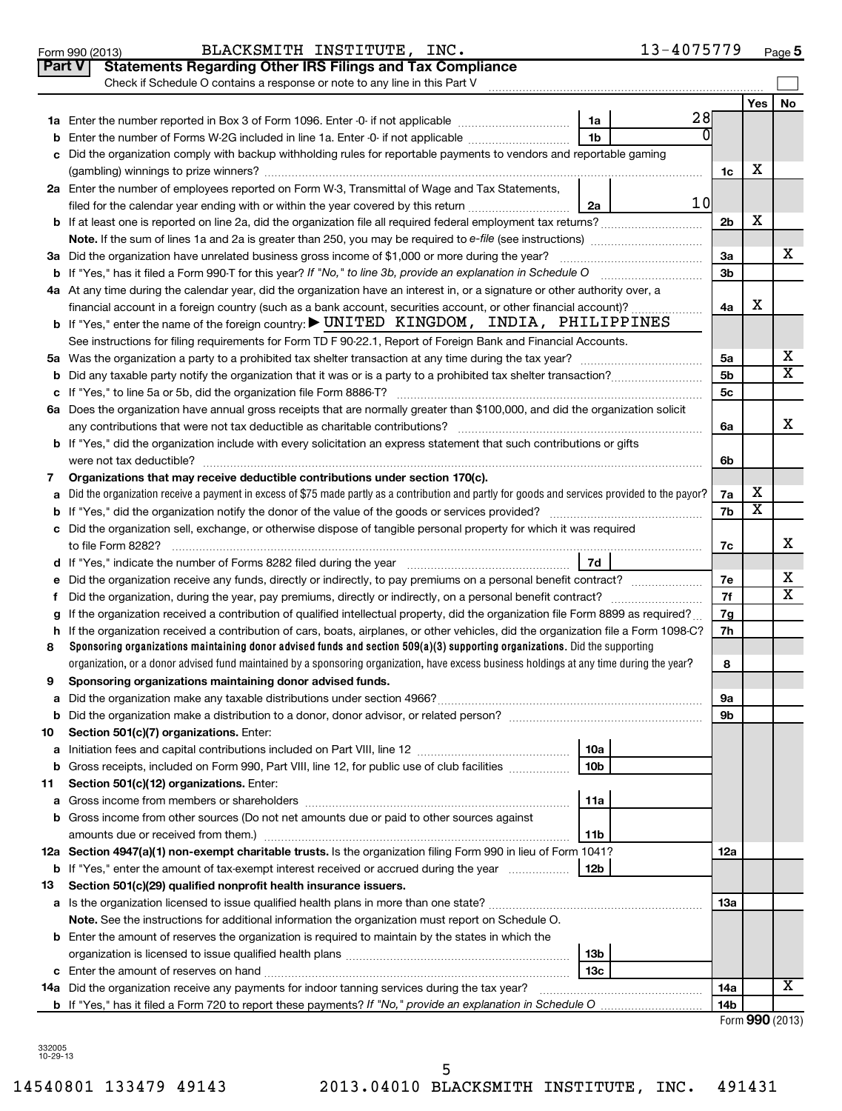|               | 13-4075779<br>BLACKSMITH INSTITUTE, INC.<br>Form 990 (2013)                                                                                     |                |                         | Page 5          |
|---------------|-------------------------------------------------------------------------------------------------------------------------------------------------|----------------|-------------------------|-----------------|
| <b>Part V</b> | <b>Statements Regarding Other IRS Filings and Tax Compliance</b>                                                                                |                |                         |                 |
|               | Check if Schedule O contains a response or note to any line in this Part V                                                                      |                |                         |                 |
|               |                                                                                                                                                 |                | <b>Yes</b>              | No              |
|               | 28<br>1a                                                                                                                                        |                |                         |                 |
| b             | 0<br>1 <sub>b</sub><br>Enter the number of Forms W-2G included in line 1a. Enter -0- if not applicable                                          |                |                         |                 |
| c             | Did the organization comply with backup withholding rules for reportable payments to vendors and reportable gaming                              |                |                         |                 |
|               |                                                                                                                                                 | 1c             | х                       |                 |
|               | 2a Enter the number of employees reported on Form W-3, Transmittal of Wage and Tax Statements,                                                  |                |                         |                 |
|               | 10<br>filed for the calendar year ending with or within the year covered by this return<br>2a                                                   |                |                         |                 |
|               |                                                                                                                                                 | 2b             | х                       |                 |
|               |                                                                                                                                                 |                |                         |                 |
|               | 3a Did the organization have unrelated business gross income of \$1,000 or more during the year?                                                | За             |                         | x               |
|               | <b>b</b> If "Yes," has it filed a Form 990-T for this year? If "No," to line 3b, provide an explanation in Schedule O                           | 3b             |                         |                 |
|               | 4a At any time during the calendar year, did the organization have an interest in, or a signature or other authority over, a                    |                |                         |                 |
|               | financial account in a foreign country (such as a bank account, securities account, or other financial account)?                                | 4a             | х                       |                 |
|               | <b>b</b> If "Yes," enter the name of the foreign country: $\blacktriangleright$ UNITED KINGDOM, INDIA, PHILIPPINES                              |                |                         |                 |
|               | See instructions for filing requirements for Form TD F 90-22.1, Report of Foreign Bank and Financial Accounts.                                  |                |                         |                 |
|               |                                                                                                                                                 | 5а             |                         | х               |
| b             |                                                                                                                                                 | 5b             |                         | X               |
|               |                                                                                                                                                 | 5 <sub>c</sub> |                         |                 |
|               | 6a Does the organization have annual gross receipts that are normally greater than \$100,000, and did the organization solicit                  |                |                         |                 |
|               |                                                                                                                                                 | 6a             |                         | x               |
|               | <b>b</b> If "Yes," did the organization include with every solicitation an express statement that such contributions or gifts                   |                |                         |                 |
|               | were not tax deductible?                                                                                                                        | 6b             |                         |                 |
| 7             | Organizations that may receive deductible contributions under section 170(c).                                                                   |                |                         |                 |
| a             | Did the organization receive a payment in excess of \$75 made partly as a contribution and partly for goods and services provided to the payor? | 7a             | х                       |                 |
| b             |                                                                                                                                                 | 7b             | $\overline{\textbf{x}}$ |                 |
| c             | Did the organization sell, exchange, or otherwise dispose of tangible personal property for which it was required                               |                |                         |                 |
|               |                                                                                                                                                 | 7с             |                         | x               |
|               | 7d                                                                                                                                              |                |                         | x               |
| е             |                                                                                                                                                 | 7e<br>7f       |                         | X               |
|               | If the organization received a contribution of qualified intellectual property, did the organization file Form 8899 as required?                |                |                         |                 |
| g<br>h        | If the organization received a contribution of cars, boats, airplanes, or other vehicles, did the organization file a Form 1098-C?              | 7g<br>7h       |                         |                 |
| 8             | Sponsoring organizations maintaining donor advised funds and section 509(a)(3) supporting organizations. Did the supporting                     |                |                         |                 |
|               | organization, or a donor advised fund maintained by a sponsoring organization, have excess business holdings at any time during the year?       | 8              |                         |                 |
| 9             | Sponsoring organizations maintaining donor advised funds.                                                                                       |                |                         |                 |
| а             |                                                                                                                                                 | 9а             |                         |                 |
| b             |                                                                                                                                                 | 9b             |                         |                 |
| 10            | Section 501(c)(7) organizations. Enter:                                                                                                         |                |                         |                 |
| а             | 10a                                                                                                                                             |                |                         |                 |
| b             | Gross receipts, included on Form 990, Part VIII, line 12, for public use of club facilities<br>10 <sub>b</sub>                                  |                |                         |                 |
| 11            | Section 501(c)(12) organizations. Enter:                                                                                                        |                |                         |                 |
| а             | 11a                                                                                                                                             |                |                         |                 |
| b             | Gross income from other sources (Do not net amounts due or paid to other sources against                                                        |                |                         |                 |
|               | amounts due or received from them.)<br>11b                                                                                                      |                |                         |                 |
|               | 12a Section 4947(a)(1) non-exempt charitable trusts. Is the organization filing Form 990 in lieu of Form 1041?                                  | 12a            |                         |                 |
| b             | If "Yes," enter the amount of tax-exempt interest received or accrued during the year<br>12b                                                    |                |                         |                 |
| 13            | Section 501(c)(29) qualified nonprofit health insurance issuers.                                                                                |                |                         |                 |
|               |                                                                                                                                                 | 1За            |                         |                 |
|               | Note. See the instructions for additional information the organization must report on Schedule O.                                               |                |                         |                 |
|               | <b>b</b> Enter the amount of reserves the organization is required to maintain by the states in which the                                       |                |                         |                 |
|               | 13 <sub>b</sub>                                                                                                                                 |                |                         |                 |
|               | 13с                                                                                                                                             |                |                         |                 |
|               | 14a Did the organization receive any payments for indoor tanning services during the tax year?                                                  | 14a            |                         | х               |
|               |                                                                                                                                                 | 14b            |                         |                 |
|               |                                                                                                                                                 |                |                         | Form 990 (2013) |

332005 10-29-13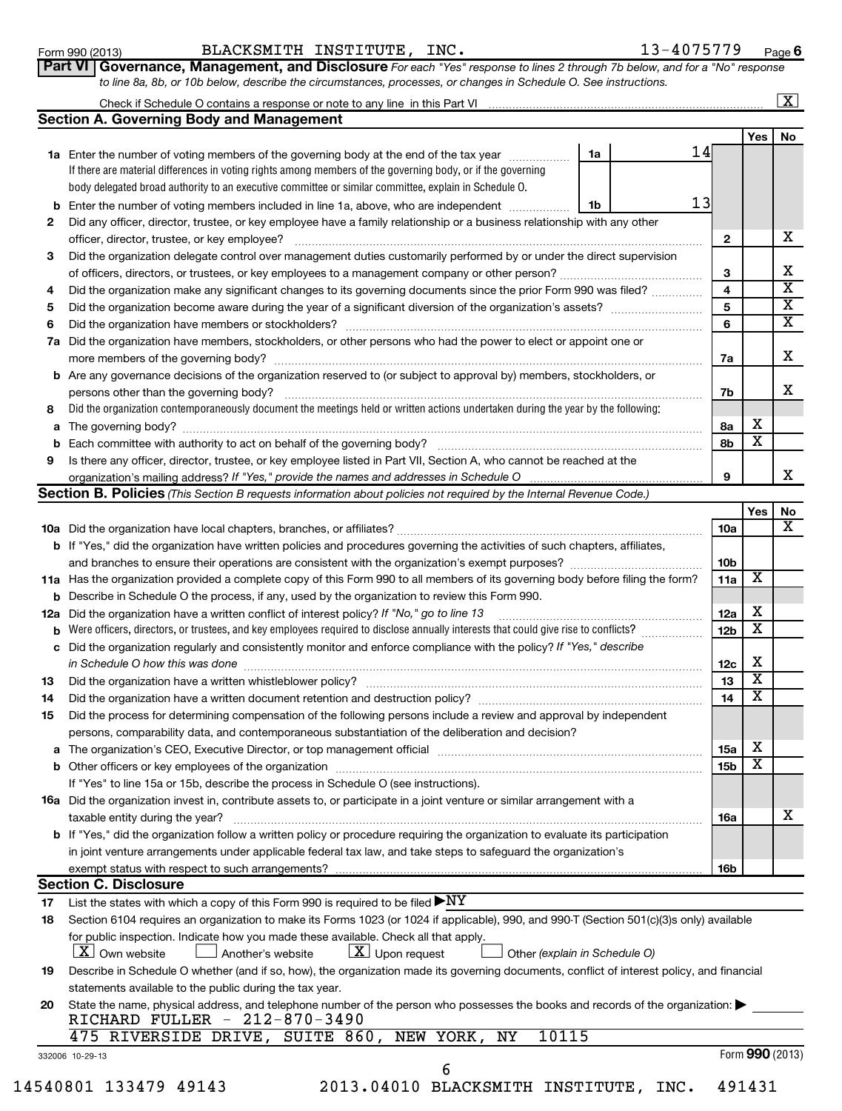Form 990 (2013) BLACKSMITH INSTITUTE,INC . 1 3- $4$  0 7 5 7 7 9 <sub>Page</sub>

**6**

|                                                                                                                  | Part VI   Governance, Management, and Disclosure For each "Yes" response to lines 2 through 7b below, and for a "No" respons |
|------------------------------------------------------------------------------------------------------------------|------------------------------------------------------------------------------------------------------------------------------|
| to line 8a, 8b, or 10b below, describe the circumstances, processes, or changes in Schedule O. See instructions. |                                                                                                                              |

| Check if Schedule O contains a response or note to any line in this Part VI |  |
|-----------------------------------------------------------------------------|--|
| Section A. Governing Rody and Management                                    |  |

|     | Section A. Governing Body and Management                                                                                            |                 |                         |                         |  |
|-----|-------------------------------------------------------------------------------------------------------------------------------------|-----------------|-------------------------|-------------------------|--|
|     |                                                                                                                                     |                 | <b>Yes</b>              | No                      |  |
|     | 14<br>1a Enter the number of voting members of the governing body at the end of the tax year<br>1a                                  |                 |                         |                         |  |
|     | If there are material differences in voting rights among members of the governing body, or if the governing                         |                 |                         |                         |  |
|     | body delegated broad authority to an executive committee or similar committee, explain in Schedule O.                               |                 |                         |                         |  |
| b   | 13<br>Enter the number of voting members included in line 1a, above, who are independent<br>1b                                      |                 |                         |                         |  |
| 2   | Did any officer, director, trustee, or key employee have a family relationship or a business relationship with any other            |                 |                         |                         |  |
|     | officer, director, trustee, or key employee?                                                                                        | $\mathbf{2}$    |                         | X.                      |  |
| 3   | Did the organization delegate control over management duties customarily performed by or under the direct supervision               |                 |                         |                         |  |
|     | of officers, directors, or trustees, or key employees to a management company or other person?                                      | 3               |                         | x                       |  |
| 4   | Did the organization make any significant changes to its governing documents since the prior Form 990 was filed?                    | 4               |                         | $\overline{\mathtt{x}}$ |  |
| 5   |                                                                                                                                     | 5               |                         | $\overline{\mathtt{x}}$ |  |
| 6   | Did the organization have members or stockholders?                                                                                  | 6               |                         | X                       |  |
| 7a  | Did the organization have members, stockholders, or other persons who had the power to elect or appoint one or                      |                 |                         |                         |  |
|     | more members of the governing body?                                                                                                 | 7a              |                         | X.                      |  |
|     | <b>b</b> Are any governance decisions of the organization reserved to (or subject to approval by) members, stockholders, or         |                 |                         |                         |  |
|     | persons other than the governing body?                                                                                              | 7b              |                         | x                       |  |
| 8   | Did the organization contemporaneously document the meetings held or written actions undertaken during the year by the following:   |                 |                         |                         |  |
| a   | The governing body?                                                                                                                 | 8a              | х                       |                         |  |
| b   | Each committee with authority to act on behalf of the governing body?                                                               | 8b              | $\overline{\mathbf{X}}$ |                         |  |
| 9   | Is there any officer, director, trustee, or key employee listed in Part VII, Section A, who cannot be reached at the                |                 |                         |                         |  |
|     |                                                                                                                                     | 9               |                         | X.                      |  |
|     | Section B. Policies (This Section B requests information about policies not required by the Internal Revenue Code.)                 |                 |                         |                         |  |
|     |                                                                                                                                     |                 | <b>Yes</b>              | No                      |  |
|     |                                                                                                                                     | 10a             |                         | X                       |  |
|     | <b>b</b> If "Yes," did the organization have written policies and procedures governing the activities of such chapters, affiliates, |                 |                         |                         |  |
|     | and branches to ensure their operations are consistent with the organization's exempt purposes?                                     | 10 <sub>b</sub> |                         |                         |  |
|     | 11a Has the organization provided a complete copy of this Form 990 to all members of its governing body before filing the form?     | 11a             | x                       |                         |  |
| b   | Describe in Schedule O the process, if any, used by the organization to review this Form 990.                                       |                 |                         |                         |  |
| 12a | Did the organization have a written conflict of interest policy? If "No," go to line 13                                             | 12a             | х                       |                         |  |
| b   | Were officers, directors, or trustees, and key employees required to disclose annually interests that could give rise to conflicts? | 12 <sub>b</sub> | $\overline{\textbf{X}}$ |                         |  |
| с   | Did the organization regularly and consistently monitor and enforce compliance with the policy? If "Yes," describe                  |                 |                         |                         |  |

|    | c Did the organization regularly and consistently monitor and enforce compliance with the policy? If "Yes," describe                  |                 |   |   |
|----|---------------------------------------------------------------------------------------------------------------------------------------|-----------------|---|---|
|    | in Schedule O how this was done                                                                                                       | 12c             | х |   |
| 13 | Did the organization have a written whistleblower policy?                                                                             | 13              | x |   |
| 14 | Did the organization have a written document retention and destruction policy?                                                        | 14              | х |   |
| 15 | Did the process for determining compensation of the following persons include a review and approval by independent                    |                 |   |   |
|    | persons, comparability data, and contemporaneous substantiation of the deliberation and decision?                                     |                 |   |   |
|    |                                                                                                                                       | 15a             | х |   |
|    | <b>b</b> Other officers or key employees of the organization                                                                          | 15 <sub>b</sub> | х |   |
|    | If "Yes" to line 15a or 15b, describe the process in Schedule O (see instructions).                                                   |                 |   |   |
|    | <b>16a</b> Did the organization invest in, contribute assets to, or participate in a joint venture or similar arrangement with a      |                 |   |   |
|    | taxable entity during the year?                                                                                                       | 16a             |   | х |
|    | <b>b</b> If "Yes," did the organization follow a written policy or procedure requiring the organization to evaluate its participation |                 |   |   |
|    | in joint venture arrangements under applicable federal tax law, and take steps to safeguard the organization's                        |                 |   |   |
|    |                                                                                                                                       | 16b             |   |   |

#### **Section C. Disclosure**

**17** List the states with which a copy of this Form 990 is required to be filed  $\blacktriangleright{\rm NY}$ 

| 18 Section 6104 requires an organization to make its Forms 1023 (or 1024 if applicable), 990, and 990-T (Section 501(c)(3)s only) available           |
|-------------------------------------------------------------------------------------------------------------------------------------------------------|
| for public inspection. Indicate how you made these available. Check all that apply.                                                                   |
| $\boxed{\textbf{X}}$ Own website $\boxed{\phantom{0}}$ Another's website<br>$\boxed{\textbf{X}}$ Upon request<br>$\Box$ Other (explain in Schedule O) |
| Describe in Schedule O whether (and if so, how), the organization made its governing documents, conflict of interest policy, and financial            |

| Describe in Schedule O whether (and if so, how), the organization made its governing documents, conflict of interest policy, and financial |  |
|--------------------------------------------------------------------------------------------------------------------------------------------|--|
| statements available to the public during the tax year.                                                                                    |  |

| 20 State the name, physical address, and telephone number of the person who possesses the books and records of the organization:<br>RICHARD FULLER - 212-870-3490 |  |
|-------------------------------------------------------------------------------------------------------------------------------------------------------------------|--|
|                                                                                                                                                                   |  |

|  | 475 RIVERSIDE DRIVE, SUITE 860, NEW YORK, NY 10115 |  |  |  |  |  |  |  |
|--|----------------------------------------------------|--|--|--|--|--|--|--|
|--|----------------------------------------------------|--|--|--|--|--|--|--|

| 4540801 133479 49143 |  |  |
|----------------------|--|--|
|----------------------|--|--|

6

Form **990** (2013)

14540801 133479 49143 2013.04010 BLACKSMITH INSTITUTE, INC. 491431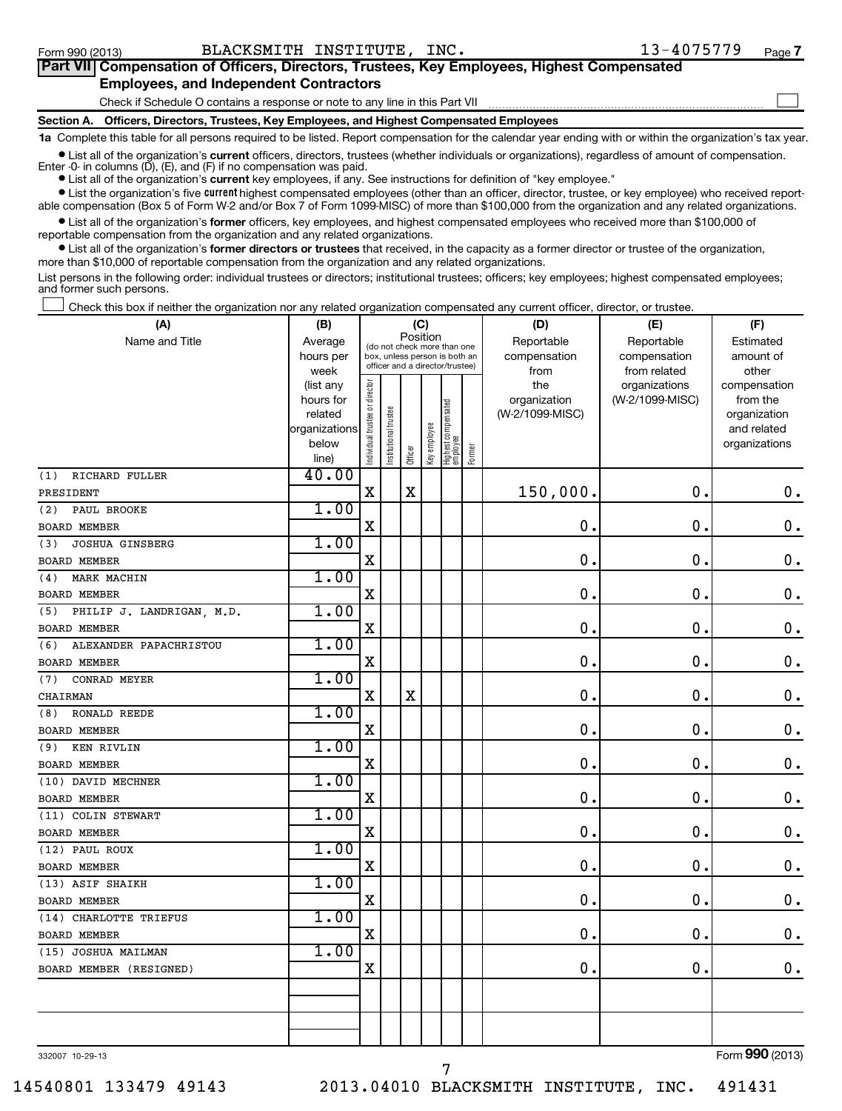#### **Section A. Officers, Directors, Trustees, Key Employees, and Highest Compensated Employees 1a**  Complete this table for all persons required to be listed. Report compensation for the calendar year ending with or within the organization's tax year. Check if Schedule O contains a response or note to any line in this Part VII **Part VII Compensation of Officers, Directors, Trustees, Key Employees, Highest Compensated Employees, and Independent Contractors**  $\sim$

**•** List all of the organization's current officers, directors, trustees (whether individuals or organizations), regardless of amount of compensation.

Enter -0- in columns  $(D)$ ,  $(E)$ , and  $(F)$  if no compensation was paid.

**•** List all of the organization's **current** key employees, if any. See instructions for definition of "key employee."

**•** List the organization's five *current* highest compensated employees (other than an officer, director, trustee, or key employee) who received reportable compensation (Box 5 of Form W-2 and/or Box 7 of Form 1099-MISC) of more than \$100,000 from the organization and any related organizations.

 $\bullet$  List all of the organization's former officers, key employees, and highest compensated employees who received more than \$100,000 of reportable compensation from the organization and any related organizations.

**•** List all of the organization's former directors or trustees that received, in the capacity as a former director or trustee of the organization, more than \$10,000 of reportable compensation from the organization and any related organizations.

List persons in the following order: individual trustees or directors; institutional trustees; officers; key employees; highest compensated employees; and former such persons.

Check this box if neither the organization nor any related organization compensated any current officer, director, or trustee.  $\left\vert \cdot\right\vert$ 

| (A)                              | (B)                  |                                                                          |                       |                                 | (C)          |                                 |        | (D)                             | (E)             | (F)                      |  |  |
|----------------------------------|----------------------|--------------------------------------------------------------------------|-----------------------|---------------------------------|--------------|---------------------------------|--------|---------------------------------|-----------------|--------------------------|--|--|
| Name and Title                   | Average              | Position<br>(do not check more than one<br>box, unless person is both an |                       |                                 |              |                                 |        | Reportable                      | Reportable      | Estimated                |  |  |
|                                  | hours per            |                                                                          |                       | officer and a director/trustee) |              |                                 |        | compensation                    | compensation    | amount of                |  |  |
|                                  | week                 |                                                                          |                       |                                 |              |                                 |        | from                            | from related    | other                    |  |  |
|                                  | (list any            |                                                                          |                       |                                 |              |                                 |        | the                             | organizations   | compensation             |  |  |
|                                  | hours for<br>related |                                                                          |                       |                                 |              |                                 |        | organization<br>(W-2/1099-MISC) | (W-2/1099-MISC) | from the<br>organization |  |  |
|                                  | organizations        | Individual trustee or director                                           | Institutional trustee |                                 |              |                                 |        |                                 |                 | and related              |  |  |
|                                  | below                |                                                                          |                       |                                 |              |                                 |        |                                 |                 | organizations            |  |  |
|                                  | line)                |                                                                          |                       | Officer                         | Key employee | Highest compensated<br>employee | Former |                                 |                 |                          |  |  |
| RICHARD FULLER<br>(1)            | 40.00                |                                                                          |                       |                                 |              |                                 |        |                                 |                 |                          |  |  |
| PRESIDENT                        |                      | X                                                                        |                       | $\mathbf X$                     |              |                                 |        | 150,000.                        | $\mathbf 0$     | $\mathbf 0$ .            |  |  |
| (2)<br>PAUL BROOKE               | 1.00                 |                                                                          |                       |                                 |              |                                 |        |                                 |                 |                          |  |  |
| <b>BOARD MEMBER</b>              |                      | Χ                                                                        |                       |                                 |              |                                 |        | $\mathbf 0$ .                   | $\mathbf 0$     | $\mathbf 0$ .            |  |  |
| <b>JOSHUA GINSBERG</b><br>(3)    | 1.00                 |                                                                          |                       |                                 |              |                                 |        |                                 |                 |                          |  |  |
| <b>BOARD MEMBER</b>              |                      | X                                                                        |                       |                                 |              |                                 |        | $\mathbf 0$ .                   | $\mathbf 0$     | $\mathbf 0$ .            |  |  |
| MARK MACHIN<br>(4)               | 1.00                 |                                                                          |                       |                                 |              |                                 |        |                                 |                 |                          |  |  |
| BOARD MEMBER                     |                      | X                                                                        |                       |                                 |              |                                 |        | 0.                              | 0.              | $\mathbf 0$ .            |  |  |
| PHILIP J. LANDRIGAN, M.D.<br>(5) | 1.00                 |                                                                          |                       |                                 |              |                                 |        |                                 |                 |                          |  |  |
| <b>BOARD MEMBER</b>              |                      | X                                                                        |                       |                                 |              |                                 |        | 0.                              | $\mathbf 0$ .   | $\mathbf 0$ .            |  |  |
| ALEXANDER PAPACHRISTOU<br>(6)    | 1.00                 |                                                                          |                       |                                 |              |                                 |        |                                 |                 |                          |  |  |
| <b>BOARD MEMBER</b>              |                      | X                                                                        |                       |                                 |              |                                 |        | 0.                              | $\mathbf 0$     | $\mathbf 0$ .            |  |  |
| CONRAD MEYER<br>(7)              | 1.00                 |                                                                          |                       |                                 |              |                                 |        |                                 |                 |                          |  |  |
| CHAIRMAN                         |                      | $\mathbf X$                                                              |                       | $\mathbf X$                     |              |                                 |        | 0.                              | $\mathbf 0$ .   | $\mathbf 0$ .            |  |  |
| <b>RONALD REEDE</b><br>(8)       | 1.00                 |                                                                          |                       |                                 |              |                                 |        |                                 |                 |                          |  |  |
| <b>BOARD MEMBER</b>              |                      | X                                                                        |                       |                                 |              |                                 |        | 0.                              | $\mathbf 0$     | $\mathbf 0$ .            |  |  |
| KEN RIVLIN<br>(9)                | 1.00                 |                                                                          |                       |                                 |              |                                 |        |                                 |                 |                          |  |  |
| <b>BOARD MEMBER</b>              |                      | X                                                                        |                       |                                 |              |                                 |        | $\mathbf 0$ .                   | $\mathbf 0$     | $\mathbf 0$ .            |  |  |
| (10) DAVID MECHNER               | 1.00                 |                                                                          |                       |                                 |              |                                 |        |                                 |                 |                          |  |  |
| <b>BOARD MEMBER</b>              |                      | X                                                                        |                       |                                 |              |                                 |        | 0.                              | $\mathbf 0$     | $\mathbf 0$ .            |  |  |
| (11) COLIN STEWART               | 1.00                 |                                                                          |                       |                                 |              |                                 |        |                                 |                 |                          |  |  |
| <b>BOARD MEMBER</b>              |                      | X                                                                        |                       |                                 |              |                                 |        | 0.                              | $\mathbf 0$     | $\mathbf 0$ .            |  |  |
| (12) PAUL ROUX                   | 1.00                 |                                                                          |                       |                                 |              |                                 |        |                                 |                 |                          |  |  |
| <b>BOARD MEMBER</b>              |                      | X                                                                        |                       |                                 |              |                                 |        | 0.                              | $\mathbf 0$     | $\mathbf 0$ .            |  |  |
| (13) ASIF SHAIKH                 | 1.00                 |                                                                          |                       |                                 |              |                                 |        |                                 |                 |                          |  |  |
| <b>BOARD MEMBER</b>              |                      | X                                                                        |                       |                                 |              |                                 |        | $\mathbf 0$ .                   | $\mathbf 0$     | $\mathbf 0$ .            |  |  |
| (14) CHARLOTTE TRIEFUS           | 1.00                 |                                                                          |                       |                                 |              |                                 |        |                                 |                 |                          |  |  |
| <b>BOARD MEMBER</b>              |                      | X                                                                        |                       |                                 |              |                                 |        | $\mathbf 0$ .                   | $\mathbf 0$     | $\mathbf 0$ .            |  |  |
| (15) JOSHUA MAILMAN              | 1.00                 |                                                                          |                       |                                 |              |                                 |        |                                 |                 |                          |  |  |
| BOARD MEMBER (RESIGNED)          |                      | X                                                                        |                       |                                 |              |                                 |        | 0.                              | $\mathbf 0$ .   | 0.                       |  |  |
|                                  |                      |                                                                          |                       |                                 |              |                                 |        |                                 |                 |                          |  |  |
|                                  |                      |                                                                          |                       |                                 |              |                                 |        |                                 |                 |                          |  |  |
|                                  |                      |                                                                          |                       |                                 |              |                                 |        |                                 |                 |                          |  |  |
|                                  |                      |                                                                          |                       |                                 |              |                                 |        |                                 |                 |                          |  |  |

7

332007 10-29-13

Form (2013) **990**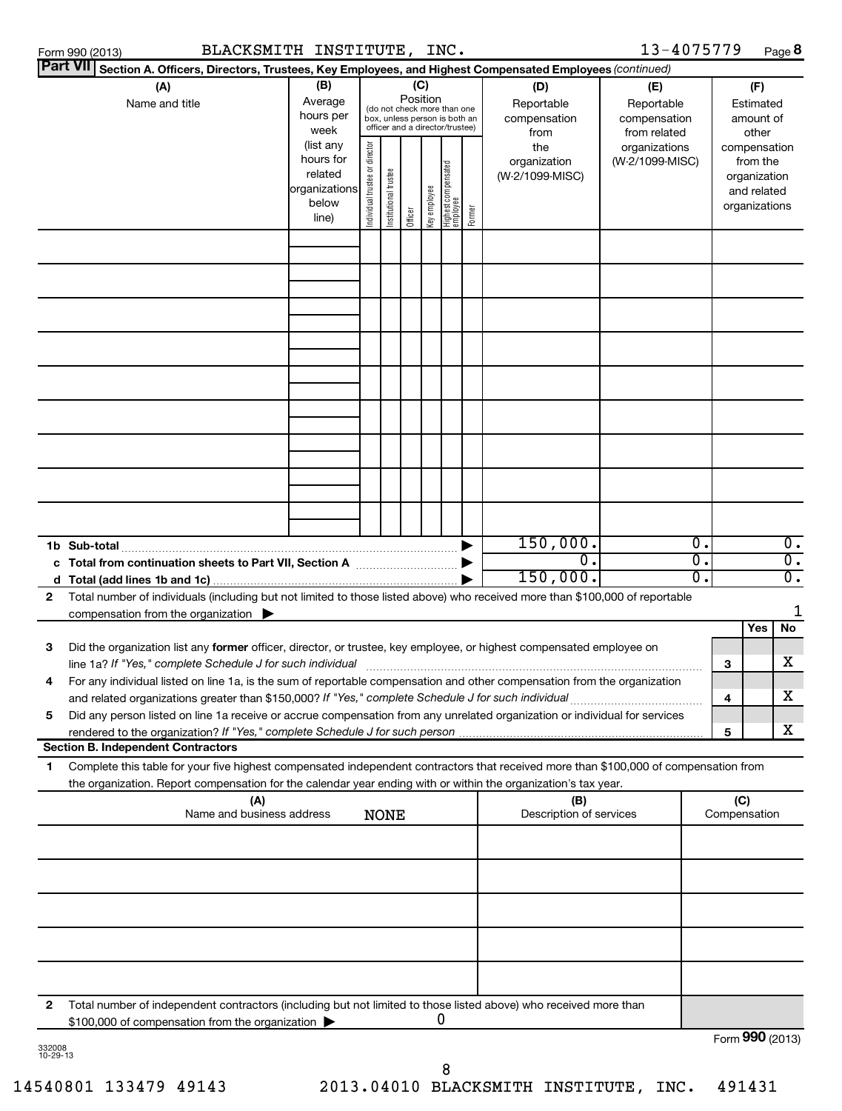|              | BLACKSMITH INSTITUTE, INC.<br>Form 990 (2013)                                                                                                                                                                                                                                             |  |  |  |     |  |                                                                                                             |  |                                           | 13-4075779                                        |                                                                          |                 |                                        | Page 8           |
|--------------|-------------------------------------------------------------------------------------------------------------------------------------------------------------------------------------------------------------------------------------------------------------------------------------------|--|--|--|-----|--|-------------------------------------------------------------------------------------------------------------|--|-------------------------------------------|---------------------------------------------------|--------------------------------------------------------------------------|-----------------|----------------------------------------|------------------|
|              | <b>Part VII</b><br>Section A. Officers, Directors, Trustees, Key Employees, and Highest Compensated Employees (continued)                                                                                                                                                                 |  |  |  | (C) |  |                                                                                                             |  |                                           |                                                   |                                                                          |                 |                                        |                  |
|              | (B)<br>(A)<br>Average<br>Name and title<br>hours per<br>week                                                                                                                                                                                                                              |  |  |  |     |  | Position<br>(do not check more than one<br>box, unless person is both an<br>officer and a director/trustee) |  | (D)<br>Reportable<br>compensation<br>from | (E)<br>Reportable<br>compensation<br>from related |                                                                          |                 | (F)<br>Estimated<br>amount of<br>other |                  |
|              | Individual trustee or director<br>(list any<br>the<br>organizations<br>hours for<br>organization<br>(W-2/1099-MISC)<br>  Highest compensated<br>  employee<br>related<br>Institutional trustee<br>(W-2/1099-MISC)<br>organizations<br>key employee<br>below<br>Former<br>Officer<br>line) |  |  |  |     |  |                                                                                                             |  |                                           |                                                   | compensation<br>from the<br>organization<br>and related<br>organizations |                 |                                        |                  |
|              |                                                                                                                                                                                                                                                                                           |  |  |  |     |  |                                                                                                             |  |                                           |                                                   |                                                                          |                 |                                        |                  |
|              |                                                                                                                                                                                                                                                                                           |  |  |  |     |  |                                                                                                             |  |                                           |                                                   |                                                                          |                 |                                        |                  |
|              |                                                                                                                                                                                                                                                                                           |  |  |  |     |  |                                                                                                             |  |                                           |                                                   |                                                                          |                 |                                        |                  |
|              |                                                                                                                                                                                                                                                                                           |  |  |  |     |  |                                                                                                             |  |                                           |                                                   |                                                                          |                 |                                        |                  |
|              |                                                                                                                                                                                                                                                                                           |  |  |  |     |  |                                                                                                             |  |                                           |                                                   |                                                                          |                 |                                        |                  |
|              |                                                                                                                                                                                                                                                                                           |  |  |  |     |  |                                                                                                             |  |                                           |                                                   |                                                                          |                 |                                        |                  |
|              |                                                                                                                                                                                                                                                                                           |  |  |  |     |  |                                                                                                             |  |                                           |                                                   |                                                                          |                 |                                        |                  |
|              |                                                                                                                                                                                                                                                                                           |  |  |  |     |  |                                                                                                             |  | 150,000.                                  |                                                   | $\overline{0}$ .                                                         |                 |                                        | $0$ .            |
| c            |                                                                                                                                                                                                                                                                                           |  |  |  |     |  |                                                                                                             |  | 0.                                        |                                                   | $\overline{0}$ .                                                         |                 |                                        | $\overline{0}$ . |
| $\mathbf{2}$ | Total number of individuals (including but not limited to those listed above) who received more than \$100,000 of reportable                                                                                                                                                              |  |  |  |     |  |                                                                                                             |  | 150,000.                                  |                                                   | $\overline{0}$ .                                                         |                 |                                        | σ.               |
|              | compensation from the organization $\blacktriangleright$                                                                                                                                                                                                                                  |  |  |  |     |  |                                                                                                             |  |                                           |                                                   |                                                                          |                 |                                        |                  |
| з            | Did the organization list any former officer, director, or trustee, key employee, or highest compensated employee on                                                                                                                                                                      |  |  |  |     |  |                                                                                                             |  |                                           |                                                   |                                                                          |                 | Yes                                    | No.              |
|              | line 1a? If "Yes," complete Schedule J for such individual                                                                                                                                                                                                                                |  |  |  |     |  |                                                                                                             |  |                                           |                                                   |                                                                          | 3               |                                        | x                |
| 4            | For any individual listed on line 1a, is the sum of reportable compensation and other compensation from the organization<br>and related organizations greater than \$150,000? If "Yes," complete Schedule J for such individual                                                           |  |  |  |     |  |                                                                                                             |  |                                           |                                                   |                                                                          | 4               |                                        | x                |
| 5            | Did any person listed on line 1a receive or accrue compensation from any unrelated organization or individual for services<br><b>Section B. Independent Contractors</b>                                                                                                                   |  |  |  |     |  |                                                                                                             |  |                                           |                                                   |                                                                          | 5               |                                        | x                |
| 1            | Complete this table for your five highest compensated independent contractors that received more than \$100,000 of compensation from                                                                                                                                                      |  |  |  |     |  |                                                                                                             |  |                                           |                                                   |                                                                          |                 |                                        |                  |
|              | the organization. Report compensation for the calendar year ending with or within the organization's tax year.<br>(A)                                                                                                                                                                     |  |  |  |     |  |                                                                                                             |  | (B)                                       |                                                   |                                                                          | (C)             |                                        |                  |
|              | Name and business address<br>Description of services<br><b>NONE</b>                                                                                                                                                                                                                       |  |  |  |     |  |                                                                                                             |  |                                           |                                                   | Compensation                                                             |                 |                                        |                  |
|              |                                                                                                                                                                                                                                                                                           |  |  |  |     |  |                                                                                                             |  |                                           |                                                   |                                                                          |                 |                                        |                  |
|              |                                                                                                                                                                                                                                                                                           |  |  |  |     |  |                                                                                                             |  |                                           |                                                   |                                                                          |                 |                                        |                  |
|              |                                                                                                                                                                                                                                                                                           |  |  |  |     |  |                                                                                                             |  |                                           |                                                   |                                                                          |                 |                                        |                  |
| 2            | Total number of independent contractors (including but not limited to those listed above) who received more than                                                                                                                                                                          |  |  |  |     |  |                                                                                                             |  |                                           |                                                   |                                                                          |                 |                                        |                  |
|              | \$100,000 of compensation from the organization                                                                                                                                                                                                                                           |  |  |  |     |  | 0                                                                                                           |  |                                           |                                                   |                                                                          |                 |                                        |                  |
|              |                                                                                                                                                                                                                                                                                           |  |  |  |     |  |                                                                                                             |  |                                           |                                                   |                                                                          | Form 990 (2013) |                                        |                  |

| 332008   |  |
|----------|--|
| 10-29-13 |  |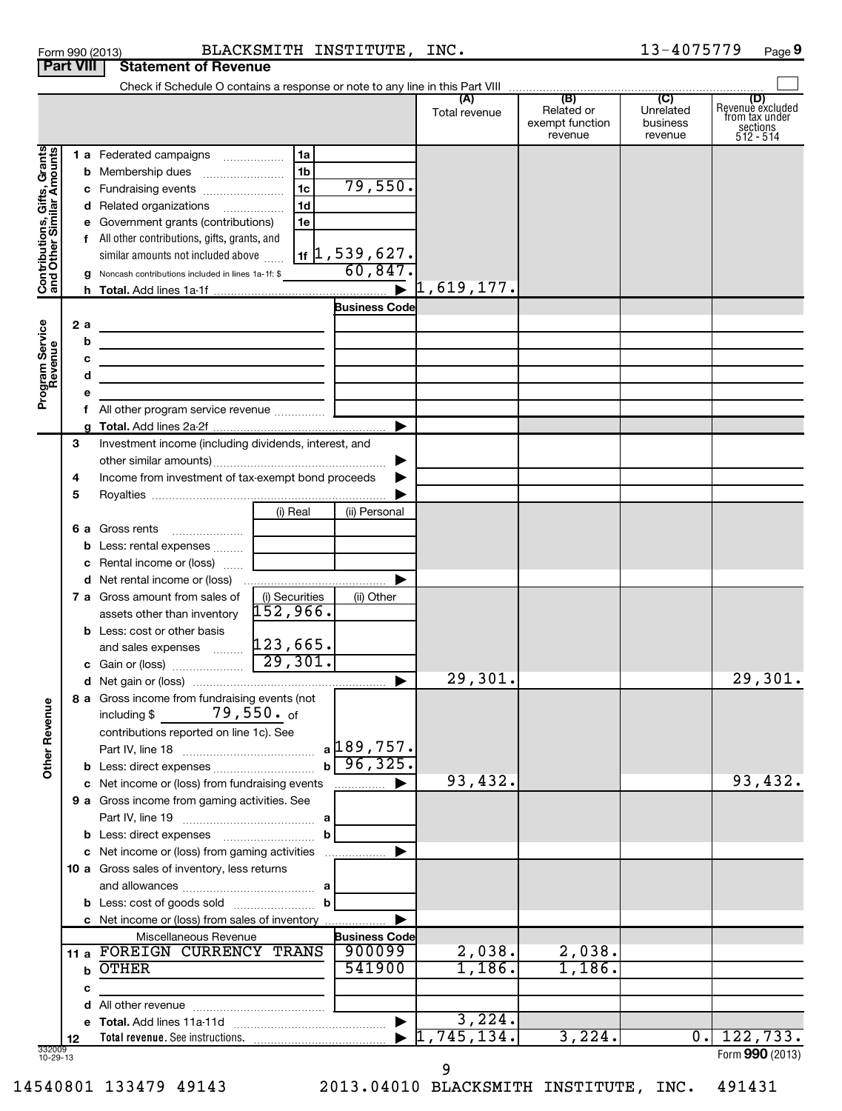|                                                           |                  |     | Form 990 (2013)                                                                                                        | BLACKSMITH INSTITUTE, INC.         |                       |                                  |                                                 | 13-4075779                                         | Page 9                                                               |
|-----------------------------------------------------------|------------------|-----|------------------------------------------------------------------------------------------------------------------------|------------------------------------|-----------------------|----------------------------------|-------------------------------------------------|----------------------------------------------------|----------------------------------------------------------------------|
|                                                           | <b>Part VIII</b> |     | <b>Statement of Revenue</b>                                                                                            |                                    |                       |                                  |                                                 |                                                    |                                                                      |
|                                                           |                  |     |                                                                                                                        |                                    |                       |                                  |                                                 |                                                    |                                                                      |
|                                                           |                  |     |                                                                                                                        |                                    |                       | (A)<br>Total revenue             | (B)<br>Related or<br>exempt function<br>revenue | $\overline{C}$<br>Unrelated<br>business<br>revenue | (D)<br>Revenue excluded<br>from tax under<br>sections<br>$512 - 514$ |
|                                                           |                  |     | 1 a Federated campaigns                                                                                                | 1a                                 |                       |                                  |                                                 |                                                    |                                                                      |
| Contributions, Gifts, Grants<br>and Other Similar Amounts |                  |     | <b>b</b> Membership dues                                                                                               | 1 <sub>b</sub>                     |                       |                                  |                                                 |                                                    |                                                                      |
|                                                           |                  |     |                                                                                                                        | $\overline{1c}$                    | 79,550.               |                                  |                                                 |                                                    |                                                                      |
|                                                           |                  |     | d Related organizations                                                                                                | 1 <sub>d</sub>                     |                       |                                  |                                                 |                                                    |                                                                      |
|                                                           |                  |     | e Government grants (contributions)                                                                                    | 1e                                 |                       |                                  |                                                 |                                                    |                                                                      |
|                                                           |                  |     | f All other contributions, gifts, grants, and                                                                          |                                    |                       |                                  |                                                 |                                                    |                                                                      |
|                                                           |                  |     | similar amounts not included above                                                                                     |                                    | $1$ (1,539,627.       |                                  |                                                 |                                                    |                                                                      |
|                                                           |                  |     | g Noncash contributions included in lines 1a-1f: \$                                                                    |                                    | 60,847.               |                                  |                                                 |                                                    |                                                                      |
|                                                           |                  |     |                                                                                                                        |                                    |                       | $\blacktriangleright$ 1,619,177. |                                                 |                                                    |                                                                      |
|                                                           |                  |     |                                                                                                                        |                                    | <b>Business Code</b>  |                                  |                                                 |                                                    |                                                                      |
|                                                           |                  | 2 a |                                                                                                                        |                                    |                       |                                  |                                                 |                                                    |                                                                      |
|                                                           |                  | b   | <u> 1989 - Johann Barn, mars eta biztanleria (h. 1989).</u>                                                            |                                    |                       |                                  |                                                 |                                                    |                                                                      |
|                                                           |                  | с   | <u> 1989 - Johann John Stein, markin fan it ferskearre fan it ferskearre fan it ferskearre fan it ferskearre fan</u>   |                                    |                       |                                  |                                                 |                                                    |                                                                      |
|                                                           |                  | d   | <u> 1989 - Johann Barn, mars ann an t-Amhain ann an t-Amhain an t-Amhain an t-Amhain an t-Amhain an t-Amhain an t-</u> |                                    |                       |                                  |                                                 |                                                    |                                                                      |
| Program Service<br>Revenue                                |                  |     |                                                                                                                        |                                    |                       |                                  |                                                 |                                                    |                                                                      |
|                                                           |                  |     | f All other program service revenue                                                                                    |                                    |                       |                                  |                                                 |                                                    |                                                                      |
|                                                           |                  |     |                                                                                                                        |                                    |                       |                                  |                                                 |                                                    |                                                                      |
|                                                           | 3                |     | Investment income (including dividends, interest, and                                                                  |                                    |                       |                                  |                                                 |                                                    |                                                                      |
|                                                           |                  |     |                                                                                                                        |                                    | ▶                     |                                  |                                                 |                                                    |                                                                      |
|                                                           | 4                |     | Income from investment of tax-exempt bond proceeds                                                                     |                                    | ▶                     |                                  |                                                 |                                                    |                                                                      |
|                                                           | 5                |     |                                                                                                                        |                                    |                       |                                  |                                                 |                                                    |                                                                      |
|                                                           |                  |     |                                                                                                                        | (i) Real                           | (ii) Personal         |                                  |                                                 |                                                    |                                                                      |
|                                                           |                  |     | <b>6 a</b> Gross rents<br>$\ldots \ldots \ldots \ldots \ldots$                                                         |                                    |                       |                                  |                                                 |                                                    |                                                                      |
|                                                           |                  |     | <b>b</b> Less: rental expenses                                                                                         |                                    |                       |                                  |                                                 |                                                    |                                                                      |
|                                                           |                  |     | c Rental income or (loss)                                                                                              |                                    |                       |                                  |                                                 |                                                    |                                                                      |
|                                                           |                  |     | d Net rental income or (loss)                                                                                          |                                    |                       |                                  |                                                 |                                                    |                                                                      |
|                                                           |                  |     | <b>7 a</b> Gross amount from sales of                                                                                  | (i) Securities<br>152,966 <b>.</b> | (ii) Other            |                                  |                                                 |                                                    |                                                                      |
|                                                           |                  |     | assets other than inventory                                                                                            |                                    |                       |                                  |                                                 |                                                    |                                                                      |
|                                                           |                  |     | <b>b</b> Less: cost or other basis                                                                                     |                                    |                       |                                  |                                                 |                                                    |                                                                      |
|                                                           |                  |     | and sales expenses $\frac{123,665}{}$                                                                                  | 29,301.                            |                       |                                  |                                                 |                                                    |                                                                      |
|                                                           |                  |     |                                                                                                                        |                                    |                       | 29,301.                          |                                                 |                                                    | 29,301.                                                              |
|                                                           |                  |     | 8 a Gross income from fundraising events (not                                                                          |                                    |                       |                                  |                                                 |                                                    |                                                                      |
| <b>Other Revenue</b>                                      |                  |     | including $$79,550.$ of                                                                                                |                                    |                       |                                  |                                                 |                                                    |                                                                      |
|                                                           |                  |     | contributions reported on line 1c). See                                                                                |                                    |                       |                                  |                                                 |                                                    |                                                                      |
|                                                           |                  |     |                                                                                                                        |                                    | $a$ 189, 757.         |                                  |                                                 |                                                    |                                                                      |
|                                                           |                  |     |                                                                                                                        |                                    | $b \sqrt{96, 325}$ .  |                                  |                                                 |                                                    |                                                                      |
|                                                           |                  |     | c Net income or (loss) from fundraising events                                                                         |                                    | .                     | 93,432.                          |                                                 |                                                    | 93,432.                                                              |
|                                                           |                  |     | 9 a Gross income from gaming activities. See                                                                           |                                    |                       |                                  |                                                 |                                                    |                                                                      |
|                                                           |                  |     |                                                                                                                        | а                                  |                       |                                  |                                                 |                                                    |                                                                      |
|                                                           |                  |     | c Net income or (loss) from gaming activities                                                                          | b                                  | ▶                     |                                  |                                                 |                                                    |                                                                      |
|                                                           |                  |     | <b>10 a</b> Gross sales of inventory, less returns                                                                     |                                    |                       |                                  |                                                 |                                                    |                                                                      |
|                                                           |                  |     |                                                                                                                        |                                    |                       |                                  |                                                 |                                                    |                                                                      |
|                                                           |                  |     |                                                                                                                        | $\mathbf b$                        |                       |                                  |                                                 |                                                    |                                                                      |
|                                                           |                  |     | c Net income or (loss) from sales of inventory                                                                         |                                    |                       |                                  |                                                 |                                                    |                                                                      |
|                                                           |                  |     | Miscellaneous Revenue                                                                                                  |                                    | <b>Business Code</b>  |                                  |                                                 |                                                    |                                                                      |
|                                                           | 11 a             |     | FOREIGN CURRENCY TRANS                                                                                                 |                                    | 900099                | 2,038.                           | 2,038.                                          |                                                    |                                                                      |
|                                                           |                  | b   | <b>OTHER</b>                                                                                                           |                                    | 541900                | 1,186.                           | 1,186.                                          |                                                    |                                                                      |
|                                                           |                  | c   |                                                                                                                        |                                    |                       |                                  |                                                 |                                                    |                                                                      |
|                                                           |                  | d   |                                                                                                                        |                                    |                       |                                  |                                                 |                                                    |                                                                      |
|                                                           |                  |     |                                                                                                                        |                                    | $\blacktriangleright$ | 3,224.                           |                                                 |                                                    |                                                                      |
|                                                           | 12               |     |                                                                                                                        |                                    |                       | 1,745,134.                       | 3,224.                                          | $\overline{0}$ .                                   | 122, 733.                                                            |
| 332009<br>10-29-13                                        |                  |     |                                                                                                                        |                                    |                       |                                  |                                                 |                                                    | Form 990 (2013)                                                      |

9

14540801 133479 49143 2013.04010 BLACKSMITH INSTITUTE, INC. 491431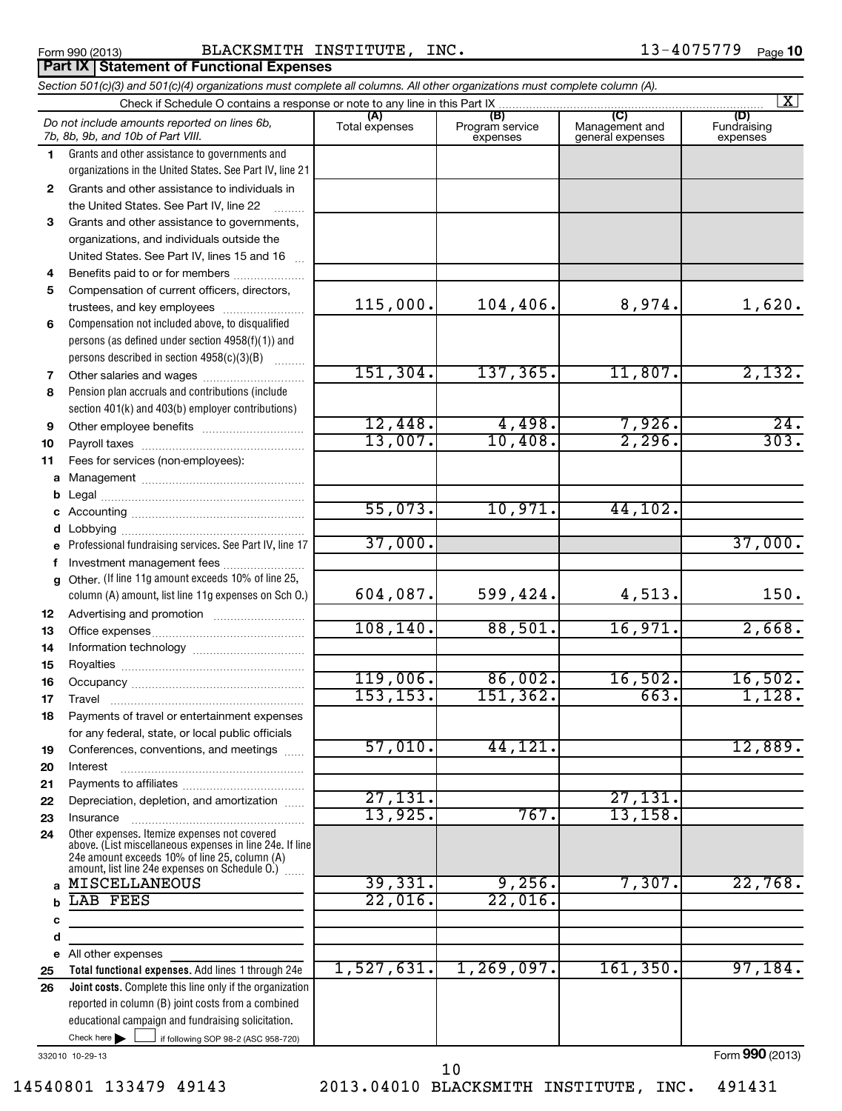**Part IX Statement of Functional Expenses**

### Form 990 (2013) Page BLACKSMITH INSTITUTE, INC. 13-4075779

#### If following SOP 98-2 (ASC 958-720) **Total functional expenses.**  Add lines 1 through 24e **Joint costs.** Complete this line only if the organization **(A) (B) (C) (D) 1 2 3 4 5 6 7 8 9 10 11 a** Management ~~~~~~~~~~~~~~~~ **b c d e f g 12 13 14 15 16 17 18 19 20 21 22 23 24 a b c d e 25 26** *Section 501(c)(3) and 501(c)(4) organizations must complete all columns. All other organizations must complete column (A).* Grants and other assistance to governments and organizations in the United States. See Part IV, line 21 Compensation not included above, to disqualified persons (as defined under section 4958(f)(1)) and persons described in section 4958(c)(3)(B)  $\quad \quad \ldots \ldots \ldots$ Pension plan accruals and contributions (include section 401(k) and 403(b) employer contributions) Professional fundraising services. See Part IV, line 17 Other. (If line 11g amount exceeds 10% of line 25, column (A) amount, list line 11g expenses on Sch O.) Other expenses. Itemize expenses not covered above. (List miscellaneous expenses in line 24e. If line 24e amount exceeds 10% of line 25, column (A) amount, list line 24e expenses on Schedule O.)  $\, \ldots \,$ reported in column (B) joint costs from a combined educational campaign and fundraising solicitation. Check if Schedule O contains a response or note to any line in this Part IX [11] CONCORDITY CONCORDITY CONCORDI<br>
CONCORDITY CONCORDITY CONCORDITY CONCORDITY CONCORDITY CONCORDITY CONCORDITY CONCORDITY CONCORDITY CONCORDITY (A) (B)<br>Total expenses Program service expenses Management and general expenses Fundraising expenses Grants and other assistance to individuals in the United States. See Part IV, line 22 Grants and other assistance to governments, organizations, and individuals outside the United States. See Part IV, lines 15 and 16 ~ Benefits paid to or for members .................... Compensation of current officers, directors, trustees, and key employees ......................... Other salaries and wages ~~~~~~~~~~ Other employee benefits ~~~~~~~~~~ Payroll taxes ~~~~~~~~~~~~~~~~ Fees for services (non-employees): Legal ~~~~~~~~~~~~~~~~~~~~ Accounting ~~~~~~~~~~~~~~~~~ Lobbying ~~~~~~~~~~~~~~~~~~ Investment management fees ........................ Advertising and promotion .......................... Office expenses ~~~~~~~~~~~~~~~ Information technology ~~~~~~~~~~~ Royalties ~~~~~~~~~~~~~~~~~~ Occupancy ~~~~~~~~~~~~~~~~~ Travel ………………………………………………… Payments of travel or entertainment expenses for any federal, state, or local public officials Conferences, conventions, and meetings ...... Interest Payments to affiliates ~~~~~~~~~~~~ ~~~~~~~~~~~~~~~~~~ Depreciation, depletion, and amortization ...... Insurance ~~~~~~~~~~~~~~~~~ All other expenses Check here  $\blacktriangleright$ *Do not include amounts reported on lines 6b, 7b, 8b, 9b, and 10b of Part VIII.*  $\lfloor x \rfloor$  $\Box$ 115,000. 104,406. 8,974. 1,620. 151,304. 137,365. 11,807. 2,132.  $12,448.$  4,498. 7,926. 24.  $13,007.$  10,408. 2,296. 303. 55,073. 10,971. 44,102. 37,000. 37,000. 604,087. 599,424. 4,513. 150. 108,140. 88,501. 16,971. 2,668. 119,006. 86,002. 16,502. 16,502. 153,153. 151,362. 663. 1,128. 57,010. 44,121. 12,889. 27,131. 27,131. 13,925. 767. 13,158. MISCELLANEOUS 39,331. 9,256. 7,307. 22,768. LAB FEES 22,016. 22,016. 1,527,631. 1,269,097. 161,350. 97,184.

332010 10-29-13

Form **990** (2013)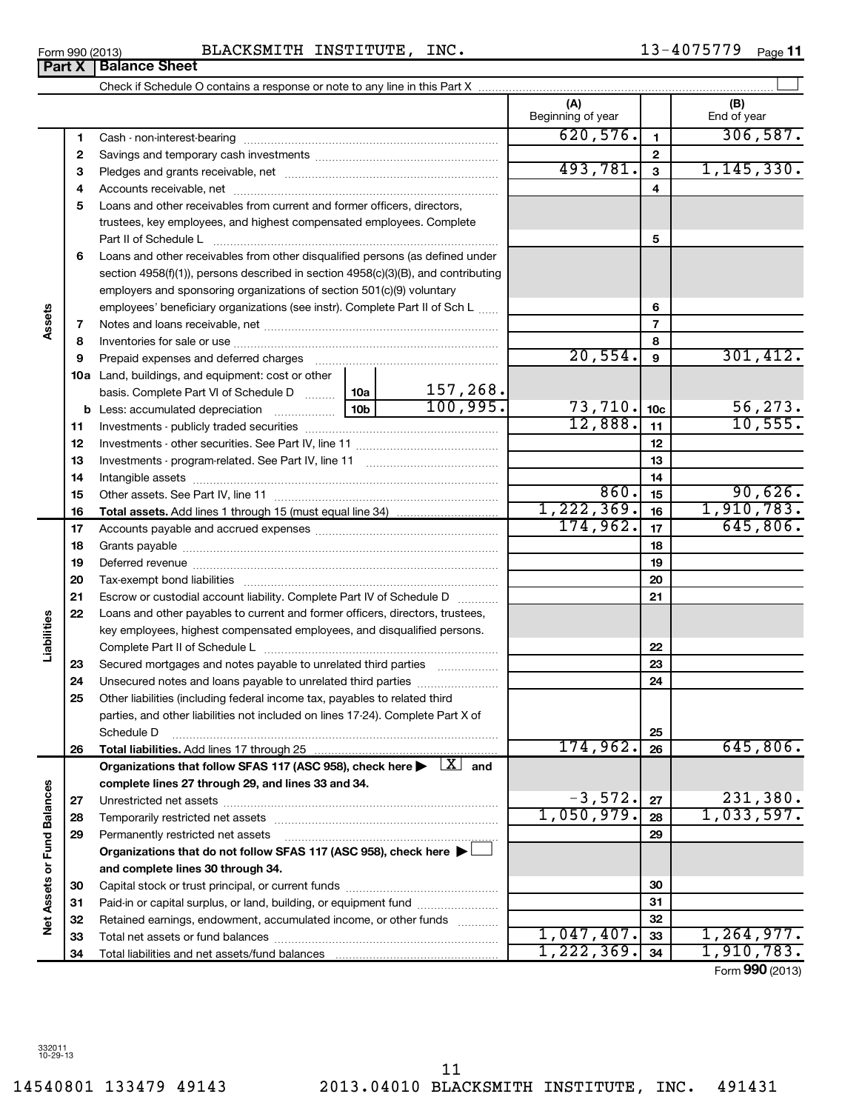14540801 133479 49143 2013.04010 BLACKSMITH INSTITUTE, INC. 491431 11

#### Form 990 (2013) Page BLACKSMITH INSTITUTE, INC. 13-4075779 **Part X Balance Sheet**

|                             |          |                                                                                                                |            |                                         | (A)<br>Beginning of year |                 | (B)<br>End of year |
|-----------------------------|----------|----------------------------------------------------------------------------------------------------------------|------------|-----------------------------------------|--------------------------|-----------------|--------------------|
|                             | 1        |                                                                                                                |            |                                         | 620,576.                 | $\mathbf{1}$    | 306, 587.          |
|                             | 2        |                                                                                                                |            | $\mathbf{2}$                            |                          |                 |                    |
|                             | з        |                                                                                                                | 493,781.   | $\mathbf{3}$                            | 1, 145, 330.             |                 |                    |
|                             | 4        |                                                                                                                |            |                                         | 4                        |                 |                    |
|                             | 5        | Loans and other receivables from current and former officers, directors,                                       |            |                                         |                          |                 |                    |
|                             |          | trustees, key employees, and highest compensated employees. Complete                                           |            |                                         |                          |                 |                    |
|                             |          | Part II of Schedule Laterman and Contract in the Schedule Laterman and Contract in the Schedule Laterman and S |            | 5                                       |                          |                 |                    |
|                             | 6        | Loans and other receivables from other disqualified persons (as defined under                                  |            |                                         |                          |                 |                    |
|                             |          | section 4958(f)(1)), persons described in section 4958(c)(3)(B), and contributing                              |            |                                         |                          |                 |                    |
|                             |          | employers and sponsoring organizations of section 501(c)(9) voluntary                                          |            |                                         |                          |                 |                    |
|                             |          | employees' beneficiary organizations (see instr). Complete Part II of Sch L                                    |            |                                         |                          | 6               |                    |
| Assets                      | 7        |                                                                                                                |            |                                         |                          | $\overline{7}$  |                    |
|                             | 8        |                                                                                                                |            |                                         |                          | 8               |                    |
|                             | 9        | Prepaid expenses and deferred charges                                                                          |            |                                         | 20,554.                  | 9               | 301, 412.          |
|                             |          | 10a Land, buildings, and equipment: cost or other                                                              |            |                                         |                          |                 |                    |
|                             |          | basis. Complete Part VI of Schedule D  10a                                                                     |            | 157,268.                                |                          |                 |                    |
|                             |          | <b>b</b> Less: accumulated depreciation                                                                        |            | 100,995.                                | 73, 710.                 | 10 <sub>c</sub> | 56, 273.           |
|                             | 11       |                                                                                                                |            |                                         | 12,888.                  | 11              | 10,555.            |
|                             | 12       |                                                                                                                |            |                                         |                          | 12              |                    |
|                             | 13       |                                                                                                                |            |                                         |                          | 13              |                    |
|                             | 14       |                                                                                                                |            | 14                                      |                          |                 |                    |
|                             | 15       |                                                                                                                |            |                                         | 860.                     | 15              | 90,626.            |
|                             | 16       |                                                                                                                | 1,222,369. | 16                                      | 1,910,783.               |                 |                    |
|                             | 17       |                                                                                                                |            |                                         | 174,962.                 | 17              | 645,806.           |
|                             | 18       |                                                                                                                |            |                                         |                          | 18              |                    |
|                             | 19       |                                                                                                                |            |                                         |                          | 19              |                    |
|                             | 20       |                                                                                                                |            |                                         |                          | 20              |                    |
|                             | 21       | Escrow or custodial account liability. Complete Part IV of Schedule D                                          |            | $\mathcal{L} = \{1, 2, 3, 4, 5, 6, 8\}$ |                          | 21              |                    |
| Liabilities                 | 22       | Loans and other payables to current and former officers, directors, trustees,                                  |            |                                         |                          |                 |                    |
|                             |          | key employees, highest compensated employees, and disqualified persons.                                        |            |                                         |                          |                 |                    |
|                             |          | Secured mortgages and notes payable to unrelated third parties                                                 |            |                                         |                          | 22<br>23        |                    |
|                             | 23<br>24 |                                                                                                                |            |                                         |                          | 24              |                    |
|                             | 25       | Other liabilities (including federal income tax, payables to related third                                     |            |                                         |                          |                 |                    |
|                             |          | parties, and other liabilities not included on lines 17-24). Complete Part X of                                |            |                                         |                          |                 |                    |
|                             |          | Schedule D                                                                                                     |            |                                         |                          | 25              |                    |
|                             | 26       |                                                                                                                |            |                                         | 174,962.                 | 26              | 645,806.           |
|                             |          | Organizations that follow SFAS 117 (ASC 958), check here $\blacktriangleright$ $\lfloor x \rfloor$ and         |            |                                         |                          |                 |                    |
|                             |          | complete lines 27 through 29, and lines 33 and 34.                                                             |            |                                         |                          |                 |                    |
|                             | 27       |                                                                                                                |            |                                         | $-3,572.$                | 27              | 231,380.           |
|                             | 28       | Temporarily restricted net assets                                                                              | 1,050,979. | 28                                      | 1,033,597.               |                 |                    |
|                             | 29       | Permanently restricted net assets                                                                              |            |                                         |                          | 29              |                    |
|                             |          | Organizations that do not follow SFAS 117 (ASC 958), check here $\blacktriangleright$                          |            |                                         |                          |                 |                    |
| Net Assets or Fund Balances |          | and complete lines 30 through 34.                                                                              |            |                                         |                          |                 |                    |
|                             | 30       |                                                                                                                |            |                                         |                          | 30              |                    |
|                             | 31       | Paid-in or capital surplus, or land, building, or equipment fund                                               |            |                                         |                          | 31              |                    |
|                             | 32       | Retained earnings, endowment, accumulated income, or other funds                                               |            |                                         |                          | 32              |                    |
|                             | 33       |                                                                                                                |            |                                         | 1,047,407.               | 33              | 1,264,977.         |
|                             | 34       |                                                                                                                | 1,222,369. | 34                                      | 1,910,783.               |                 |                    |

Form (2013) **990**

|  | orm 990 (2013) |  |
|--|----------------|--|
|  |                |  |
|  |                |  |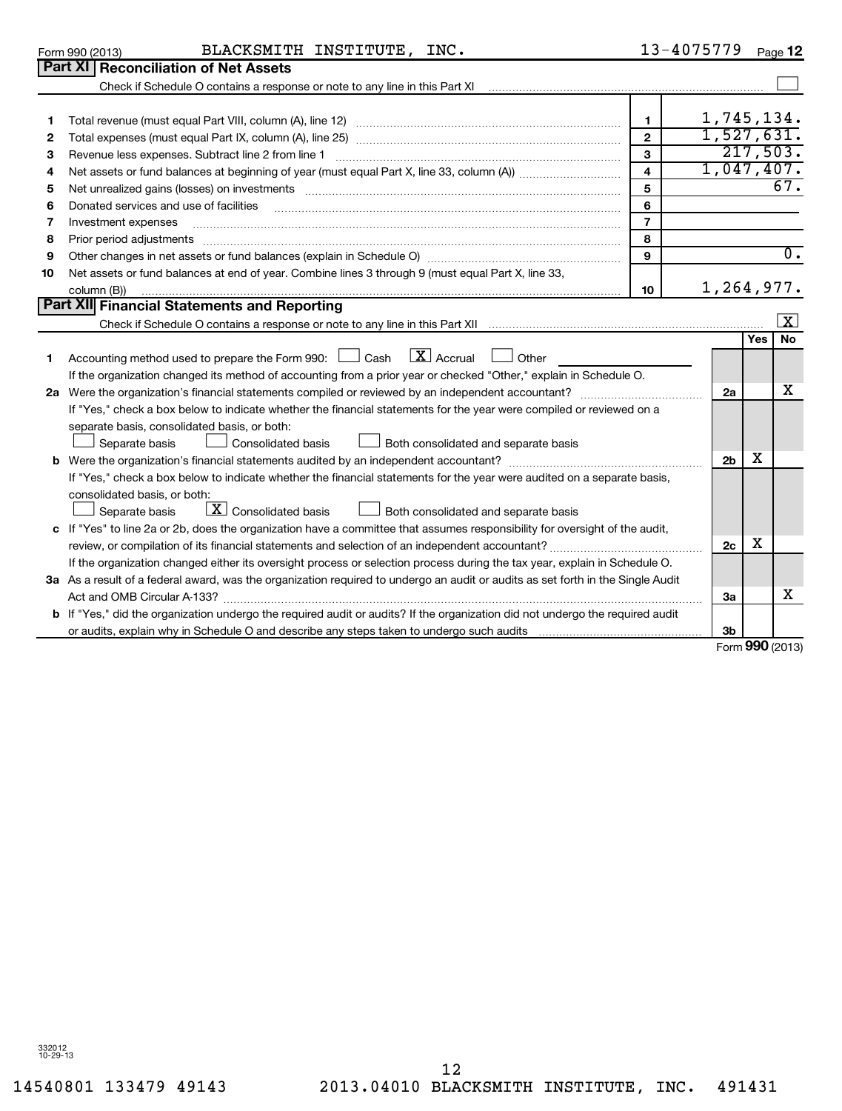332012 10-29-13

# 12

|                 | $D$ ort VI $D$ ceanailistian of Net Accete |            |           |      |  |
|-----------------|--------------------------------------------|------------|-----------|------|--|
| Form 990 (2013) |                                            | BLACKSMITH | INSTITUTE | INC. |  |

| $13 - 4075779$ Page 12 |  |
|------------------------|--|
|                        |  |

|    | Part XI   Reconciliation of Net Assets                                                                                          |                |  |                |            |                  |  |
|----|---------------------------------------------------------------------------------------------------------------------------------|----------------|--|----------------|------------|------------------|--|
|    |                                                                                                                                 |                |  |                |            |                  |  |
|    |                                                                                                                                 |                |  |                |            |                  |  |
| 1. |                                                                                                                                 | $\mathbf{1}$   |  | 1,745,134.     |            |                  |  |
| 2  |                                                                                                                                 | $\overline{2}$ |  | 1,527,631.     |            |                  |  |
| з  | Revenue less expenses. Subtract line 2 from line 1                                                                              | $\mathbf{3}$   |  | 217,503.       |            |                  |  |
| 4  |                                                                                                                                 | $\overline{4}$ |  | 1,047,407.     |            |                  |  |
| 5  |                                                                                                                                 | 5              |  |                |            | 67.              |  |
| 6  | Donated services and use of facilities                                                                                          | 6              |  |                |            |                  |  |
| 7  | Investment expenses                                                                                                             | $\overline{7}$ |  |                |            |                  |  |
| 8  | Prior period adjustments                                                                                                        | 8              |  |                |            |                  |  |
| 9  |                                                                                                                                 | $\mathbf{9}$   |  |                |            | $\overline{0}$ . |  |
| 10 | Net assets or fund balances at end of year. Combine lines 3 through 9 (must equal Part X, line 33,                              |                |  |                |            |                  |  |
|    | column (B))                                                                                                                     | 10             |  | 1,264,977.     |            |                  |  |
|    | Part XII Financial Statements and Reporting                                                                                     |                |  |                |            |                  |  |
|    |                                                                                                                                 |                |  |                |            | x                |  |
|    |                                                                                                                                 |                |  |                | <b>Yes</b> | <b>No</b>        |  |
| 1  | $\lfloor x \rfloor$ Accrual<br>Accounting method used to prepare the Form 990: $\Box$ Cash<br>Other                             |                |  |                |            |                  |  |
|    | If the organization changed its method of accounting from a prior year or checked "Other," explain in Schedule O.               |                |  |                |            | х                |  |
|    | 2a                                                                                                                              |                |  |                |            |                  |  |
|    | If "Yes," check a box below to indicate whether the financial statements for the year were compiled or reviewed on a            |                |  |                |            |                  |  |
|    | separate basis, consolidated basis, or both:                                                                                    |                |  |                |            |                  |  |
|    | Separate basis<br>Consolidated basis<br>Both consolidated and separate basis                                                    |                |  |                |            |                  |  |
|    |                                                                                                                                 |                |  | 2 <sub>b</sub> | x          |                  |  |
|    | If "Yes," check a box below to indicate whether the financial statements for the year were audited on a separate basis,         |                |  |                |            |                  |  |
|    | consolidated basis, or both:                                                                                                    |                |  |                |            |                  |  |
|    | $\boxed{\mathbf{X}}$ Consolidated basis<br>Both consolidated and separate basis<br>Separate basis                               |                |  |                |            |                  |  |
|    | c If "Yes" to line 2a or 2b, does the organization have a committee that assumes responsibility for oversight of the audit,     |                |  |                |            |                  |  |
|    |                                                                                                                                 |                |  |                |            |                  |  |
|    | If the organization changed either its oversight process or selection process during the tax year, explain in Schedule O.       |                |  |                |            |                  |  |
|    | 3a As a result of a federal award, was the organization required to undergo an audit or audits as set forth in the Single Audit |                |  |                |            |                  |  |
|    | Act and OMB Circular A-133?                                                                                                     |                |  | За             |            | x                |  |
|    | If "Yes," did the organization undergo the required audit or audits? If the organization did not undergo the required audit     |                |  |                |            |                  |  |
|    |                                                                                                                                 |                |  | 3 <sub>b</sub> |            |                  |  |

Form **990** (2013)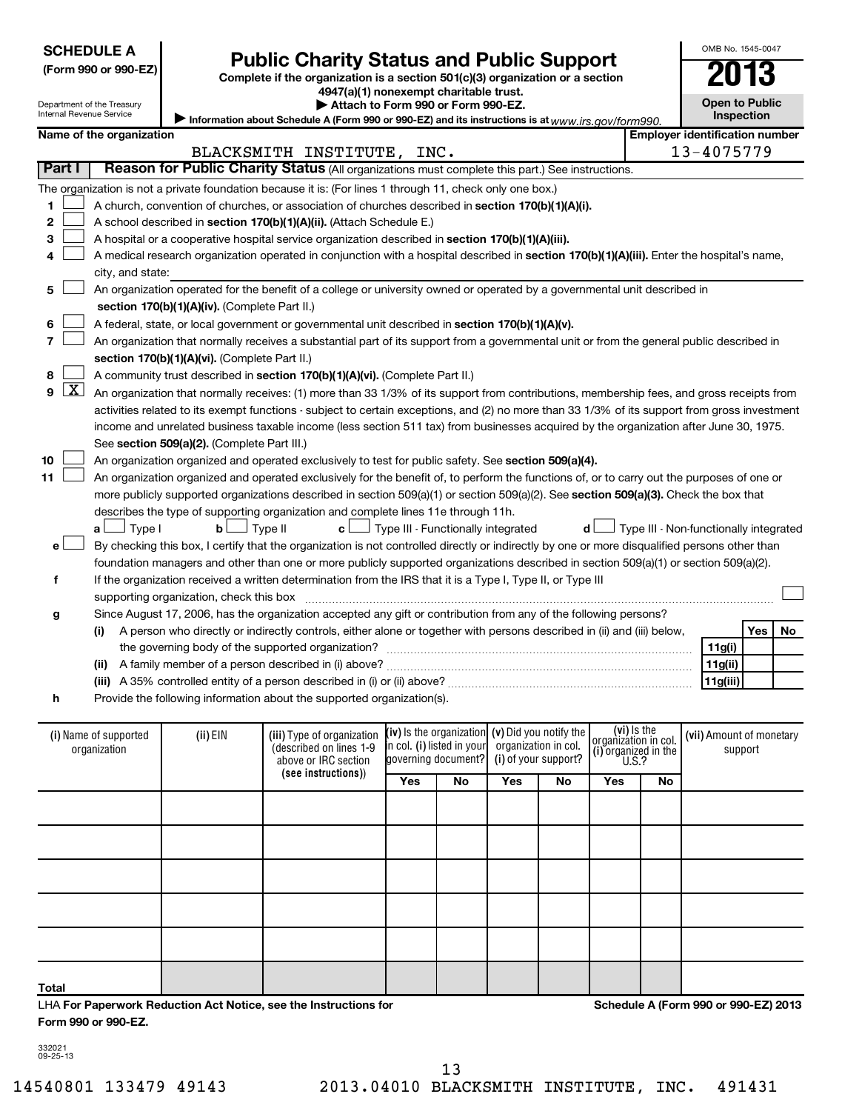| <b>SCHEDULE A</b> |
|-------------------|
|-------------------|

## **Public Charity Status and Public Support**<br> **Addition is a section 501(c)(3) organization or a section**<br>  $4947(a)(1)$  nonexempt charitable trust.

**(Form 990 or 990-EZ) Complete if the organization is a section 501(c)(3) organization or a section**

OMB No. 1545-0047

| Internal Revenue Service | Department of the Treasury                                                                                                                 |                                               | 4947 (d)( 1) HONEXEMPL CharlidDie trust.<br>Attach to Form 990 or Form 990-EZ.                                                                |                                           |                                    |     |                        |                                              |    |          | <b>Open to Public</b>                  |    |
|--------------------------|--------------------------------------------------------------------------------------------------------------------------------------------|-----------------------------------------------|-----------------------------------------------------------------------------------------------------------------------------------------------|-------------------------------------------|------------------------------------|-----|------------------------|----------------------------------------------|----|----------|----------------------------------------|----|
|                          |                                                                                                                                            |                                               | Information about Schedule A (Form 990 or 990-EZ) and its instructions is at $_{WWW,irs. doV}$ form 990.                                      |                                           |                                    |     |                        |                                              |    |          | Inspection                             |    |
|                          | Name of the organization                                                                                                                   |                                               |                                                                                                                                               |                                           |                                    |     |                        |                                              |    |          | <b>Employer identification number</b>  |    |
| Part I                   |                                                                                                                                            |                                               | BLACKSMITH INSTITUTE, INC.                                                                                                                    |                                           |                                    |     |                        |                                              |    |          | 13-4075779                             |    |
|                          |                                                                                                                                            |                                               | Reason for Public Charity Status (All organizations must complete this part.) See instructions.                                               |                                           |                                    |     |                        |                                              |    |          |                                        |    |
|                          |                                                                                                                                            |                                               | The organization is not a private foundation because it is: (For lines 1 through 11, check only one box.)                                     |                                           |                                    |     |                        |                                              |    |          |                                        |    |
| 1                        | A church, convention of churches, or association of churches described in section 170(b)(1)(A)(i).                                         |                                               |                                                                                                                                               |                                           |                                    |     |                        |                                              |    |          |                                        |    |
| $\mathbf{2}$             |                                                                                                                                            |                                               | A school described in section 170(b)(1)(A)(ii). (Attach Schedule E.)                                                                          |                                           |                                    |     |                        |                                              |    |          |                                        |    |
| З                        |                                                                                                                                            |                                               | A hospital or a cooperative hospital service organization described in section 170(b)(1)(A)(iii).                                             |                                           |                                    |     |                        |                                              |    |          |                                        |    |
| 4                        | A medical research organization operated in conjunction with a hospital described in section 170(b)(1)(A)(iii). Enter the hospital's name, |                                               |                                                                                                                                               |                                           |                                    |     |                        |                                              |    |          |                                        |    |
|                          | city, and state:                                                                                                                           |                                               |                                                                                                                                               |                                           |                                    |     |                        |                                              |    |          |                                        |    |
| 5                        |                                                                                                                                            |                                               | An organization operated for the benefit of a college or university owned or operated by a governmental unit described in                     |                                           |                                    |     |                        |                                              |    |          |                                        |    |
|                          |                                                                                                                                            | section 170(b)(1)(A)(iv). (Complete Part II.) |                                                                                                                                               |                                           |                                    |     |                        |                                              |    |          |                                        |    |
| 6                        |                                                                                                                                            |                                               | A federal, state, or local government or governmental unit described in section 170(b)(1)(A)(v).                                              |                                           |                                    |     |                        |                                              |    |          |                                        |    |
| 7                        |                                                                                                                                            |                                               | An organization that normally receives a substantial part of its support from a governmental unit or from the general public described in     |                                           |                                    |     |                        |                                              |    |          |                                        |    |
|                          |                                                                                                                                            | section 170(b)(1)(A)(vi). (Complete Part II.) |                                                                                                                                               |                                           |                                    |     |                        |                                              |    |          |                                        |    |
| 8                        |                                                                                                                                            |                                               | A community trust described in section 170(b)(1)(A)(vi). (Complete Part II.)                                                                  |                                           |                                    |     |                        |                                              |    |          |                                        |    |
| $\lfloor x \rfloor$<br>9 |                                                                                                                                            |                                               | An organization that normally receives: (1) more than 33 1/3% of its support from contributions, membership fees, and gross receipts from     |                                           |                                    |     |                        |                                              |    |          |                                        |    |
|                          |                                                                                                                                            |                                               | activities related to its exempt functions - subject to certain exceptions, and (2) no more than 33 1/3% of its support from gross investment |                                           |                                    |     |                        |                                              |    |          |                                        |    |
|                          |                                                                                                                                            |                                               | income and unrelated business taxable income (less section 511 tax) from businesses acquired by the organization after June 30, 1975.         |                                           |                                    |     |                        |                                              |    |          |                                        |    |
|                          |                                                                                                                                            | See section 509(a)(2). (Complete Part III.)   |                                                                                                                                               |                                           |                                    |     |                        |                                              |    |          |                                        |    |
| 10                       |                                                                                                                                            |                                               | An organization organized and operated exclusively to test for public safety. See section 509(a)(4).                                          |                                           |                                    |     |                        |                                              |    |          |                                        |    |
| 11                       |                                                                                                                                            |                                               | An organization organized and operated exclusively for the benefit of, to perform the functions of, or to carry out the purposes of one or    |                                           |                                    |     |                        |                                              |    |          |                                        |    |
|                          |                                                                                                                                            |                                               | more publicly supported organizations described in section 509(a)(1) or section 509(a)(2). See section 509(a)(3). Check the box that          |                                           |                                    |     |                        |                                              |    |          |                                        |    |
|                          |                                                                                                                                            |                                               | describes the type of supporting organization and complete lines 11e through 11h.                                                             |                                           |                                    |     |                        |                                              |    |          |                                        |    |
|                          | $\Box$ Type I<br>a L                                                                                                                       | $b$ Type II                                   | c L                                                                                                                                           | $\Box$ Type III - Functionally integrated |                                    |     |                        | d l                                          |    |          | Type III - Non-functionally integrated |    |
| е                        |                                                                                                                                            |                                               | By checking this box, I certify that the organization is not controlled directly or indirectly by one or more disqualified persons other than |                                           |                                    |     |                        |                                              |    |          |                                        |    |
|                          |                                                                                                                                            |                                               | foundation managers and other than one or more publicly supported organizations described in section 509(a)(1) or section 509(a)(2).          |                                           |                                    |     |                        |                                              |    |          |                                        |    |
| f                        |                                                                                                                                            |                                               | If the organization received a written determination from the IRS that it is a Type I, Type II, or Type III                                   |                                           |                                    |     |                        |                                              |    |          |                                        |    |
|                          |                                                                                                                                            |                                               |                                                                                                                                               |                                           |                                    |     |                        |                                              |    |          |                                        |    |
| g                        |                                                                                                                                            |                                               | Since August 17, 2006, has the organization accepted any gift or contribution from any of the following persons?                              |                                           |                                    |     |                        |                                              |    |          |                                        |    |
|                          | (i)                                                                                                                                        |                                               | A person who directly or indirectly controls, either alone or together with persons described in (ii) and (iii) below,                        |                                           |                                    |     |                        |                                              |    |          | Yes                                    | No |
|                          |                                                                                                                                            |                                               |                                                                                                                                               |                                           |                                    |     |                        |                                              |    |          | 11g(i)                                 |    |
|                          |                                                                                                                                            |                                               |                                                                                                                                               |                                           |                                    |     |                        |                                              |    |          | 11g(ii)                                |    |
|                          |                                                                                                                                            |                                               |                                                                                                                                               |                                           |                                    |     |                        |                                              |    | 11g(iii) |                                        |    |
| h                        |                                                                                                                                            |                                               | Provide the following information about the supported organization(s).                                                                        |                                           |                                    |     |                        |                                              |    |          |                                        |    |
|                          |                                                                                                                                            |                                               |                                                                                                                                               |                                           | $(iv)$ is the organization         |     | (v) Did you notify the | (vi) Is the                                  |    |          |                                        |    |
|                          | (i) Name of supported<br>organization                                                                                                      | (ii) EIN                                      | (iii) Type of organization<br>(described on lines 1-9                                                                                         |                                           | <b>i</b> n col. (i) listed in your |     | organization in col.   | organizátion in col.<br>(i) organized in the |    |          | (vii) Amount of monetary<br>support    |    |
|                          |                                                                                                                                            |                                               | above or IRC section                                                                                                                          |                                           | governing document?                |     | (i) of your support?   | U.S.?                                        |    |          |                                        |    |
|                          |                                                                                                                                            |                                               | (see instructions))                                                                                                                           | Yes                                       | No                                 | Yes | No                     | Yes                                          | No |          |                                        |    |
|                          |                                                                                                                                            |                                               |                                                                                                                                               |                                           |                                    |     |                        |                                              |    |          |                                        |    |
|                          |                                                                                                                                            |                                               |                                                                                                                                               |                                           |                                    |     |                        |                                              |    |          |                                        |    |
|                          |                                                                                                                                            |                                               |                                                                                                                                               |                                           |                                    |     |                        |                                              |    |          |                                        |    |

| (i) Name of supported<br>organization                            | $(ii)$ EIN | (iii) Type of organization<br>(described on lines 1-9<br>above or IRC section | $(iv)$ is the organization $(v)$ Did you notify the<br>organization in col.<br>in col. (i) listed in your<br>governing document?<br>(i) of your support?<br>Yes<br>No<br>Yes<br>No |  | (vi) Is the<br>organization in col.<br>(i) organized in the<br>$\begin{bmatrix} 0.8 \\ 0.1 \end{bmatrix}$ |           | (vii) Amount of monetary<br>support |  |                                      |
|------------------------------------------------------------------|------------|-------------------------------------------------------------------------------|------------------------------------------------------------------------------------------------------------------------------------------------------------------------------------|--|-----------------------------------------------------------------------------------------------------------|-----------|-------------------------------------|--|--------------------------------------|
|                                                                  |            | (see instructions))                                                           |                                                                                                                                                                                    |  |                                                                                                           | Yes<br>No |                                     |  |                                      |
|                                                                  |            |                                                                               |                                                                                                                                                                                    |  |                                                                                                           |           |                                     |  |                                      |
|                                                                  |            |                                                                               |                                                                                                                                                                                    |  |                                                                                                           |           |                                     |  |                                      |
|                                                                  |            |                                                                               |                                                                                                                                                                                    |  |                                                                                                           |           |                                     |  |                                      |
|                                                                  |            |                                                                               |                                                                                                                                                                                    |  |                                                                                                           |           |                                     |  |                                      |
|                                                                  |            |                                                                               |                                                                                                                                                                                    |  |                                                                                                           |           |                                     |  |                                      |
| Total                                                            |            |                                                                               |                                                                                                                                                                                    |  |                                                                                                           |           |                                     |  |                                      |
| LHA For Paperwork Reduction Act Notice, see the Instructions for |            |                                                                               |                                                                                                                                                                                    |  |                                                                                                           |           |                                     |  | Schedule A (Form 990 or 990-EZ) 2013 |

**For Paperwork Reduction Act Notice, see the Instructions for Form 990 or 990-EZ.** LHA

**Schedule A (Form 990 or 990-EZ) 2013**

332021 09-25-13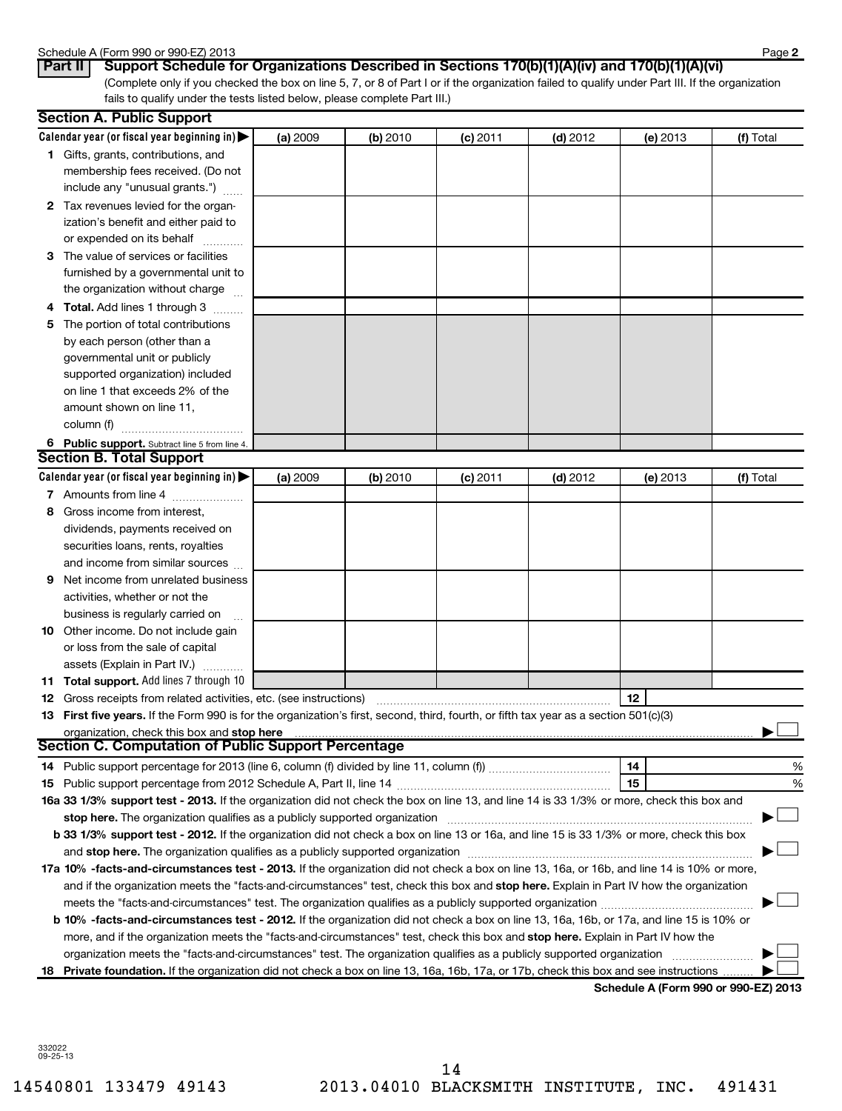#### Schedule A (Form 990 or 990-EZ) 2013

| <u>sureaure, it office</u> |          |  |
|----------------------------|----------|--|
| Part II                    | $P_{11}$ |  |

(Complete only if you checked the box on line 5, 7, or 8 of Part I or if the organization failed to qualify under Part III. If the organization fails to qualify under the tests listed below, please complete Part III.) **Part II Support Schedule for Organizations Described in Sections 170(b)(1)(A)(iv) and 170(b)(1)(A)(vi)**

| Calendar year (or fiscal year beginning in) $\blacktriangleright$<br>(a) 2009<br>(b) 2010<br>$(d)$ 2012<br>(c) 2011<br>(e) 2013<br><b>1</b> Gifts, grants, contributions, and<br>membership fees received. (Do not<br>include any "unusual grants.")<br>2 Tax revenues levied for the organ-<br>ization's benefit and either paid to<br>or expended on its behalf<br>3 The value of services or facilities<br>furnished by a governmental unit to<br>the organization without charge<br>4 Total. Add lines 1 through 3<br>5 The portion of total contributions<br>by each person (other than a<br>governmental unit or publicly<br>supported organization) included<br>on line 1 that exceeds 2% of the<br>amount shown on line 11,<br>column (f)<br>6 Public support. Subtract line 5 from line 4.<br>Calendar year (or fiscal year beginning in)<br>(a) 2009<br>(b) 2010<br>$(d)$ 2012<br>$(c)$ 2011<br>(e) 2013<br>7 Amounts from line 4<br>Gross income from interest,<br>8<br>dividends, payments received on |           |
|--------------------------------------------------------------------------------------------------------------------------------------------------------------------------------------------------------------------------------------------------------------------------------------------------------------------------------------------------------------------------------------------------------------------------------------------------------------------------------------------------------------------------------------------------------------------------------------------------------------------------------------------------------------------------------------------------------------------------------------------------------------------------------------------------------------------------------------------------------------------------------------------------------------------------------------------------------------------------------------------------------------------|-----------|
|                                                                                                                                                                                                                                                                                                                                                                                                                                                                                                                                                                                                                                                                                                                                                                                                                                                                                                                                                                                                                    | (f) Total |
| <b>Section B. Total Support</b>                                                                                                                                                                                                                                                                                                                                                                                                                                                                                                                                                                                                                                                                                                                                                                                                                                                                                                                                                                                    |           |
|                                                                                                                                                                                                                                                                                                                                                                                                                                                                                                                                                                                                                                                                                                                                                                                                                                                                                                                                                                                                                    |           |
|                                                                                                                                                                                                                                                                                                                                                                                                                                                                                                                                                                                                                                                                                                                                                                                                                                                                                                                                                                                                                    |           |
|                                                                                                                                                                                                                                                                                                                                                                                                                                                                                                                                                                                                                                                                                                                                                                                                                                                                                                                                                                                                                    |           |
|                                                                                                                                                                                                                                                                                                                                                                                                                                                                                                                                                                                                                                                                                                                                                                                                                                                                                                                                                                                                                    |           |
|                                                                                                                                                                                                                                                                                                                                                                                                                                                                                                                                                                                                                                                                                                                                                                                                                                                                                                                                                                                                                    |           |
|                                                                                                                                                                                                                                                                                                                                                                                                                                                                                                                                                                                                                                                                                                                                                                                                                                                                                                                                                                                                                    |           |
|                                                                                                                                                                                                                                                                                                                                                                                                                                                                                                                                                                                                                                                                                                                                                                                                                                                                                                                                                                                                                    |           |
|                                                                                                                                                                                                                                                                                                                                                                                                                                                                                                                                                                                                                                                                                                                                                                                                                                                                                                                                                                                                                    |           |
|                                                                                                                                                                                                                                                                                                                                                                                                                                                                                                                                                                                                                                                                                                                                                                                                                                                                                                                                                                                                                    |           |
|                                                                                                                                                                                                                                                                                                                                                                                                                                                                                                                                                                                                                                                                                                                                                                                                                                                                                                                                                                                                                    |           |
|                                                                                                                                                                                                                                                                                                                                                                                                                                                                                                                                                                                                                                                                                                                                                                                                                                                                                                                                                                                                                    |           |
|                                                                                                                                                                                                                                                                                                                                                                                                                                                                                                                                                                                                                                                                                                                                                                                                                                                                                                                                                                                                                    |           |
|                                                                                                                                                                                                                                                                                                                                                                                                                                                                                                                                                                                                                                                                                                                                                                                                                                                                                                                                                                                                                    |           |
|                                                                                                                                                                                                                                                                                                                                                                                                                                                                                                                                                                                                                                                                                                                                                                                                                                                                                                                                                                                                                    |           |
|                                                                                                                                                                                                                                                                                                                                                                                                                                                                                                                                                                                                                                                                                                                                                                                                                                                                                                                                                                                                                    |           |
|                                                                                                                                                                                                                                                                                                                                                                                                                                                                                                                                                                                                                                                                                                                                                                                                                                                                                                                                                                                                                    |           |
|                                                                                                                                                                                                                                                                                                                                                                                                                                                                                                                                                                                                                                                                                                                                                                                                                                                                                                                                                                                                                    |           |
|                                                                                                                                                                                                                                                                                                                                                                                                                                                                                                                                                                                                                                                                                                                                                                                                                                                                                                                                                                                                                    |           |
|                                                                                                                                                                                                                                                                                                                                                                                                                                                                                                                                                                                                                                                                                                                                                                                                                                                                                                                                                                                                                    | (f) Total |
|                                                                                                                                                                                                                                                                                                                                                                                                                                                                                                                                                                                                                                                                                                                                                                                                                                                                                                                                                                                                                    |           |
|                                                                                                                                                                                                                                                                                                                                                                                                                                                                                                                                                                                                                                                                                                                                                                                                                                                                                                                                                                                                                    |           |
|                                                                                                                                                                                                                                                                                                                                                                                                                                                                                                                                                                                                                                                                                                                                                                                                                                                                                                                                                                                                                    |           |
| securities loans, rents, royalties                                                                                                                                                                                                                                                                                                                                                                                                                                                                                                                                                                                                                                                                                                                                                                                                                                                                                                                                                                                 |           |
| and income from similar sources                                                                                                                                                                                                                                                                                                                                                                                                                                                                                                                                                                                                                                                                                                                                                                                                                                                                                                                                                                                    |           |
| Net income from unrelated business<br>9                                                                                                                                                                                                                                                                                                                                                                                                                                                                                                                                                                                                                                                                                                                                                                                                                                                                                                                                                                            |           |
| activities, whether or not the                                                                                                                                                                                                                                                                                                                                                                                                                                                                                                                                                                                                                                                                                                                                                                                                                                                                                                                                                                                     |           |
| business is regularly carried on                                                                                                                                                                                                                                                                                                                                                                                                                                                                                                                                                                                                                                                                                                                                                                                                                                                                                                                                                                                   |           |
| <b>10</b> Other income. Do not include gain                                                                                                                                                                                                                                                                                                                                                                                                                                                                                                                                                                                                                                                                                                                                                                                                                                                                                                                                                                        |           |
| or loss from the sale of capital                                                                                                                                                                                                                                                                                                                                                                                                                                                                                                                                                                                                                                                                                                                                                                                                                                                                                                                                                                                   |           |
| assets (Explain in Part IV.)                                                                                                                                                                                                                                                                                                                                                                                                                                                                                                                                                                                                                                                                                                                                                                                                                                                                                                                                                                                       |           |
| 11 Total support. Add lines 7 through 10                                                                                                                                                                                                                                                                                                                                                                                                                                                                                                                                                                                                                                                                                                                                                                                                                                                                                                                                                                           |           |
| 12<br><b>12</b> Gross receipts from related activities, etc. (see instructions)                                                                                                                                                                                                                                                                                                                                                                                                                                                                                                                                                                                                                                                                                                                                                                                                                                                                                                                                    |           |
| 13 First five years. If the Form 990 is for the organization's first, second, third, fourth, or fifth tax year as a section 501(c)(3)                                                                                                                                                                                                                                                                                                                                                                                                                                                                                                                                                                                                                                                                                                                                                                                                                                                                              |           |
| organization, check this box and stop here manufactured and content to the state of the state of the state of                                                                                                                                                                                                                                                                                                                                                                                                                                                                                                                                                                                                                                                                                                                                                                                                                                                                                                      |           |
| <b>Section C. Computation of Public Support Percentage</b>                                                                                                                                                                                                                                                                                                                                                                                                                                                                                                                                                                                                                                                                                                                                                                                                                                                                                                                                                         |           |
| 14                                                                                                                                                                                                                                                                                                                                                                                                                                                                                                                                                                                                                                                                                                                                                                                                                                                                                                                                                                                                                 | %         |
| 15                                                                                                                                                                                                                                                                                                                                                                                                                                                                                                                                                                                                                                                                                                                                                                                                                                                                                                                                                                                                                 | %         |
| 16a 33 1/3% support test - 2013. If the organization did not check the box on line 13, and line 14 is 33 1/3% or more, check this box and                                                                                                                                                                                                                                                                                                                                                                                                                                                                                                                                                                                                                                                                                                                                                                                                                                                                          |           |
| stop here. The organization qualifies as a publicly supported organization manufaction manufacture or the organization manufacture or the organization manufacture or the organization of the state of the state of the state                                                                                                                                                                                                                                                                                                                                                                                                                                                                                                                                                                                                                                                                                                                                                                                      |           |
| b 33 1/3% support test - 2012. If the organization did not check a box on line 13 or 16a, and line 15 is 33 1/3% or more, check this box                                                                                                                                                                                                                                                                                                                                                                                                                                                                                                                                                                                                                                                                                                                                                                                                                                                                           |           |
|                                                                                                                                                                                                                                                                                                                                                                                                                                                                                                                                                                                                                                                                                                                                                                                                                                                                                                                                                                                                                    |           |
| 17a 10% -facts-and-circumstances test - 2013. If the organization did not check a box on line 13, 16a, or 16b, and line 14 is 10% or more,                                                                                                                                                                                                                                                                                                                                                                                                                                                                                                                                                                                                                                                                                                                                                                                                                                                                         |           |
| and if the organization meets the "facts-and-circumstances" test, check this box and stop here. Explain in Part IV how the organization                                                                                                                                                                                                                                                                                                                                                                                                                                                                                                                                                                                                                                                                                                                                                                                                                                                                            |           |
|                                                                                                                                                                                                                                                                                                                                                                                                                                                                                                                                                                                                                                                                                                                                                                                                                                                                                                                                                                                                                    |           |
| b 10% -facts-and-circumstances test - 2012. If the organization did not check a box on line 13, 16a, 16b, or 17a, and line 15 is 10% or                                                                                                                                                                                                                                                                                                                                                                                                                                                                                                                                                                                                                                                                                                                                                                                                                                                                            |           |
| more, and if the organization meets the "facts-and-circumstances" test, check this box and stop here. Explain in Part IV how the                                                                                                                                                                                                                                                                                                                                                                                                                                                                                                                                                                                                                                                                                                                                                                                                                                                                                   |           |
| organization meets the "facts-and-circumstances" test. The organization qualifies as a publicly supported organization                                                                                                                                                                                                                                                                                                                                                                                                                                                                                                                                                                                                                                                                                                                                                                                                                                                                                             |           |
| 18 Private foundation. If the organization did not check a box on line 13, 16a, 16b, 17a, or 17b, check this box and see instructions<br>Schodule A (Form 000 or 000 F7) 2012                                                                                                                                                                                                                                                                                                                                                                                                                                                                                                                                                                                                                                                                                                                                                                                                                                      |           |

**Schedule A (Form 990 or 990-EZ) 2013**

332022 09-25-13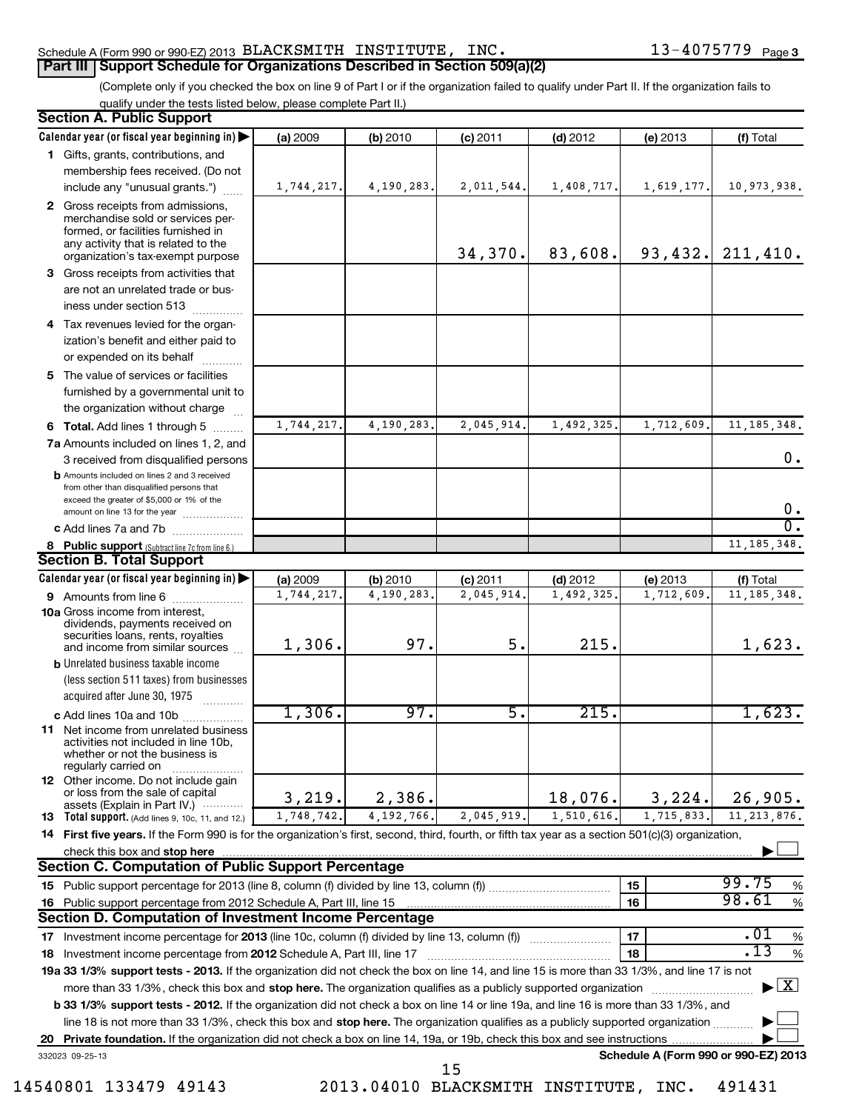#### Schedule A (Form 990 or 990-EZ) 2013 <code>BLACKSMITH INSTITUTE</code> , <code>INC</code> .  $13-4075779$  <code>Page</code> **Part III | Support Schedule for Organizations Described in Section 509(a)(2)**

(Complete only if you checked the box on line 9 of Part I or if the organization failed to qualify under Part II. If the organization fails to qualify under the tests listed below, please complete Part II.)

|    | <b>Section A. Public Support</b><br>Calendar year (or fiscal year beginning in)                                                                                                                                                                           | (a) 2009   | (b) 2010     | $(c)$ 2011                            | $(d)$ 2012 | (e) 2013                             | (f) Total                         |
|----|-----------------------------------------------------------------------------------------------------------------------------------------------------------------------------------------------------------------------------------------------------------|------------|--------------|---------------------------------------|------------|--------------------------------------|-----------------------------------|
|    | 1 Gifts, grants, contributions, and                                                                                                                                                                                                                       |            |              |                                       |            |                                      |                                   |
|    | membership fees received. (Do not                                                                                                                                                                                                                         |            |              |                                       |            |                                      |                                   |
|    | include any "unusual grants.")                                                                                                                                                                                                                            | 1,744,217. | 4,190,283.   | 2,011,544.                            | 1,408,717. | 1,619,177.                           | 10,973,938.                       |
|    | 2 Gross receipts from admissions,<br>merchandise sold or services per-<br>formed, or facilities furnished in<br>any activity that is related to the<br>organization's tax-exempt purpose                                                                  |            |              | 34,370.                               | 83,608.    |                                      | $93,432.$ 211,410.                |
|    | 3 Gross receipts from activities that                                                                                                                                                                                                                     |            |              |                                       |            |                                      |                                   |
|    | are not an unrelated trade or bus-<br>iness under section 513                                                                                                                                                                                             |            |              |                                       |            |                                      |                                   |
|    |                                                                                                                                                                                                                                                           |            |              |                                       |            |                                      |                                   |
|    | 4 Tax revenues levied for the organ-<br>ization's benefit and either paid to                                                                                                                                                                              |            |              |                                       |            |                                      |                                   |
|    | or expended on its behalf                                                                                                                                                                                                                                 |            |              |                                       |            |                                      |                                   |
|    | 5 The value of services or facilities<br>furnished by a governmental unit to<br>the organization without charge                                                                                                                                           |            |              |                                       |            |                                      |                                   |
|    |                                                                                                                                                                                                                                                           | 1,744,217. | 4,190,283.   | 2,045,914                             | 1,492,325. | 1,712,609.                           | 11, 185, 348.                     |
|    | 6 Total. Add lines 1 through 5<br>7a Amounts included on lines 1, 2, and                                                                                                                                                                                  |            |              |                                       |            |                                      |                                   |
|    | 3 received from disqualified persons                                                                                                                                                                                                                      |            |              |                                       |            |                                      | 0.                                |
|    | <b>b</b> Amounts included on lines 2 and 3 received<br>from other than disqualified persons that<br>exceed the greater of \$5,000 or 1% of the                                                                                                            |            |              |                                       |            |                                      | 0.                                |
|    | amount on line 13 for the year                                                                                                                                                                                                                            |            |              |                                       |            |                                      | $\overline{0}$ .                  |
|    | c Add lines 7a and 7b                                                                                                                                                                                                                                     |            |              |                                       |            |                                      | 11, 185, 348.                     |
|    | 8 Public support (Subtract line 7c from line 6.)<br><b>Section B. Total Support</b>                                                                                                                                                                       |            |              |                                       |            |                                      |                                   |
|    | Calendar year (or fiscal year beginning in)                                                                                                                                                                                                               | (a) 2009   | (b) 2010     | $(c)$ 2011                            | $(d)$ 2012 | (e) 2013                             | (f) Total                         |
|    | <b>9</b> Amounts from line 6                                                                                                                                                                                                                              | 1,744,217  | 4,190,283.   | 2,045,914                             | 1,492,325. | 1,712,609.                           | 11, 185, 348.                     |
|    | <b>10a</b> Gross income from interest,<br>dividends, payments received on<br>securities loans, rents, royalties                                                                                                                                           | 1,306.     | 97.          | 5.                                    | 215.       |                                      |                                   |
|    | and income from similar sources<br><b>b</b> Unrelated business taxable income                                                                                                                                                                             |            |              |                                       |            |                                      | 1,623.                            |
|    | (less section 511 taxes) from businesses<br>acquired after June 30, 1975                                                                                                                                                                                  |            |              |                                       |            |                                      |                                   |
|    | c Add lines 10a and 10b                                                                                                                                                                                                                                   | 1,306.     | 97.          | 5.                                    | 215.       |                                      | 1,623.                            |
|    | 11 Net income from unrelated business<br>activities not included in line 10b<br>whether or not the business is<br>regularly carried on                                                                                                                    |            |              |                                       |            |                                      |                                   |
|    | <b>12</b> Other income. Do not include gain<br>or loss from the sale of capital<br>assets (Explain in Part IV.) $\cdots$                                                                                                                                  | 3,219.     | 2,386.       |                                       | 18,076.    | 3,224.                               | 26,905.                           |
|    | <b>13</b> Total support. (Add lines 9, 10c, 11, and 12.)                                                                                                                                                                                                  | 1,748,742. | 4, 192, 766. | 2,045,919.                            | 1,510,616. | 1,715,833.                           | 11, 213, 876.                     |
|    | 14 First five years. If the Form 990 is for the organization's first, second, third, fourth, or fifth tax year as a section 501(c)(3) organization,                                                                                                       |            |              |                                       |            |                                      |                                   |
|    | check this box and stop here                                                                                                                                                                                                                              |            |              |                                       |            |                                      |                                   |
|    | Section C. Computation of Public Support Percentage                                                                                                                                                                                                       |            |              |                                       |            |                                      |                                   |
|    |                                                                                                                                                                                                                                                           |            |              |                                       |            | 15                                   | 99.75<br>%                        |
| 16 | Public support percentage from 2012 Schedule A, Part III, line 15                                                                                                                                                                                         |            |              |                                       |            | 16                                   | 98.61<br>$\%$                     |
|    | Section D. Computation of Investment Income Percentage                                                                                                                                                                                                    |            |              |                                       |            |                                      |                                   |
|    |                                                                                                                                                                                                                                                           |            |              |                                       |            | 17                                   | .01<br>$\%$                       |
| 18 |                                                                                                                                                                                                                                                           |            |              |                                       |            | 18                                   | .13<br>$\%$                       |
|    | 19a 33 1/3% support tests - 2013. If the organization did not check the box on line 14, and line 15 is more than 33 1/3%, and line 17 is not                                                                                                              |            |              |                                       |            |                                      |                                   |
|    | more than 33 1/3%, check this box and stop here. The organization qualifies as a publicly supported organization<br>b 33 1/3% support tests - 2012. If the organization did not check a box on line 14 or line 19a, and line 16 is more than 33 1/3%, and |            |              |                                       |            |                                      | $\blacktriangleright$ $\boxed{X}$ |
|    | line 18 is not more than 33 1/3%, check this box and stop here. The organization qualifies as a publicly supported organization                                                                                                                           |            |              |                                       |            |                                      |                                   |
|    | 20 Private foundation. If the organization did not check a box on line 14, 19a, or 19b, check this box and see instructions                                                                                                                               |            |              |                                       |            |                                      |                                   |
|    | 332023 09-25-13                                                                                                                                                                                                                                           |            |              |                                       |            | Schedule A (Form 990 or 990-EZ) 2013 |                                   |
|    |                                                                                                                                                                                                                                                           |            |              | 15                                    |            |                                      |                                   |
|    | 14540801 133479 49143                                                                                                                                                                                                                                     |            |              | 2013.04010 BLACKSMITH INSTITUTE, INC. |            |                                      | 491431                            |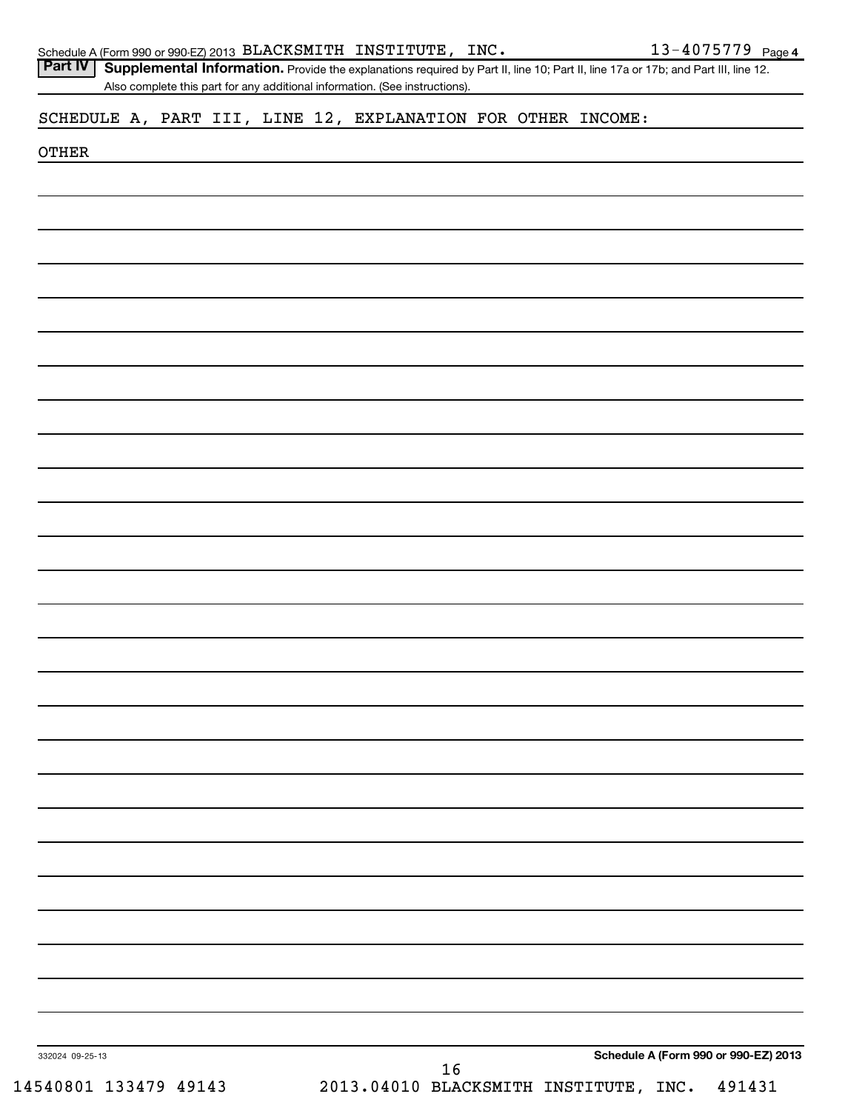|                                                              |  |  | Also complete this part for any additional information. (See instructions). |  |  |                                      |
|--------------------------------------------------------------|--|--|-----------------------------------------------------------------------------|--|--|--------------------------------------|
| SCHEDULE A, PART III, LINE 12, EXPLANATION FOR OTHER INCOME: |  |  |                                                                             |  |  |                                      |
|                                                              |  |  |                                                                             |  |  |                                      |
| <b>OTHER</b>                                                 |  |  |                                                                             |  |  |                                      |
|                                                              |  |  |                                                                             |  |  |                                      |
|                                                              |  |  |                                                                             |  |  |                                      |
|                                                              |  |  |                                                                             |  |  |                                      |
|                                                              |  |  |                                                                             |  |  |                                      |
|                                                              |  |  |                                                                             |  |  |                                      |
|                                                              |  |  |                                                                             |  |  |                                      |
|                                                              |  |  |                                                                             |  |  |                                      |
|                                                              |  |  |                                                                             |  |  |                                      |
|                                                              |  |  |                                                                             |  |  |                                      |
|                                                              |  |  |                                                                             |  |  |                                      |
|                                                              |  |  |                                                                             |  |  |                                      |
|                                                              |  |  |                                                                             |  |  |                                      |
|                                                              |  |  |                                                                             |  |  |                                      |
|                                                              |  |  |                                                                             |  |  |                                      |
|                                                              |  |  |                                                                             |  |  |                                      |
|                                                              |  |  |                                                                             |  |  |                                      |
|                                                              |  |  |                                                                             |  |  |                                      |
|                                                              |  |  |                                                                             |  |  |                                      |
|                                                              |  |  |                                                                             |  |  |                                      |
|                                                              |  |  |                                                                             |  |  |                                      |
|                                                              |  |  |                                                                             |  |  |                                      |
|                                                              |  |  |                                                                             |  |  |                                      |
|                                                              |  |  |                                                                             |  |  |                                      |
|                                                              |  |  |                                                                             |  |  |                                      |
|                                                              |  |  |                                                                             |  |  |                                      |
|                                                              |  |  |                                                                             |  |  |                                      |
|                                                              |  |  |                                                                             |  |  |                                      |
|                                                              |  |  |                                                                             |  |  |                                      |
|                                                              |  |  |                                                                             |  |  |                                      |
|                                                              |  |  |                                                                             |  |  |                                      |
|                                                              |  |  |                                                                             |  |  |                                      |
|                                                              |  |  |                                                                             |  |  |                                      |
|                                                              |  |  |                                                                             |  |  |                                      |
|                                                              |  |  |                                                                             |  |  |                                      |
|                                                              |  |  |                                                                             |  |  |                                      |
|                                                              |  |  |                                                                             |  |  |                                      |
|                                                              |  |  |                                                                             |  |  |                                      |
|                                                              |  |  |                                                                             |  |  |                                      |
|                                                              |  |  |                                                                             |  |  |                                      |
|                                                              |  |  |                                                                             |  |  |                                      |
| 332024 09-25-13                                              |  |  |                                                                             |  |  | Schedule A (Form 990 or 990-EZ) 2013 |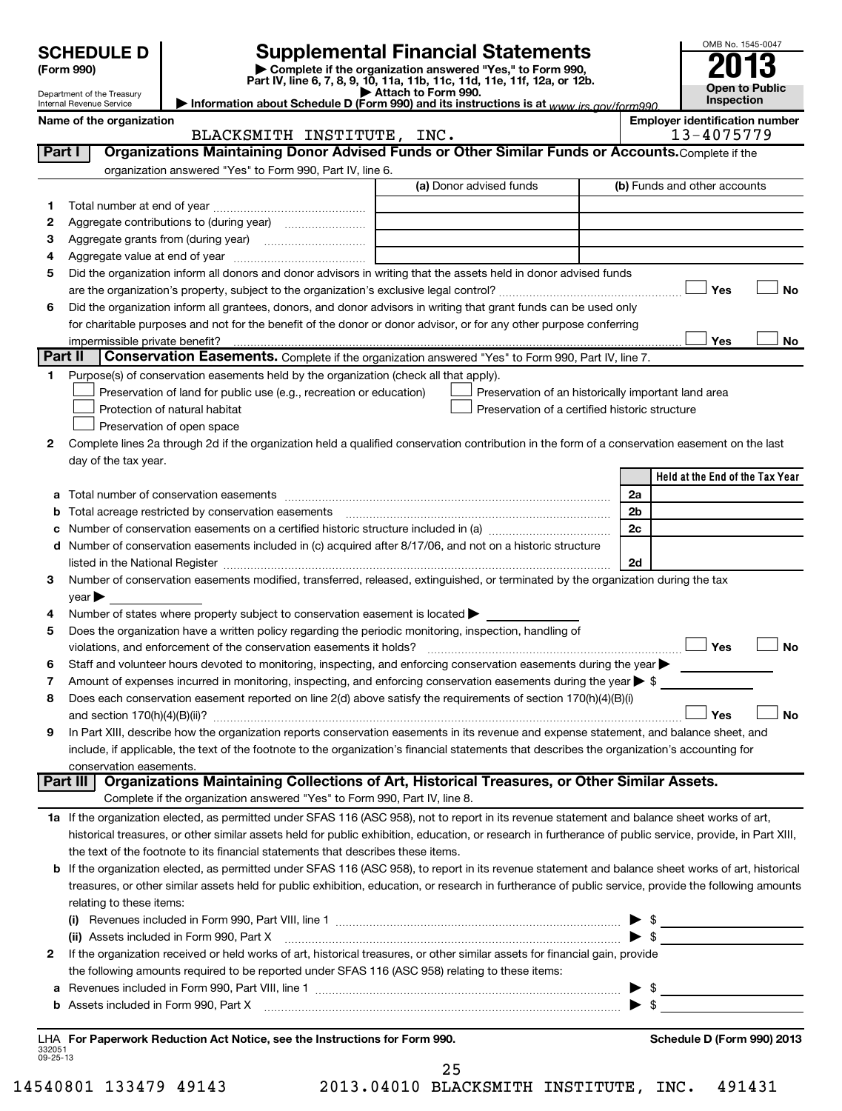**(Form 990) | Complete if the organization answered "Yes," to Form 990, Part IV, line 6, 7, 8, 9, 10, 11a, 11b, 11c, 11d, 11e, 11f, 12a, or 12b. | Attach to Form 990. | Information about Schedule D (Form 990) and its instructions is at**  *www.irs.gov/form990.* **SCHEDULE D Supplemental Financial Statements**<br> **Form 990 2013**<br>
Part IV line 6.7.8.9.10, 11a, 11b, 11d, 11d, 11d, 11d, 11d, 12a, 0r, 12b

| Department of the Treasury |
|----------------------------|
| Internal Revenue Service   |

| Department of the Treasury<br>Internal Revenue Service | ר מונו זי, ווורס ט, ו, ט, ט, וט, ו ומ, ו ווט, ו וט, ו וט, ו ורס, ו וו, ובמ, טו ובוט.<br>$\blacktriangleright$ Attach to Form 990.<br>Information about Schedule D (Form 990) and its instructions is at $_{WWW}$ irs gov/form990 |                                       | <b>Open to Public</b><br><b>Inspection</b> |
|--------------------------------------------------------|----------------------------------------------------------------------------------------------------------------------------------------------------------------------------------------------------------------------------------|---------------------------------------|--------------------------------------------|
| Name of the organization                               |                                                                                                                                                                                                                                  | <b>Emplover identification number</b> | 13-4075779                                 |
|                                                        | TNC.<br>RIACKSMITH INSTITUTE                                                                                                                                                                                                     |                                       |                                            |

OMB No. 1545-0047

|                    | BLACKSMITH INSTITUTE, INC.                                                                                                                                                     | 13-4075779                                          |
|--------------------|--------------------------------------------------------------------------------------------------------------------------------------------------------------------------------|-----------------------------------------------------|
| Part I             | Organizations Maintaining Donor Advised Funds or Other Similar Funds or Accounts. Complete if the                                                                              |                                                     |
|                    | organization answered "Yes" to Form 990, Part IV, line 6.                                                                                                                      |                                                     |
|                    | (a) Donor advised funds                                                                                                                                                        | (b) Funds and other accounts                        |
| 1.                 |                                                                                                                                                                                |                                                     |
| 2                  |                                                                                                                                                                                |                                                     |
| з                  |                                                                                                                                                                                |                                                     |
| 4                  |                                                                                                                                                                                |                                                     |
| 5                  | Did the organization inform all donors and donor advisors in writing that the assets held in donor advised funds                                                               |                                                     |
|                    |                                                                                                                                                                                | Yes<br>No                                           |
| 6                  | Did the organization inform all grantees, donors, and donor advisors in writing that grant funds can be used only                                                              |                                                     |
|                    | for charitable purposes and not for the benefit of the donor or donor advisor, or for any other purpose conferring                                                             |                                                     |
|                    | impermissible private benefit?                                                                                                                                                 | No<br>Yes                                           |
|                    | Part II<br>Conservation Easements. Complete if the organization answered "Yes" to Form 990, Part IV, line 7.                                                                   |                                                     |
| 1.                 | Purpose(s) of conservation easements held by the organization (check all that apply).                                                                                          |                                                     |
|                    | Preservation of land for public use (e.g., recreation or education)                                                                                                            | Preservation of an historically important land area |
|                    | Preservation of a certified historic structure<br>Protection of natural habitat                                                                                                |                                                     |
|                    | Preservation of open space                                                                                                                                                     |                                                     |
| 2                  | Complete lines 2a through 2d if the organization held a qualified conservation contribution in the form of a conservation easement on the last                                 |                                                     |
|                    | day of the tax year.                                                                                                                                                           |                                                     |
|                    |                                                                                                                                                                                | Held at the End of the Tax Year                     |
| а                  |                                                                                                                                                                                | 2a                                                  |
| b                  | Total acreage restricted by conservation easements                                                                                                                             | 2b                                                  |
|                    |                                                                                                                                                                                | 2c                                                  |
| d                  | Number of conservation easements included in (c) acquired after 8/17/06, and not on a historic structure                                                                       |                                                     |
|                    | listed in the National Register [111] Martin March 1999 (120) And The Martin March 1999 (120) (130) March 1999                                                                 | 2d                                                  |
| 3                  | Number of conservation easements modified, transferred, released, extinguished, or terminated by the organization during the tax                                               |                                                     |
|                    | year                                                                                                                                                                           |                                                     |
| 4                  | Number of states where property subject to conservation easement is located >                                                                                                  |                                                     |
| 5                  | Does the organization have a written policy regarding the periodic monitoring, inspection, handling of                                                                         |                                                     |
|                    | violations, and enforcement of the conservation easements it holds?                                                                                                            | Yes<br><b>No</b>                                    |
| 6                  | Staff and volunteer hours devoted to monitoring, inspecting, and enforcing conservation easements during the year                                                              |                                                     |
| 7                  | Amount of expenses incurred in monitoring, inspecting, and enforcing conservation easements during the year $\triangleright$ \$                                                |                                                     |
| 8                  | Does each conservation easement reported on line 2(d) above satisfy the requirements of section 170(h)(4)(B)(i)                                                                |                                                     |
|                    |                                                                                                                                                                                | <b>No</b><br>Yes                                    |
| 9                  | In Part XIII, describe how the organization reports conservation easements in its revenue and expense statement, and balance sheet, and                                        |                                                     |
|                    | include, if applicable, the text of the footnote to the organization's financial statements that describes the organization's accounting for                                   |                                                     |
|                    | conservation easements.                                                                                                                                                        |                                                     |
|                    | Organizations Maintaining Collections of Art, Historical Treasures, or Other Similar Assets.<br>Part III                                                                       |                                                     |
|                    | Complete if the organization answered "Yes" to Form 990, Part IV, line 8.                                                                                                      |                                                     |
|                    | 1a If the organization elected, as permitted under SFAS 116 (ASC 958), not to report in its revenue statement and balance sheet works of art,                                  |                                                     |
|                    | historical treasures, or other similar assets held for public exhibition, education, or research in furtherance of public service, provide, in Part XIII,                      |                                                     |
|                    | the text of the footnote to its financial statements that describes these items.                                                                                               |                                                     |
|                    | <b>b</b> If the organization elected, as permitted under SFAS 116 (ASC 958), to report in its revenue statement and balance sheet works of art, historical                     |                                                     |
|                    | treasures, or other similar assets held for public exhibition, education, or research in furtherance of public service, provide the following amounts                          |                                                     |
|                    | relating to these items:                                                                                                                                                       |                                                     |
|                    |                                                                                                                                                                                |                                                     |
|                    | $\bullet$<br>(ii) Assets included in Form 990, Part X                                                                                                                          |                                                     |
| 2                  | If the organization received or held works of art, historical treasures, or other similar assets for financial gain, provide                                                   |                                                     |
|                    | the following amounts required to be reported under SFAS 116 (ASC 958) relating to these items:                                                                                |                                                     |
| а                  | Revenues included in Form 990, Part VIII, line 1 $\ldots$ $\ldots$ $\ldots$ $\ldots$ $\ldots$ $\ldots$ $\ldots$ $\ldots$ $\ldots$ $\ldots$ $\ldots$ $\ldots$ $\ldots$ $\ldots$ |                                                     |
| b                  |                                                                                                                                                                                |                                                     |
|                    |                                                                                                                                                                                |                                                     |
|                    | LHA For Paperwork Reduction Act Notice, see the Instructions for Form 990.                                                                                                     | Schedule D (Form 990) 2013                          |
| 332051<br>09-25-13 |                                                                                                                                                                                |                                                     |

14540801 133479 49143 2013.04010 BLACKSMITH INSTITUTE, INC. 491431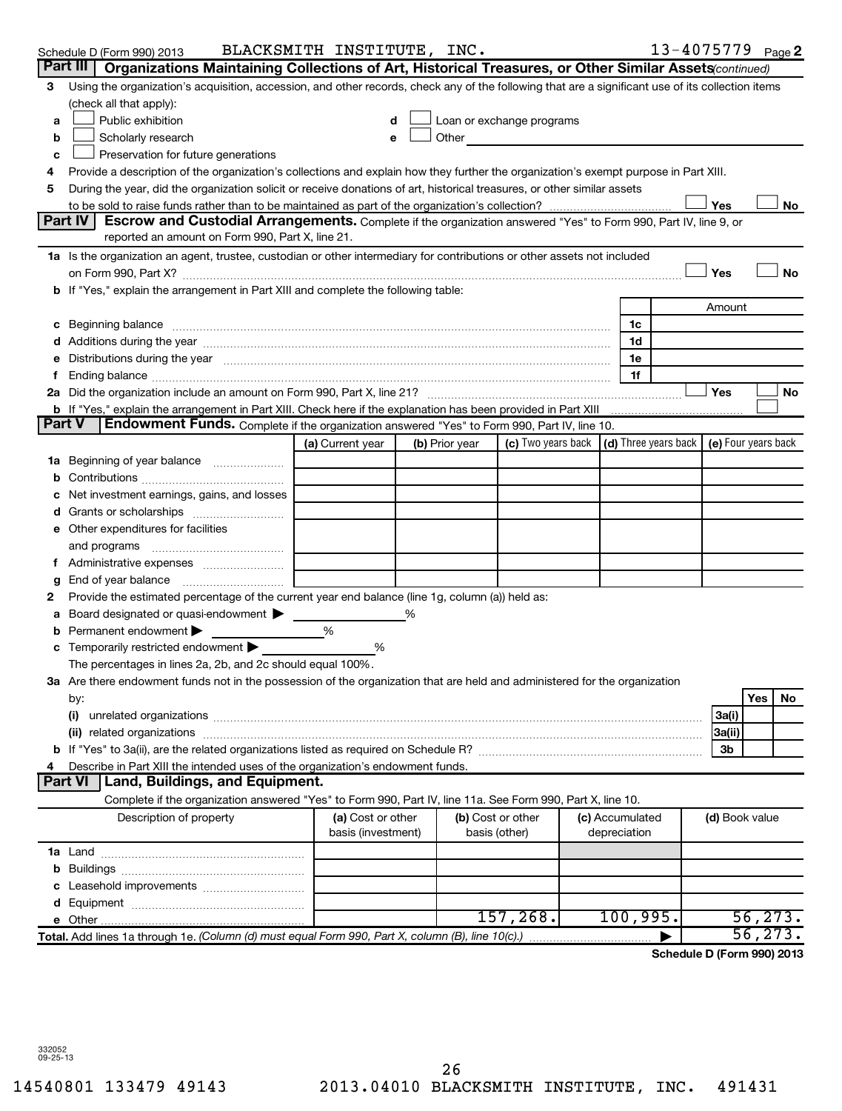| Organizations Maintaining Collections of Art, Historical Treasures, or Other Similar Assets (continued)<br>Part III<br>Using the organization's acquisition, accession, and other records, check any of the following that are a significant use of its collection items<br>3<br>(check all that apply):<br>Public exhibition<br>Loan or exchange programs<br>a<br>Scholarly research<br>Other and the control of the control of the control of the control of the control of the control of the control of the control of the control of the control of the control of the control of the control of the control of th<br>b<br>Preservation for future generations<br>c<br>Provide a description of the organization's collections and explain how they further the organization's exempt purpose in Part XIII.<br>4<br>During the year, did the organization solicit or receive donations of art, historical treasures, or other similar assets<br>5<br>Yes<br>No<br>Part IV<br><b>Escrow and Custodial Arrangements.</b> Complete if the organization answered "Yes" to Form 990, Part IV, line 9, or<br>reported an amount on Form 990, Part X, line 21.<br>1a Is the organization an agent, trustee, custodian or other intermediary for contributions or other assets not included<br>Yes<br><b>No</b><br>on Form 990, Part X? [11] matter and the contract of the contract of the contract of the contract of the contract of the contract of the contract of the contract of the contract of the contract of the contract of the contr<br>b If "Yes," explain the arrangement in Part XIII and complete the following table:<br>Amount<br>c Beginning balance measurements and the contract of the contract of the contract of the contract of the contract of the contract of the contract of the contract of the contract of the contract of the contract of the contr<br>1c<br>1d<br>Distributions during the year manufactured and an account of the year manufactured and the year manufactured and the year manufactured and the year manufactured and the year manufactured and the year manufactured and the y<br>1e<br>е<br>1f<br>f.<br>Yes<br>No<br><b>Part V</b><br>Endowment Funds. Complete if the organization answered "Yes" to Form 990, Part IV, line 10.<br>(c) Two years back $\vert$ (d) Three years back $\vert$ (e) Four years back<br>(a) Current year<br>(b) Prior year<br>Beginning of year balance<br>٦а<br>Net investment earnings, gains, and losses<br>e Other expenditures for facilities<br>and programs<br>Administrative expenses <i>manually communical</i><br>Ť.<br>End of year balance<br>g<br>Provide the estimated percentage of the current year end balance (line 1g, column (a)) held as:<br>2<br>Board designated or quasi-endowment > ____<br>а<br>Permanent endowment<br>%<br>b<br>c Temporarily restricted endowment<br>%<br>The percentages in lines 2a, 2b, and 2c should equal 100%.<br>3a Are there endowment funds not in the possession of the organization that are held and administered for the organization<br><b>Yes</b><br>No<br>by:<br>(i)<br>3a(i)<br>3a(ii)<br>3b<br>Describe in Part XIII the intended uses of the organization's endowment funds.<br><b>Part VI</b><br>Land, Buildings, and Equipment.<br>Complete if the organization answered "Yes" to Form 990, Part IV, line 11a. See Form 990, Part X, line 10.<br>Description of property<br>(a) Cost or other<br>(b) Cost or other<br>(c) Accumulated<br>(d) Book value<br>basis (investment)<br>depreciation<br>basis (other)<br>157, 268.<br>100,995.<br>56, 273.<br>Total. Add lines 1a through 1e. (Column (d) must equal Form 990, Part X, column (B), line 10(c).) | Schedule D (Form 990) 2013 | BLACKSMITH INSTITUTE, INC. |  |  | 13-4075779 <sub>Page</sub> 2 |  |  |
|-------------------------------------------------------------------------------------------------------------------------------------------------------------------------------------------------------------------------------------------------------------------------------------------------------------------------------------------------------------------------------------------------------------------------------------------------------------------------------------------------------------------------------------------------------------------------------------------------------------------------------------------------------------------------------------------------------------------------------------------------------------------------------------------------------------------------------------------------------------------------------------------------------------------------------------------------------------------------------------------------------------------------------------------------------------------------------------------------------------------------------------------------------------------------------------------------------------------------------------------------------------------------------------------------------------------------------------------------------------------------------------------------------------------------------------------------------------------------------------------------------------------------------------------------------------------------------------------------------------------------------------------------------------------------------------------------------------------------------------------------------------------------------------------------------------------------------------------------------------------------------------------------------------------------------------------------------------------------------------------------------------------------------------------------------------------------------------------------------------------------------------------------------------------------------------------------------------------------------------------------------------------------------------------------------------------------------------------------------------------------------------------------------------------------------------------------------------------------------------------------------------------------------------------------------------------------------------------------------------------------------------------------------------------------------------------------------------------------------------------------------------------------------------------------------------------------------------------------------------------------------------------------------------------------------------------------------------------------------------------------------------------------------------------------------------------------------------------------------------------------------------------------------------------------------------------------------------------------------------------------------------------------------------------------------------------------------------------------------------------------------------------------------------------------------------------------------------------------------------------------------------------------------------------------------------------------------------------------------------------------------------------------------------------------------------------------------|----------------------------|----------------------------|--|--|------------------------------|--|--|
|                                                                                                                                                                                                                                                                                                                                                                                                                                                                                                                                                                                                                                                                                                                                                                                                                                                                                                                                                                                                                                                                                                                                                                                                                                                                                                                                                                                                                                                                                                                                                                                                                                                                                                                                                                                                                                                                                                                                                                                                                                                                                                                                                                                                                                                                                                                                                                                                                                                                                                                                                                                                                                                                                                                                                                                                                                                                                                                                                                                                                                                                                                                                                                                                                                                                                                                                                                                                                                                                                                                                                                                                                                                                                                       |                            |                            |  |  |                              |  |  |
|                                                                                                                                                                                                                                                                                                                                                                                                                                                                                                                                                                                                                                                                                                                                                                                                                                                                                                                                                                                                                                                                                                                                                                                                                                                                                                                                                                                                                                                                                                                                                                                                                                                                                                                                                                                                                                                                                                                                                                                                                                                                                                                                                                                                                                                                                                                                                                                                                                                                                                                                                                                                                                                                                                                                                                                                                                                                                                                                                                                                                                                                                                                                                                                                                                                                                                                                                                                                                                                                                                                                                                                                                                                                                                       |                            |                            |  |  |                              |  |  |
|                                                                                                                                                                                                                                                                                                                                                                                                                                                                                                                                                                                                                                                                                                                                                                                                                                                                                                                                                                                                                                                                                                                                                                                                                                                                                                                                                                                                                                                                                                                                                                                                                                                                                                                                                                                                                                                                                                                                                                                                                                                                                                                                                                                                                                                                                                                                                                                                                                                                                                                                                                                                                                                                                                                                                                                                                                                                                                                                                                                                                                                                                                                                                                                                                                                                                                                                                                                                                                                                                                                                                                                                                                                                                                       |                            |                            |  |  |                              |  |  |
|                                                                                                                                                                                                                                                                                                                                                                                                                                                                                                                                                                                                                                                                                                                                                                                                                                                                                                                                                                                                                                                                                                                                                                                                                                                                                                                                                                                                                                                                                                                                                                                                                                                                                                                                                                                                                                                                                                                                                                                                                                                                                                                                                                                                                                                                                                                                                                                                                                                                                                                                                                                                                                                                                                                                                                                                                                                                                                                                                                                                                                                                                                                                                                                                                                                                                                                                                                                                                                                                                                                                                                                                                                                                                                       |                            |                            |  |  |                              |  |  |
|                                                                                                                                                                                                                                                                                                                                                                                                                                                                                                                                                                                                                                                                                                                                                                                                                                                                                                                                                                                                                                                                                                                                                                                                                                                                                                                                                                                                                                                                                                                                                                                                                                                                                                                                                                                                                                                                                                                                                                                                                                                                                                                                                                                                                                                                                                                                                                                                                                                                                                                                                                                                                                                                                                                                                                                                                                                                                                                                                                                                                                                                                                                                                                                                                                                                                                                                                                                                                                                                                                                                                                                                                                                                                                       |                            |                            |  |  |                              |  |  |
|                                                                                                                                                                                                                                                                                                                                                                                                                                                                                                                                                                                                                                                                                                                                                                                                                                                                                                                                                                                                                                                                                                                                                                                                                                                                                                                                                                                                                                                                                                                                                                                                                                                                                                                                                                                                                                                                                                                                                                                                                                                                                                                                                                                                                                                                                                                                                                                                                                                                                                                                                                                                                                                                                                                                                                                                                                                                                                                                                                                                                                                                                                                                                                                                                                                                                                                                                                                                                                                                                                                                                                                                                                                                                                       |                            |                            |  |  |                              |  |  |
|                                                                                                                                                                                                                                                                                                                                                                                                                                                                                                                                                                                                                                                                                                                                                                                                                                                                                                                                                                                                                                                                                                                                                                                                                                                                                                                                                                                                                                                                                                                                                                                                                                                                                                                                                                                                                                                                                                                                                                                                                                                                                                                                                                                                                                                                                                                                                                                                                                                                                                                                                                                                                                                                                                                                                                                                                                                                                                                                                                                                                                                                                                                                                                                                                                                                                                                                                                                                                                                                                                                                                                                                                                                                                                       |                            |                            |  |  |                              |  |  |
|                                                                                                                                                                                                                                                                                                                                                                                                                                                                                                                                                                                                                                                                                                                                                                                                                                                                                                                                                                                                                                                                                                                                                                                                                                                                                                                                                                                                                                                                                                                                                                                                                                                                                                                                                                                                                                                                                                                                                                                                                                                                                                                                                                                                                                                                                                                                                                                                                                                                                                                                                                                                                                                                                                                                                                                                                                                                                                                                                                                                                                                                                                                                                                                                                                                                                                                                                                                                                                                                                                                                                                                                                                                                                                       |                            |                            |  |  |                              |  |  |
|                                                                                                                                                                                                                                                                                                                                                                                                                                                                                                                                                                                                                                                                                                                                                                                                                                                                                                                                                                                                                                                                                                                                                                                                                                                                                                                                                                                                                                                                                                                                                                                                                                                                                                                                                                                                                                                                                                                                                                                                                                                                                                                                                                                                                                                                                                                                                                                                                                                                                                                                                                                                                                                                                                                                                                                                                                                                                                                                                                                                                                                                                                                                                                                                                                                                                                                                                                                                                                                                                                                                                                                                                                                                                                       |                            |                            |  |  |                              |  |  |
|                                                                                                                                                                                                                                                                                                                                                                                                                                                                                                                                                                                                                                                                                                                                                                                                                                                                                                                                                                                                                                                                                                                                                                                                                                                                                                                                                                                                                                                                                                                                                                                                                                                                                                                                                                                                                                                                                                                                                                                                                                                                                                                                                                                                                                                                                                                                                                                                                                                                                                                                                                                                                                                                                                                                                                                                                                                                                                                                                                                                                                                                                                                                                                                                                                                                                                                                                                                                                                                                                                                                                                                                                                                                                                       |                            |                            |  |  |                              |  |  |
|                                                                                                                                                                                                                                                                                                                                                                                                                                                                                                                                                                                                                                                                                                                                                                                                                                                                                                                                                                                                                                                                                                                                                                                                                                                                                                                                                                                                                                                                                                                                                                                                                                                                                                                                                                                                                                                                                                                                                                                                                                                                                                                                                                                                                                                                                                                                                                                                                                                                                                                                                                                                                                                                                                                                                                                                                                                                                                                                                                                                                                                                                                                                                                                                                                                                                                                                                                                                                                                                                                                                                                                                                                                                                                       |                            |                            |  |  |                              |  |  |
|                                                                                                                                                                                                                                                                                                                                                                                                                                                                                                                                                                                                                                                                                                                                                                                                                                                                                                                                                                                                                                                                                                                                                                                                                                                                                                                                                                                                                                                                                                                                                                                                                                                                                                                                                                                                                                                                                                                                                                                                                                                                                                                                                                                                                                                                                                                                                                                                                                                                                                                                                                                                                                                                                                                                                                                                                                                                                                                                                                                                                                                                                                                                                                                                                                                                                                                                                                                                                                                                                                                                                                                                                                                                                                       |                            |                            |  |  |                              |  |  |
|                                                                                                                                                                                                                                                                                                                                                                                                                                                                                                                                                                                                                                                                                                                                                                                                                                                                                                                                                                                                                                                                                                                                                                                                                                                                                                                                                                                                                                                                                                                                                                                                                                                                                                                                                                                                                                                                                                                                                                                                                                                                                                                                                                                                                                                                                                                                                                                                                                                                                                                                                                                                                                                                                                                                                                                                                                                                                                                                                                                                                                                                                                                                                                                                                                                                                                                                                                                                                                                                                                                                                                                                                                                                                                       |                            |                            |  |  |                              |  |  |
|                                                                                                                                                                                                                                                                                                                                                                                                                                                                                                                                                                                                                                                                                                                                                                                                                                                                                                                                                                                                                                                                                                                                                                                                                                                                                                                                                                                                                                                                                                                                                                                                                                                                                                                                                                                                                                                                                                                                                                                                                                                                                                                                                                                                                                                                                                                                                                                                                                                                                                                                                                                                                                                                                                                                                                                                                                                                                                                                                                                                                                                                                                                                                                                                                                                                                                                                                                                                                                                                                                                                                                                                                                                                                                       |                            |                            |  |  |                              |  |  |
|                                                                                                                                                                                                                                                                                                                                                                                                                                                                                                                                                                                                                                                                                                                                                                                                                                                                                                                                                                                                                                                                                                                                                                                                                                                                                                                                                                                                                                                                                                                                                                                                                                                                                                                                                                                                                                                                                                                                                                                                                                                                                                                                                                                                                                                                                                                                                                                                                                                                                                                                                                                                                                                                                                                                                                                                                                                                                                                                                                                                                                                                                                                                                                                                                                                                                                                                                                                                                                                                                                                                                                                                                                                                                                       |                            |                            |  |  |                              |  |  |
|                                                                                                                                                                                                                                                                                                                                                                                                                                                                                                                                                                                                                                                                                                                                                                                                                                                                                                                                                                                                                                                                                                                                                                                                                                                                                                                                                                                                                                                                                                                                                                                                                                                                                                                                                                                                                                                                                                                                                                                                                                                                                                                                                                                                                                                                                                                                                                                                                                                                                                                                                                                                                                                                                                                                                                                                                                                                                                                                                                                                                                                                                                                                                                                                                                                                                                                                                                                                                                                                                                                                                                                                                                                                                                       |                            |                            |  |  |                              |  |  |
|                                                                                                                                                                                                                                                                                                                                                                                                                                                                                                                                                                                                                                                                                                                                                                                                                                                                                                                                                                                                                                                                                                                                                                                                                                                                                                                                                                                                                                                                                                                                                                                                                                                                                                                                                                                                                                                                                                                                                                                                                                                                                                                                                                                                                                                                                                                                                                                                                                                                                                                                                                                                                                                                                                                                                                                                                                                                                                                                                                                                                                                                                                                                                                                                                                                                                                                                                                                                                                                                                                                                                                                                                                                                                                       |                            |                            |  |  |                              |  |  |
|                                                                                                                                                                                                                                                                                                                                                                                                                                                                                                                                                                                                                                                                                                                                                                                                                                                                                                                                                                                                                                                                                                                                                                                                                                                                                                                                                                                                                                                                                                                                                                                                                                                                                                                                                                                                                                                                                                                                                                                                                                                                                                                                                                                                                                                                                                                                                                                                                                                                                                                                                                                                                                                                                                                                                                                                                                                                                                                                                                                                                                                                                                                                                                                                                                                                                                                                                                                                                                                                                                                                                                                                                                                                                                       |                            |                            |  |  |                              |  |  |
|                                                                                                                                                                                                                                                                                                                                                                                                                                                                                                                                                                                                                                                                                                                                                                                                                                                                                                                                                                                                                                                                                                                                                                                                                                                                                                                                                                                                                                                                                                                                                                                                                                                                                                                                                                                                                                                                                                                                                                                                                                                                                                                                                                                                                                                                                                                                                                                                                                                                                                                                                                                                                                                                                                                                                                                                                                                                                                                                                                                                                                                                                                                                                                                                                                                                                                                                                                                                                                                                                                                                                                                                                                                                                                       |                            |                            |  |  |                              |  |  |
|                                                                                                                                                                                                                                                                                                                                                                                                                                                                                                                                                                                                                                                                                                                                                                                                                                                                                                                                                                                                                                                                                                                                                                                                                                                                                                                                                                                                                                                                                                                                                                                                                                                                                                                                                                                                                                                                                                                                                                                                                                                                                                                                                                                                                                                                                                                                                                                                                                                                                                                                                                                                                                                                                                                                                                                                                                                                                                                                                                                                                                                                                                                                                                                                                                                                                                                                                                                                                                                                                                                                                                                                                                                                                                       |                            |                            |  |  |                              |  |  |
|                                                                                                                                                                                                                                                                                                                                                                                                                                                                                                                                                                                                                                                                                                                                                                                                                                                                                                                                                                                                                                                                                                                                                                                                                                                                                                                                                                                                                                                                                                                                                                                                                                                                                                                                                                                                                                                                                                                                                                                                                                                                                                                                                                                                                                                                                                                                                                                                                                                                                                                                                                                                                                                                                                                                                                                                                                                                                                                                                                                                                                                                                                                                                                                                                                                                                                                                                                                                                                                                                                                                                                                                                                                                                                       |                            |                            |  |  |                              |  |  |
|                                                                                                                                                                                                                                                                                                                                                                                                                                                                                                                                                                                                                                                                                                                                                                                                                                                                                                                                                                                                                                                                                                                                                                                                                                                                                                                                                                                                                                                                                                                                                                                                                                                                                                                                                                                                                                                                                                                                                                                                                                                                                                                                                                                                                                                                                                                                                                                                                                                                                                                                                                                                                                                                                                                                                                                                                                                                                                                                                                                                                                                                                                                                                                                                                                                                                                                                                                                                                                                                                                                                                                                                                                                                                                       |                            |                            |  |  |                              |  |  |
|                                                                                                                                                                                                                                                                                                                                                                                                                                                                                                                                                                                                                                                                                                                                                                                                                                                                                                                                                                                                                                                                                                                                                                                                                                                                                                                                                                                                                                                                                                                                                                                                                                                                                                                                                                                                                                                                                                                                                                                                                                                                                                                                                                                                                                                                                                                                                                                                                                                                                                                                                                                                                                                                                                                                                                                                                                                                                                                                                                                                                                                                                                                                                                                                                                                                                                                                                                                                                                                                                                                                                                                                                                                                                                       |                            |                            |  |  |                              |  |  |
|                                                                                                                                                                                                                                                                                                                                                                                                                                                                                                                                                                                                                                                                                                                                                                                                                                                                                                                                                                                                                                                                                                                                                                                                                                                                                                                                                                                                                                                                                                                                                                                                                                                                                                                                                                                                                                                                                                                                                                                                                                                                                                                                                                                                                                                                                                                                                                                                                                                                                                                                                                                                                                                                                                                                                                                                                                                                                                                                                                                                                                                                                                                                                                                                                                                                                                                                                                                                                                                                                                                                                                                                                                                                                                       |                            |                            |  |  |                              |  |  |
|                                                                                                                                                                                                                                                                                                                                                                                                                                                                                                                                                                                                                                                                                                                                                                                                                                                                                                                                                                                                                                                                                                                                                                                                                                                                                                                                                                                                                                                                                                                                                                                                                                                                                                                                                                                                                                                                                                                                                                                                                                                                                                                                                                                                                                                                                                                                                                                                                                                                                                                                                                                                                                                                                                                                                                                                                                                                                                                                                                                                                                                                                                                                                                                                                                                                                                                                                                                                                                                                                                                                                                                                                                                                                                       |                            |                            |  |  |                              |  |  |
|                                                                                                                                                                                                                                                                                                                                                                                                                                                                                                                                                                                                                                                                                                                                                                                                                                                                                                                                                                                                                                                                                                                                                                                                                                                                                                                                                                                                                                                                                                                                                                                                                                                                                                                                                                                                                                                                                                                                                                                                                                                                                                                                                                                                                                                                                                                                                                                                                                                                                                                                                                                                                                                                                                                                                                                                                                                                                                                                                                                                                                                                                                                                                                                                                                                                                                                                                                                                                                                                                                                                                                                                                                                                                                       |                            |                            |  |  |                              |  |  |
|                                                                                                                                                                                                                                                                                                                                                                                                                                                                                                                                                                                                                                                                                                                                                                                                                                                                                                                                                                                                                                                                                                                                                                                                                                                                                                                                                                                                                                                                                                                                                                                                                                                                                                                                                                                                                                                                                                                                                                                                                                                                                                                                                                                                                                                                                                                                                                                                                                                                                                                                                                                                                                                                                                                                                                                                                                                                                                                                                                                                                                                                                                                                                                                                                                                                                                                                                                                                                                                                                                                                                                                                                                                                                                       |                            |                            |  |  |                              |  |  |
|                                                                                                                                                                                                                                                                                                                                                                                                                                                                                                                                                                                                                                                                                                                                                                                                                                                                                                                                                                                                                                                                                                                                                                                                                                                                                                                                                                                                                                                                                                                                                                                                                                                                                                                                                                                                                                                                                                                                                                                                                                                                                                                                                                                                                                                                                                                                                                                                                                                                                                                                                                                                                                                                                                                                                                                                                                                                                                                                                                                                                                                                                                                                                                                                                                                                                                                                                                                                                                                                                                                                                                                                                                                                                                       |                            |                            |  |  |                              |  |  |
|                                                                                                                                                                                                                                                                                                                                                                                                                                                                                                                                                                                                                                                                                                                                                                                                                                                                                                                                                                                                                                                                                                                                                                                                                                                                                                                                                                                                                                                                                                                                                                                                                                                                                                                                                                                                                                                                                                                                                                                                                                                                                                                                                                                                                                                                                                                                                                                                                                                                                                                                                                                                                                                                                                                                                                                                                                                                                                                                                                                                                                                                                                                                                                                                                                                                                                                                                                                                                                                                                                                                                                                                                                                                                                       |                            |                            |  |  |                              |  |  |
|                                                                                                                                                                                                                                                                                                                                                                                                                                                                                                                                                                                                                                                                                                                                                                                                                                                                                                                                                                                                                                                                                                                                                                                                                                                                                                                                                                                                                                                                                                                                                                                                                                                                                                                                                                                                                                                                                                                                                                                                                                                                                                                                                                                                                                                                                                                                                                                                                                                                                                                                                                                                                                                                                                                                                                                                                                                                                                                                                                                                                                                                                                                                                                                                                                                                                                                                                                                                                                                                                                                                                                                                                                                                                                       |                            |                            |  |  |                              |  |  |
|                                                                                                                                                                                                                                                                                                                                                                                                                                                                                                                                                                                                                                                                                                                                                                                                                                                                                                                                                                                                                                                                                                                                                                                                                                                                                                                                                                                                                                                                                                                                                                                                                                                                                                                                                                                                                                                                                                                                                                                                                                                                                                                                                                                                                                                                                                                                                                                                                                                                                                                                                                                                                                                                                                                                                                                                                                                                                                                                                                                                                                                                                                                                                                                                                                                                                                                                                                                                                                                                                                                                                                                                                                                                                                       |                            |                            |  |  |                              |  |  |
|                                                                                                                                                                                                                                                                                                                                                                                                                                                                                                                                                                                                                                                                                                                                                                                                                                                                                                                                                                                                                                                                                                                                                                                                                                                                                                                                                                                                                                                                                                                                                                                                                                                                                                                                                                                                                                                                                                                                                                                                                                                                                                                                                                                                                                                                                                                                                                                                                                                                                                                                                                                                                                                                                                                                                                                                                                                                                                                                                                                                                                                                                                                                                                                                                                                                                                                                                                                                                                                                                                                                                                                                                                                                                                       |                            |                            |  |  |                              |  |  |
|                                                                                                                                                                                                                                                                                                                                                                                                                                                                                                                                                                                                                                                                                                                                                                                                                                                                                                                                                                                                                                                                                                                                                                                                                                                                                                                                                                                                                                                                                                                                                                                                                                                                                                                                                                                                                                                                                                                                                                                                                                                                                                                                                                                                                                                                                                                                                                                                                                                                                                                                                                                                                                                                                                                                                                                                                                                                                                                                                                                                                                                                                                                                                                                                                                                                                                                                                                                                                                                                                                                                                                                                                                                                                                       |                            |                            |  |  |                              |  |  |
|                                                                                                                                                                                                                                                                                                                                                                                                                                                                                                                                                                                                                                                                                                                                                                                                                                                                                                                                                                                                                                                                                                                                                                                                                                                                                                                                                                                                                                                                                                                                                                                                                                                                                                                                                                                                                                                                                                                                                                                                                                                                                                                                                                                                                                                                                                                                                                                                                                                                                                                                                                                                                                                                                                                                                                                                                                                                                                                                                                                                                                                                                                                                                                                                                                                                                                                                                                                                                                                                                                                                                                                                                                                                                                       |                            |                            |  |  |                              |  |  |
|                                                                                                                                                                                                                                                                                                                                                                                                                                                                                                                                                                                                                                                                                                                                                                                                                                                                                                                                                                                                                                                                                                                                                                                                                                                                                                                                                                                                                                                                                                                                                                                                                                                                                                                                                                                                                                                                                                                                                                                                                                                                                                                                                                                                                                                                                                                                                                                                                                                                                                                                                                                                                                                                                                                                                                                                                                                                                                                                                                                                                                                                                                                                                                                                                                                                                                                                                                                                                                                                                                                                                                                                                                                                                                       |                            |                            |  |  |                              |  |  |
|                                                                                                                                                                                                                                                                                                                                                                                                                                                                                                                                                                                                                                                                                                                                                                                                                                                                                                                                                                                                                                                                                                                                                                                                                                                                                                                                                                                                                                                                                                                                                                                                                                                                                                                                                                                                                                                                                                                                                                                                                                                                                                                                                                                                                                                                                                                                                                                                                                                                                                                                                                                                                                                                                                                                                                                                                                                                                                                                                                                                                                                                                                                                                                                                                                                                                                                                                                                                                                                                                                                                                                                                                                                                                                       |                            |                            |  |  |                              |  |  |
|                                                                                                                                                                                                                                                                                                                                                                                                                                                                                                                                                                                                                                                                                                                                                                                                                                                                                                                                                                                                                                                                                                                                                                                                                                                                                                                                                                                                                                                                                                                                                                                                                                                                                                                                                                                                                                                                                                                                                                                                                                                                                                                                                                                                                                                                                                                                                                                                                                                                                                                                                                                                                                                                                                                                                                                                                                                                                                                                                                                                                                                                                                                                                                                                                                                                                                                                                                                                                                                                                                                                                                                                                                                                                                       |                            |                            |  |  |                              |  |  |
|                                                                                                                                                                                                                                                                                                                                                                                                                                                                                                                                                                                                                                                                                                                                                                                                                                                                                                                                                                                                                                                                                                                                                                                                                                                                                                                                                                                                                                                                                                                                                                                                                                                                                                                                                                                                                                                                                                                                                                                                                                                                                                                                                                                                                                                                                                                                                                                                                                                                                                                                                                                                                                                                                                                                                                                                                                                                                                                                                                                                                                                                                                                                                                                                                                                                                                                                                                                                                                                                                                                                                                                                                                                                                                       |                            |                            |  |  |                              |  |  |
|                                                                                                                                                                                                                                                                                                                                                                                                                                                                                                                                                                                                                                                                                                                                                                                                                                                                                                                                                                                                                                                                                                                                                                                                                                                                                                                                                                                                                                                                                                                                                                                                                                                                                                                                                                                                                                                                                                                                                                                                                                                                                                                                                                                                                                                                                                                                                                                                                                                                                                                                                                                                                                                                                                                                                                                                                                                                                                                                                                                                                                                                                                                                                                                                                                                                                                                                                                                                                                                                                                                                                                                                                                                                                                       |                            |                            |  |  |                              |  |  |
|                                                                                                                                                                                                                                                                                                                                                                                                                                                                                                                                                                                                                                                                                                                                                                                                                                                                                                                                                                                                                                                                                                                                                                                                                                                                                                                                                                                                                                                                                                                                                                                                                                                                                                                                                                                                                                                                                                                                                                                                                                                                                                                                                                                                                                                                                                                                                                                                                                                                                                                                                                                                                                                                                                                                                                                                                                                                                                                                                                                                                                                                                                                                                                                                                                                                                                                                                                                                                                                                                                                                                                                                                                                                                                       |                            |                            |  |  |                              |  |  |
|                                                                                                                                                                                                                                                                                                                                                                                                                                                                                                                                                                                                                                                                                                                                                                                                                                                                                                                                                                                                                                                                                                                                                                                                                                                                                                                                                                                                                                                                                                                                                                                                                                                                                                                                                                                                                                                                                                                                                                                                                                                                                                                                                                                                                                                                                                                                                                                                                                                                                                                                                                                                                                                                                                                                                                                                                                                                                                                                                                                                                                                                                                                                                                                                                                                                                                                                                                                                                                                                                                                                                                                                                                                                                                       |                            |                            |  |  |                              |  |  |
|                                                                                                                                                                                                                                                                                                                                                                                                                                                                                                                                                                                                                                                                                                                                                                                                                                                                                                                                                                                                                                                                                                                                                                                                                                                                                                                                                                                                                                                                                                                                                                                                                                                                                                                                                                                                                                                                                                                                                                                                                                                                                                                                                                                                                                                                                                                                                                                                                                                                                                                                                                                                                                                                                                                                                                                                                                                                                                                                                                                                                                                                                                                                                                                                                                                                                                                                                                                                                                                                                                                                                                                                                                                                                                       |                            |                            |  |  |                              |  |  |
|                                                                                                                                                                                                                                                                                                                                                                                                                                                                                                                                                                                                                                                                                                                                                                                                                                                                                                                                                                                                                                                                                                                                                                                                                                                                                                                                                                                                                                                                                                                                                                                                                                                                                                                                                                                                                                                                                                                                                                                                                                                                                                                                                                                                                                                                                                                                                                                                                                                                                                                                                                                                                                                                                                                                                                                                                                                                                                                                                                                                                                                                                                                                                                                                                                                                                                                                                                                                                                                                                                                                                                                                                                                                                                       |                            |                            |  |  |                              |  |  |
| 56, 273.<br>Schedule D (Form 990) 2013                                                                                                                                                                                                                                                                                                                                                                                                                                                                                                                                                                                                                                                                                                                                                                                                                                                                                                                                                                                                                                                                                                                                                                                                                                                                                                                                                                                                                                                                                                                                                                                                                                                                                                                                                                                                                                                                                                                                                                                                                                                                                                                                                                                                                                                                                                                                                                                                                                                                                                                                                                                                                                                                                                                                                                                                                                                                                                                                                                                                                                                                                                                                                                                                                                                                                                                                                                                                                                                                                                                                                                                                                                                                |                            |                            |  |  |                              |  |  |
|                                                                                                                                                                                                                                                                                                                                                                                                                                                                                                                                                                                                                                                                                                                                                                                                                                                                                                                                                                                                                                                                                                                                                                                                                                                                                                                                                                                                                                                                                                                                                                                                                                                                                                                                                                                                                                                                                                                                                                                                                                                                                                                                                                                                                                                                                                                                                                                                                                                                                                                                                                                                                                                                                                                                                                                                                                                                                                                                                                                                                                                                                                                                                                                                                                                                                                                                                                                                                                                                                                                                                                                                                                                                                                       |                            |                            |  |  |                              |  |  |
|                                                                                                                                                                                                                                                                                                                                                                                                                                                                                                                                                                                                                                                                                                                                                                                                                                                                                                                                                                                                                                                                                                                                                                                                                                                                                                                                                                                                                                                                                                                                                                                                                                                                                                                                                                                                                                                                                                                                                                                                                                                                                                                                                                                                                                                                                                                                                                                                                                                                                                                                                                                                                                                                                                                                                                                                                                                                                                                                                                                                                                                                                                                                                                                                                                                                                                                                                                                                                                                                                                                                                                                                                                                                                                       |                            |                            |  |  |                              |  |  |
|                                                                                                                                                                                                                                                                                                                                                                                                                                                                                                                                                                                                                                                                                                                                                                                                                                                                                                                                                                                                                                                                                                                                                                                                                                                                                                                                                                                                                                                                                                                                                                                                                                                                                                                                                                                                                                                                                                                                                                                                                                                                                                                                                                                                                                                                                                                                                                                                                                                                                                                                                                                                                                                                                                                                                                                                                                                                                                                                                                                                                                                                                                                                                                                                                                                                                                                                                                                                                                                                                                                                                                                                                                                                                                       |                            |                            |  |  |                              |  |  |
|                                                                                                                                                                                                                                                                                                                                                                                                                                                                                                                                                                                                                                                                                                                                                                                                                                                                                                                                                                                                                                                                                                                                                                                                                                                                                                                                                                                                                                                                                                                                                                                                                                                                                                                                                                                                                                                                                                                                                                                                                                                                                                                                                                                                                                                                                                                                                                                                                                                                                                                                                                                                                                                                                                                                                                                                                                                                                                                                                                                                                                                                                                                                                                                                                                                                                                                                                                                                                                                                                                                                                                                                                                                                                                       |                            |                            |  |  |                              |  |  |
|                                                                                                                                                                                                                                                                                                                                                                                                                                                                                                                                                                                                                                                                                                                                                                                                                                                                                                                                                                                                                                                                                                                                                                                                                                                                                                                                                                                                                                                                                                                                                                                                                                                                                                                                                                                                                                                                                                                                                                                                                                                                                                                                                                                                                                                                                                                                                                                                                                                                                                                                                                                                                                                                                                                                                                                                                                                                                                                                                                                                                                                                                                                                                                                                                                                                                                                                                                                                                                                                                                                                                                                                                                                                                                       |                            |                            |  |  |                              |  |  |
|                                                                                                                                                                                                                                                                                                                                                                                                                                                                                                                                                                                                                                                                                                                                                                                                                                                                                                                                                                                                                                                                                                                                                                                                                                                                                                                                                                                                                                                                                                                                                                                                                                                                                                                                                                                                                                                                                                                                                                                                                                                                                                                                                                                                                                                                                                                                                                                                                                                                                                                                                                                                                                                                                                                                                                                                                                                                                                                                                                                                                                                                                                                                                                                                                                                                                                                                                                                                                                                                                                                                                                                                                                                                                                       |                            |                            |  |  |                              |  |  |
|                                                                                                                                                                                                                                                                                                                                                                                                                                                                                                                                                                                                                                                                                                                                                                                                                                                                                                                                                                                                                                                                                                                                                                                                                                                                                                                                                                                                                                                                                                                                                                                                                                                                                                                                                                                                                                                                                                                                                                                                                                                                                                                                                                                                                                                                                                                                                                                                                                                                                                                                                                                                                                                                                                                                                                                                                                                                                                                                                                                                                                                                                                                                                                                                                                                                                                                                                                                                                                                                                                                                                                                                                                                                                                       |                            |                            |  |  |                              |  |  |

332052 09-25-13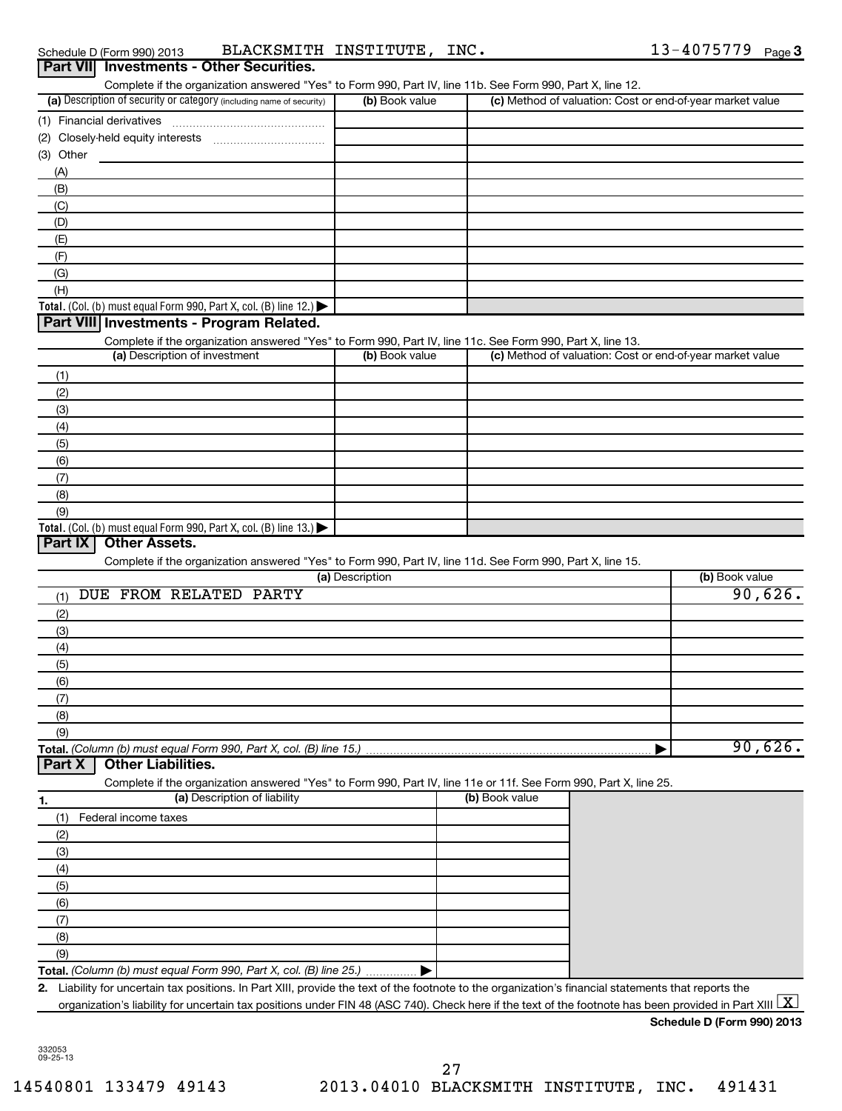| Schedule D (Form 990) |
|-----------------------|
|-----------------------|

Schedule D (Form 990) 2013 Page BLACKSMITH INSTITUTE, INC. 13-4075779

| Part VII Investments - Other Securities.                                                                                                                                           |                 |                                                           |                |
|------------------------------------------------------------------------------------------------------------------------------------------------------------------------------------|-----------------|-----------------------------------------------------------|----------------|
| Complete if the organization answered "Yes" to Form 990, Part IV, line 11b. See Form 990, Part X, line 12.<br>(a) Description of security or category (including name of security) | (b) Book value  | (c) Method of valuation: Cost or end-of-year market value |                |
|                                                                                                                                                                                    |                 |                                                           |                |
|                                                                                                                                                                                    |                 |                                                           |                |
| (3) Other                                                                                                                                                                          |                 |                                                           |                |
| (A)                                                                                                                                                                                |                 |                                                           |                |
| (B)                                                                                                                                                                                |                 |                                                           |                |
| (C)                                                                                                                                                                                |                 |                                                           |                |
| (D)                                                                                                                                                                                |                 |                                                           |                |
| (E)                                                                                                                                                                                |                 |                                                           |                |
| (F)                                                                                                                                                                                |                 |                                                           |                |
| (G)                                                                                                                                                                                |                 |                                                           |                |
| (H)                                                                                                                                                                                |                 |                                                           |                |
| Total. (Col. (b) must equal Form 990, Part X, col. (B) line 12.) $\blacktriangleright$                                                                                             |                 |                                                           |                |
| Part VIII Investments - Program Related.                                                                                                                                           |                 |                                                           |                |
| Complete if the organization answered "Yes" to Form 990, Part IV, line 11c. See Form 990, Part X, line 13.                                                                         |                 |                                                           |                |
| (a) Description of investment                                                                                                                                                      | (b) Book value  | (c) Method of valuation: Cost or end-of-year market value |                |
| (1)                                                                                                                                                                                |                 |                                                           |                |
| (2)                                                                                                                                                                                |                 |                                                           |                |
| (3)                                                                                                                                                                                |                 |                                                           |                |
| (4)                                                                                                                                                                                |                 |                                                           |                |
| (5)                                                                                                                                                                                |                 |                                                           |                |
| (6)                                                                                                                                                                                |                 |                                                           |                |
| (7)                                                                                                                                                                                |                 |                                                           |                |
| (8)                                                                                                                                                                                |                 |                                                           |                |
| (9)                                                                                                                                                                                |                 |                                                           |                |
| Total. (Col. (b) must equal Form 990, Part X, col. (B) line 13.) $\blacktriangleright$                                                                                             |                 |                                                           |                |
| Part IX<br><b>Other Assets.</b>                                                                                                                                                    |                 |                                                           |                |
| Complete if the organization answered "Yes" to Form 990, Part IV, line 11d. See Form 990, Part X, line 15.                                                                         |                 |                                                           |                |
|                                                                                                                                                                                    | (a) Description |                                                           | (b) Book value |
| DUE FROM RELATED PARTY<br>(1)                                                                                                                                                      |                 |                                                           | 90,626.        |
| (2)                                                                                                                                                                                |                 |                                                           |                |
| (3)                                                                                                                                                                                |                 |                                                           |                |
| (4)                                                                                                                                                                                |                 |                                                           |                |
| (5)                                                                                                                                                                                |                 |                                                           |                |
| (6)                                                                                                                                                                                |                 |                                                           |                |
| (7)                                                                                                                                                                                |                 |                                                           |                |
| (8)                                                                                                                                                                                |                 |                                                           |                |
| (9)                                                                                                                                                                                |                 |                                                           |                |
| Total. (Column (b) must equal Form 990, Part X, col. (B) line 15.).                                                                                                                |                 |                                                           | 90,626.        |
| <b>Other Liabilities.</b><br>Part X                                                                                                                                                |                 |                                                           |                |
| Complete if the organization answered "Yes" to Form 990, Part IV, line 11e or 11f. See Form 990, Part X, line 25.                                                                  |                 |                                                           |                |
| (a) Description of liability<br>1.                                                                                                                                                 |                 | (b) Book value                                            |                |
| Federal income taxes<br>(1)                                                                                                                                                        |                 |                                                           |                |
| (2)                                                                                                                                                                                |                 |                                                           |                |
| (3)                                                                                                                                                                                |                 |                                                           |                |
| (4)                                                                                                                                                                                |                 |                                                           |                |
| (5)                                                                                                                                                                                |                 |                                                           |                |
| (6)                                                                                                                                                                                |                 |                                                           |                |
| (7)                                                                                                                                                                                |                 |                                                           |                |
| (8)                                                                                                                                                                                |                 |                                                           |                |
| (9)                                                                                                                                                                                |                 |                                                           |                |
| Total. (Column (b) must equal Form 990, Part X, col. (B) line 25.)                                                                                                                 |                 |                                                           |                |
| Liability for uncertain tax positions. In Part XIII, provide the text of the footnote to the organization's financial statements that reports the<br>2.                            |                 |                                                           |                |
| organization's liability for uncertain tax positions under FIN 48 (ASC 740). Check here if the text of the footnote has been provided in Part XIII $\lfloor$ X                     |                 |                                                           |                |
|                                                                                                                                                                                    |                 |                                                           |                |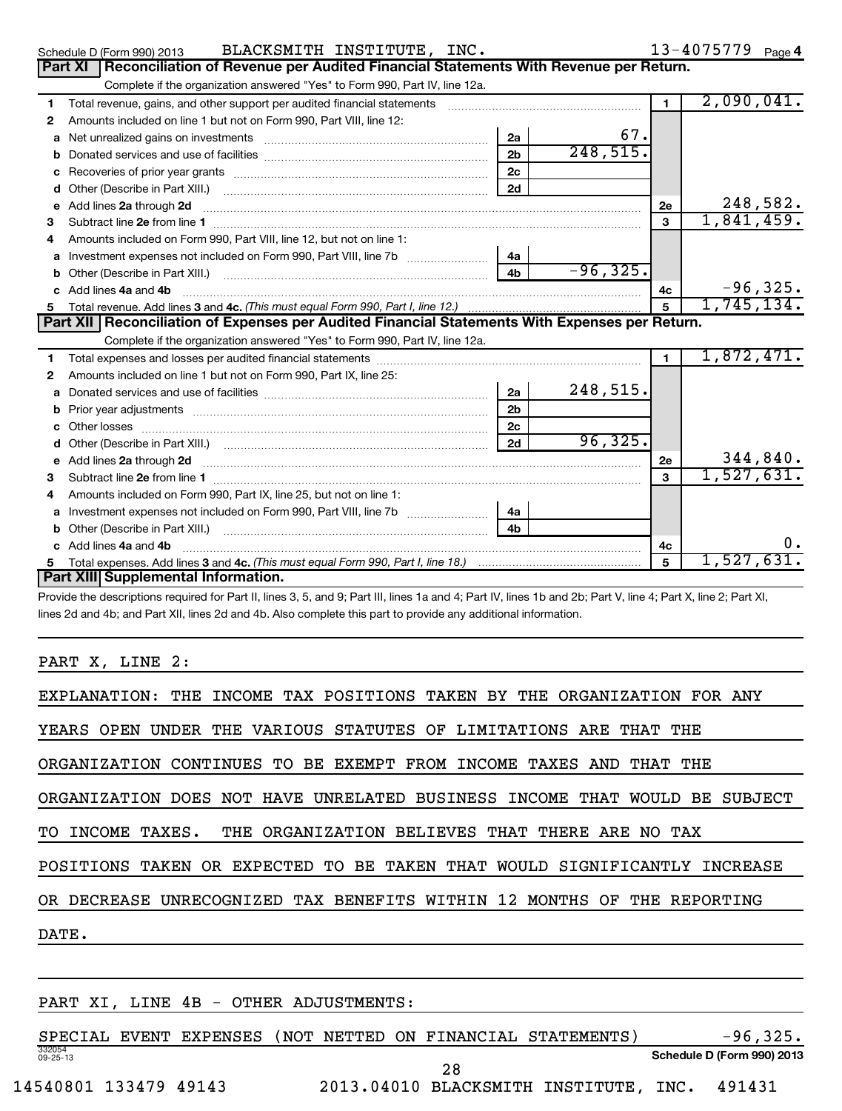|    | BLACKSMITH INSTITUTE, INC.<br>Schedule D (Form 990) 2013                                                                                                                                                                           | 13-4075779 Page 4            |
|----|------------------------------------------------------------------------------------------------------------------------------------------------------------------------------------------------------------------------------------|------------------------------|
|    | Reconciliation of Revenue per Audited Financial Statements With Revenue per Return.<br>Part XI                                                                                                                                     |                              |
|    | Complete if the organization answered "Yes" to Form 990, Part IV, line 12a.                                                                                                                                                        |                              |
| 1  | Total revenue, gains, and other support per audited financial statements [111] [11] Total revenue, gains, and other support per audited financial statements                                                                       | 2,090,041.<br>$\blacksquare$ |
| 2  | Amounts included on line 1 but not on Form 990, Part VIII, line 12:                                                                                                                                                                |                              |
| a  | 2a                                                                                                                                                                                                                                 | 67.                          |
| b  | 2 <sub>b</sub>                                                                                                                                                                                                                     | 248,515.                     |
| c  | 2c<br>Recoveries of prior year grants [11,111] Recoveries of prior year grants [11,111] Recoveries of prior year grants                                                                                                            |                              |
| d  | 2d<br>Other (Describe in Part XIII.)                                                                                                                                                                                               |                              |
| е  | Add lines 2a through 2d                                                                                                                                                                                                            | 248,582.<br>2e               |
| 3  |                                                                                                                                                                                                                                    | 1,841,459.<br>3              |
|    | Amounts included on Form 990, Part VIII, line 12, but not on line 1:                                                                                                                                                               |                              |
| a  | 4a                                                                                                                                                                                                                                 |                              |
| b  | 4 <sub>b</sub>                                                                                                                                                                                                                     | $-96, 325.$                  |
|    | Add lines 4a and 4b                                                                                                                                                                                                                | $-96, 325.$<br>4c            |
| 5. |                                                                                                                                                                                                                                    | 1,745,134.<br>$\overline{5}$ |
|    | Part XII   Reconciliation of Expenses per Audited Financial Statements With Expenses per Return.                                                                                                                                   |                              |
|    | Complete if the organization answered "Yes" to Form 990, Part IV, line 12a.                                                                                                                                                        |                              |
| 1  |                                                                                                                                                                                                                                    | 1,872,471.<br>$\blacksquare$ |
| 2  | Amounts included on line 1 but not on Form 990, Part IX, line 25:                                                                                                                                                                  |                              |
| a  | 2a                                                                                                                                                                                                                                 | 248,515.                     |
| b  | 2 <sub>b</sub>                                                                                                                                                                                                                     |                              |
| с  | 2 <sub>c</sub>                                                                                                                                                                                                                     |                              |
|    | 2d                                                                                                                                                                                                                                 | 96, 325.                     |
| e  | Add lines 2a through 2d <b>[10]</b> Communication and the state of the state of the state of the state of the state of the state of the state of the state of the state of the state of the state of the state of the state of the | 344,840.<br>2e               |
| 3  |                                                                                                                                                                                                                                    | 1,527,631.<br>$\mathbf{a}$   |
| 4  | Amounts included on Form 990, Part IX, line 25, but not on line 1:                                                                                                                                                                 |                              |
| a  | 4а                                                                                                                                                                                                                                 |                              |
| b  | 4 <sub>b</sub>                                                                                                                                                                                                                     |                              |
|    | Add lines 4a and 4b                                                                                                                                                                                                                | υ.<br>4c                     |
| 5  |                                                                                                                                                                                                                                    | 1,527,631.<br>5              |
|    | Part XIII Supplemental Information.                                                                                                                                                                                                |                              |

Provide the descriptions required for Part II, lines 3, 5, and 9; Part III, lines 1a and 4; Part IV, lines 1b and 2b; Part V, line 4; Part X, line 2; Part XI, lines 2d and 4b; and Part XII, lines 2d and 4b. Also complete this part to provide any additional information.

PART X, LINE 2:

| EXPLANATION: THE INCOME TAX POSITIONS TAKEN BY THE ORGANIZATION FOR ANY    |
|----------------------------------------------------------------------------|
| YEARS OPEN UNDER THE VARIOUS STATUTES OF LIMITATIONS ARE THAT THE          |
| ORGANIZATION CONTINUES TO BE EXEMPT FROM INCOME TAXES AND THAT THE         |
| ORGANIZATION DOES NOT HAVE UNRELATED BUSINESS INCOME THAT WOULD BE SUBJECT |
| TO INCOME TAXES. THE ORGANIZATION BELIEVES THAT THERE ARE NO TAX           |
| POSITIONS TAKEN OR EXPECTED TO BE TAKEN THAT WOULD SIGNIFICANTLY INCREASE  |
| OR DECREASE UNRECOGNIZED TAX BENEFITS WITHIN 12 MONTHS OF THE REPORTING    |
| DATE.                                                                      |
|                                                                            |

## PART XI, LINE 4B - OTHER ADJUSTMENTS:

332054 09-25-13 **Schedule D (Form 990) 2013** SPECIAL EVENT EXPENSES (NOT NETTED ON FINANCIAL STATEMENTS) -96,325. 14540801 133479 49143 2013.04010 BLACKSMITH INSTITUTE, INC. 491431 28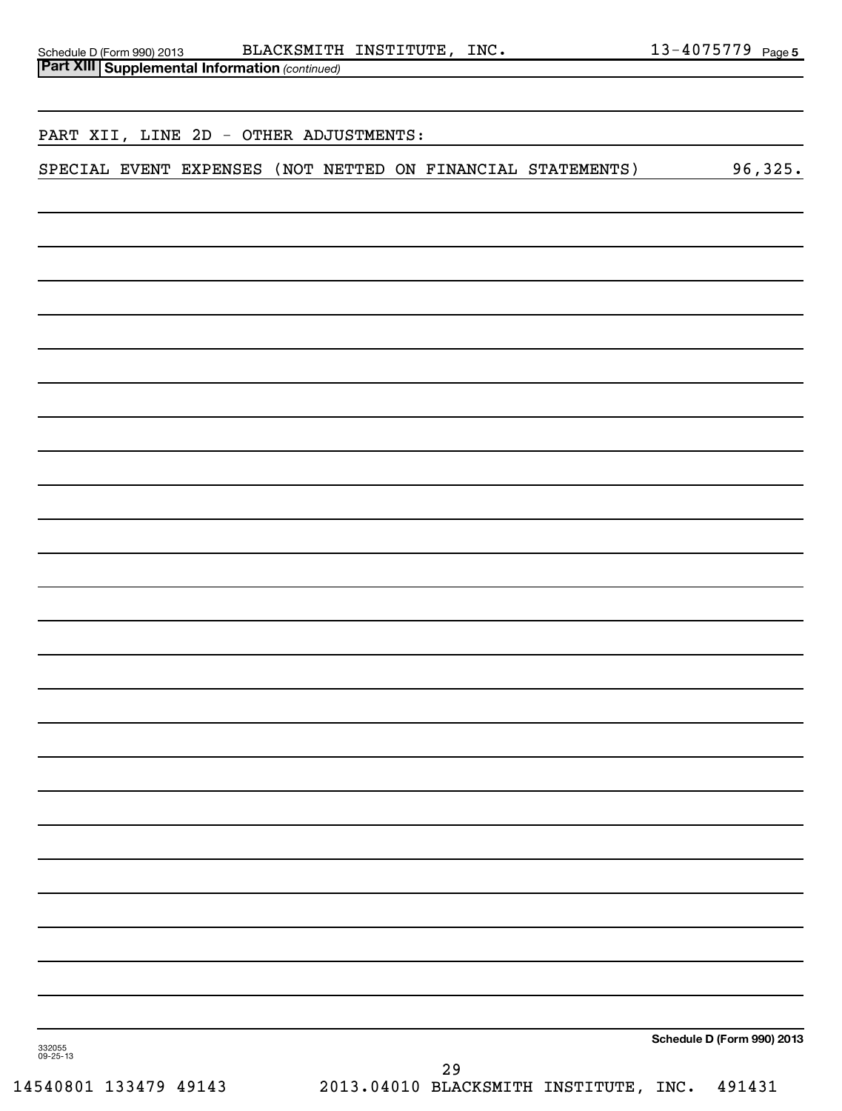|          |  | <b>Part XIII   Supplemental Information (continued)</b> |  |  |    |                                                             |                            |
|----------|--|---------------------------------------------------------|--|--|----|-------------------------------------------------------------|----------------------------|
|          |  |                                                         |  |  |    |                                                             |                            |
|          |  | PART XII, LINE 2D - OTHER ADJUSTMENTS:                  |  |  |    |                                                             |                            |
|          |  |                                                         |  |  |    |                                                             |                            |
|          |  |                                                         |  |  |    | SPECIAL EVENT EXPENSES (NOT NETTED ON FINANCIAL STATEMENTS) | 96,325.                    |
|          |  |                                                         |  |  |    |                                                             |                            |
|          |  |                                                         |  |  |    |                                                             |                            |
|          |  |                                                         |  |  |    |                                                             |                            |
|          |  |                                                         |  |  |    |                                                             |                            |
|          |  |                                                         |  |  |    |                                                             |                            |
|          |  |                                                         |  |  |    |                                                             |                            |
|          |  |                                                         |  |  |    |                                                             |                            |
|          |  |                                                         |  |  |    |                                                             |                            |
|          |  |                                                         |  |  |    |                                                             |                            |
|          |  |                                                         |  |  |    |                                                             |                            |
|          |  |                                                         |  |  |    |                                                             |                            |
|          |  |                                                         |  |  |    |                                                             |                            |
|          |  |                                                         |  |  |    |                                                             |                            |
|          |  |                                                         |  |  |    |                                                             |                            |
|          |  |                                                         |  |  |    |                                                             |                            |
|          |  |                                                         |  |  |    |                                                             |                            |
|          |  |                                                         |  |  |    |                                                             |                            |
|          |  |                                                         |  |  |    |                                                             |                            |
|          |  |                                                         |  |  |    |                                                             |                            |
|          |  |                                                         |  |  |    |                                                             |                            |
|          |  |                                                         |  |  |    |                                                             |                            |
|          |  |                                                         |  |  |    |                                                             |                            |
|          |  |                                                         |  |  |    |                                                             |                            |
|          |  |                                                         |  |  |    |                                                             |                            |
|          |  |                                                         |  |  |    |                                                             |                            |
|          |  |                                                         |  |  |    |                                                             |                            |
|          |  |                                                         |  |  |    |                                                             |                            |
|          |  |                                                         |  |  |    |                                                             |                            |
| 332055   |  |                                                         |  |  |    |                                                             | Schedule D (Form 990) 2013 |
| 09-25-13 |  |                                                         |  |  | 29 |                                                             |                            |

14540801 133479 49143 2013.04010 BLACKSMITH INSTITUTE, INC. 491431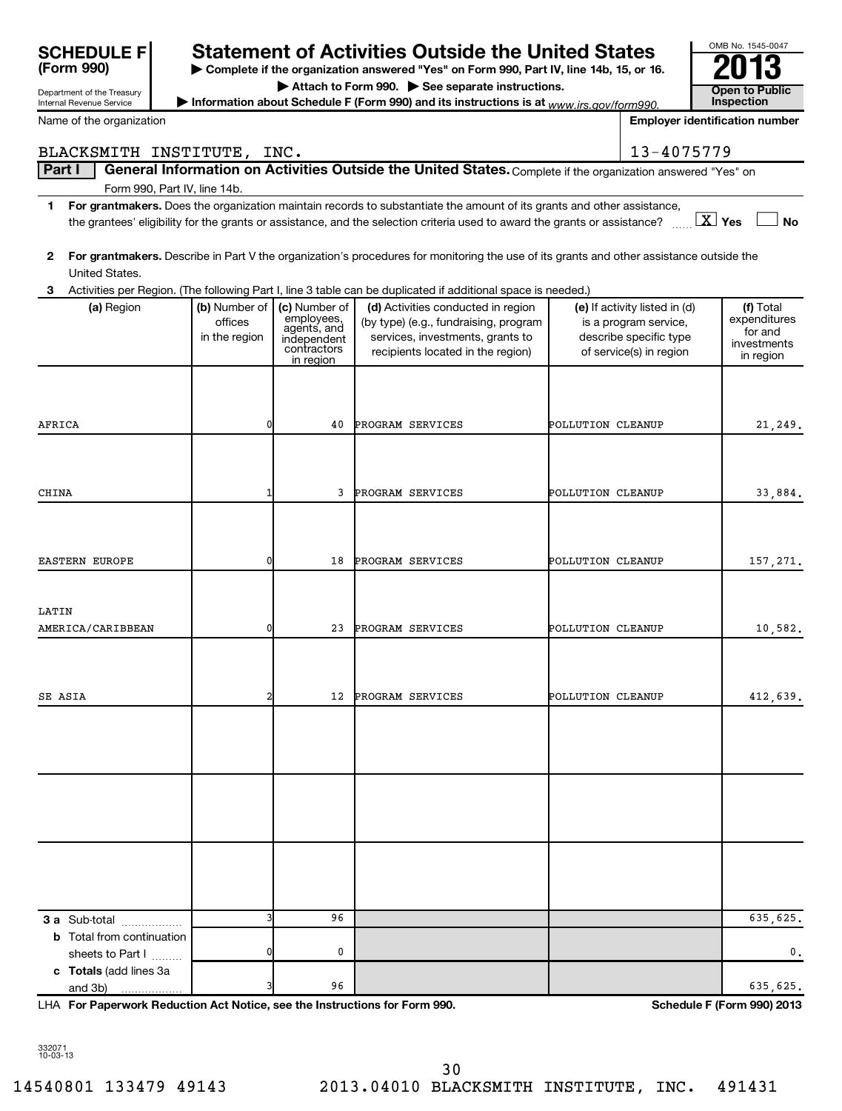| <b>SCHEDULE FI</b>                                     |                                           |                                                                                       | <b>Statement of Activities Outside the United States</b>                                                                                                                                                                                                                               |                   |                                                                                                             | OMB No. 1545-0047                                                |
|--------------------------------------------------------|-------------------------------------------|---------------------------------------------------------------------------------------|----------------------------------------------------------------------------------------------------------------------------------------------------------------------------------------------------------------------------------------------------------------------------------------|-------------------|-------------------------------------------------------------------------------------------------------------|------------------------------------------------------------------|
| (Form 990)                                             |                                           |                                                                                       | Complete if the organization answered "Yes" on Form 990, Part IV, line 14b, 15, or 16.                                                                                                                                                                                                 |                   |                                                                                                             |                                                                  |
| Department of the Treasury<br>Internal Revenue Service |                                           |                                                                                       | Attach to Form 990. See separate instructions.<br>Information about Schedule F (Form 990) and its instructions is at $www.irs.gov/form990$ .                                                                                                                                           |                   |                                                                                                             | <b>Open to Public</b><br><b>Inspection</b>                       |
| Name of the organization                               |                                           |                                                                                       |                                                                                                                                                                                                                                                                                        |                   |                                                                                                             | <b>Employer identification number</b>                            |
| BLACKSMITH INSTITUTE, INC.                             |                                           |                                                                                       |                                                                                                                                                                                                                                                                                        |                   | 13-4075779                                                                                                  |                                                                  |
| Part I                                                 |                                           |                                                                                       | General Information on Activities Outside the United States. Complete if the organization answered "Yes" on                                                                                                                                                                            |                   |                                                                                                             |                                                                  |
|                                                        | Form 990, Part IV, line 14b.              |                                                                                       |                                                                                                                                                                                                                                                                                        |                   |                                                                                                             |                                                                  |
| 1.                                                     |                                           |                                                                                       | For grantmakers. Does the organization maintain records to substantiate the amount of its grants and other assistance,<br>the grantees' eligibility for the grants or assistance, and the selection criteria used to award the grants or assistance? $\ldots$ $\boxed{\textbf{X}}$ Yes |                   |                                                                                                             | <b>No</b>                                                        |
| $\mathbf{2}$<br>United States.                         |                                           |                                                                                       | For grantmakers. Describe in Part V the organization's procedures for monitoring the use of its grants and other assistance outside the                                                                                                                                                |                   |                                                                                                             |                                                                  |
| 3                                                      |                                           |                                                                                       | Activities per Region. (The following Part I, line 3 table can be duplicated if additional space is needed.)                                                                                                                                                                           |                   |                                                                                                             |                                                                  |
| (a) Region                                             | (b) Number of<br>offices<br>in the region | (c) Number of<br>employees,<br>agents, and<br>independent<br>contractors<br>in region | (d) Activities conducted in region<br>(by type) (e.g., fundraising, program<br>services, investments, grants to<br>recipients located in the region)                                                                                                                                   |                   | (e) If activity listed in (d)<br>is a program service,<br>describe specific type<br>of service(s) in region | (f) Total<br>expenditures<br>for and<br>investments<br>in region |
|                                                        |                                           |                                                                                       |                                                                                                                                                                                                                                                                                        |                   |                                                                                                             |                                                                  |
| AFRICA                                                 | 0                                         | 40                                                                                    | PROGRAM SERVICES                                                                                                                                                                                                                                                                       | POLLUTION CLEANUP |                                                                                                             | 21,249.                                                          |
|                                                        |                                           |                                                                                       |                                                                                                                                                                                                                                                                                        |                   |                                                                                                             |                                                                  |
| CHINA                                                  | 1                                         | 3                                                                                     | PROGRAM SERVICES                                                                                                                                                                                                                                                                       | POLLUTION CLEANUP |                                                                                                             | 33,884.                                                          |
| <b>EASTERN EUROPE</b>                                  | 0                                         | 18                                                                                    | PROGRAM SERVICES                                                                                                                                                                                                                                                                       | POLLUTION CLEANUP |                                                                                                             | 157,271.                                                         |
| LATIN                                                  |                                           |                                                                                       |                                                                                                                                                                                                                                                                                        |                   |                                                                                                             |                                                                  |
| AMERICA/CARIBBEAN                                      | 0                                         | 23                                                                                    | PROGRAM SERVICES                                                                                                                                                                                                                                                                       | POLLUTION CLEANUP |                                                                                                             | 10,582.                                                          |
|                                                        |                                           |                                                                                       |                                                                                                                                                                                                                                                                                        |                   |                                                                                                             |                                                                  |
| SE ASIA                                                | 2                                         | 12                                                                                    | PROGRAM SERVICES                                                                                                                                                                                                                                                                       | POLLUTION CLEANUP |                                                                                                             | 412,639.                                                         |
|                                                        |                                           |                                                                                       |                                                                                                                                                                                                                                                                                        |                   |                                                                                                             |                                                                  |
|                                                        |                                           |                                                                                       |                                                                                                                                                                                                                                                                                        |                   |                                                                                                             |                                                                  |
| 3 a Sub-total                                          |                                           | 96                                                                                    |                                                                                                                                                                                                                                                                                        |                   |                                                                                                             | 635,625.                                                         |
| <b>b</b> Total from continuation<br>sheets to Part I   | 0                                         | 0                                                                                     |                                                                                                                                                                                                                                                                                        |                   |                                                                                                             | 0.                                                               |
| c Totals (add lines 3a<br>and 3b)                      |                                           | 96                                                                                    |                                                                                                                                                                                                                                                                                        |                   |                                                                                                             | 635,625.                                                         |

**For Paperwork Reduction Act Notice, see the Instructions for Form 990. Schedule F (Form 990) 2013** LHA

332071 10-03-13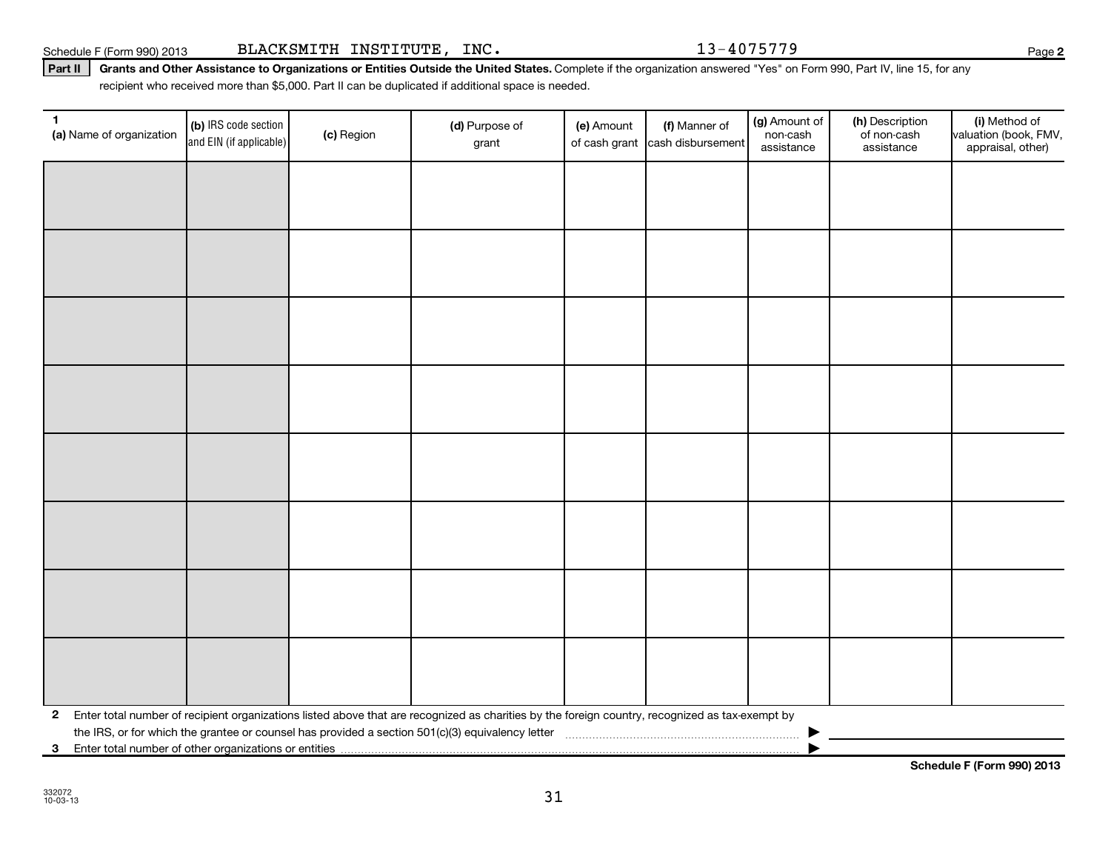**3** Enter total number of other organizations or entities |

**Schedule F (Form 990) 2013**

#### Part II | Grants and Other Assistance to Organizations or Entities Outside the United States. Complete if the organization answered "Yes" on Form 990, Part IV, line 15, for any recipient who received more than \$5,000. Part II can be duplicated if additional space is needed.

| $\mathbf{1}$<br>(a) Name of organization | (b) IRS code section<br>and EIN (if applicable) | (c) Region | (d) Purpose of<br>grant                                                                                                                                                                                                                             | (e) Amount<br>of cash grant | (f) Manner of<br>cash disbursement | (g) Amount of<br>non-cash<br>assistance | (h) Description<br>of non-cash<br>assistance | (i) Method of<br>valuation (book, FMV,<br>appraisal, other) |
|------------------------------------------|-------------------------------------------------|------------|-----------------------------------------------------------------------------------------------------------------------------------------------------------------------------------------------------------------------------------------------------|-----------------------------|------------------------------------|-----------------------------------------|----------------------------------------------|-------------------------------------------------------------|
|                                          |                                                 |            |                                                                                                                                                                                                                                                     |                             |                                    |                                         |                                              |                                                             |
|                                          |                                                 |            |                                                                                                                                                                                                                                                     |                             |                                    |                                         |                                              |                                                             |
|                                          |                                                 |            |                                                                                                                                                                                                                                                     |                             |                                    |                                         |                                              |                                                             |
|                                          |                                                 |            |                                                                                                                                                                                                                                                     |                             |                                    |                                         |                                              |                                                             |
|                                          |                                                 |            |                                                                                                                                                                                                                                                     |                             |                                    |                                         |                                              |                                                             |
|                                          |                                                 |            |                                                                                                                                                                                                                                                     |                             |                                    |                                         |                                              |                                                             |
|                                          |                                                 |            |                                                                                                                                                                                                                                                     |                             |                                    |                                         |                                              |                                                             |
|                                          |                                                 |            |                                                                                                                                                                                                                                                     |                             |                                    |                                         |                                              |                                                             |
|                                          |                                                 |            |                                                                                                                                                                                                                                                     |                             |                                    |                                         |                                              |                                                             |
|                                          |                                                 |            |                                                                                                                                                                                                                                                     |                             |                                    |                                         |                                              |                                                             |
|                                          |                                                 |            |                                                                                                                                                                                                                                                     |                             |                                    |                                         |                                              |                                                             |
|                                          |                                                 |            |                                                                                                                                                                                                                                                     |                             |                                    |                                         |                                              |                                                             |
|                                          |                                                 |            |                                                                                                                                                                                                                                                     |                             |                                    |                                         |                                              |                                                             |
|                                          |                                                 |            |                                                                                                                                                                                                                                                     |                             |                                    |                                         |                                              |                                                             |
|                                          |                                                 |            |                                                                                                                                                                                                                                                     |                             |                                    |                                         |                                              |                                                             |
|                                          |                                                 |            |                                                                                                                                                                                                                                                     |                             |                                    |                                         |                                              |                                                             |
| $\mathbf{2}$                             |                                                 |            | Enter total number of recipient organizations listed above that are recognized as charities by the foreign country, recognized as tax-exempt by<br>the IRS, or for which the grantee or counsel has provided a section 501(c)(3) equivalency letter |                             |                                    |                                         |                                              |                                                             |

31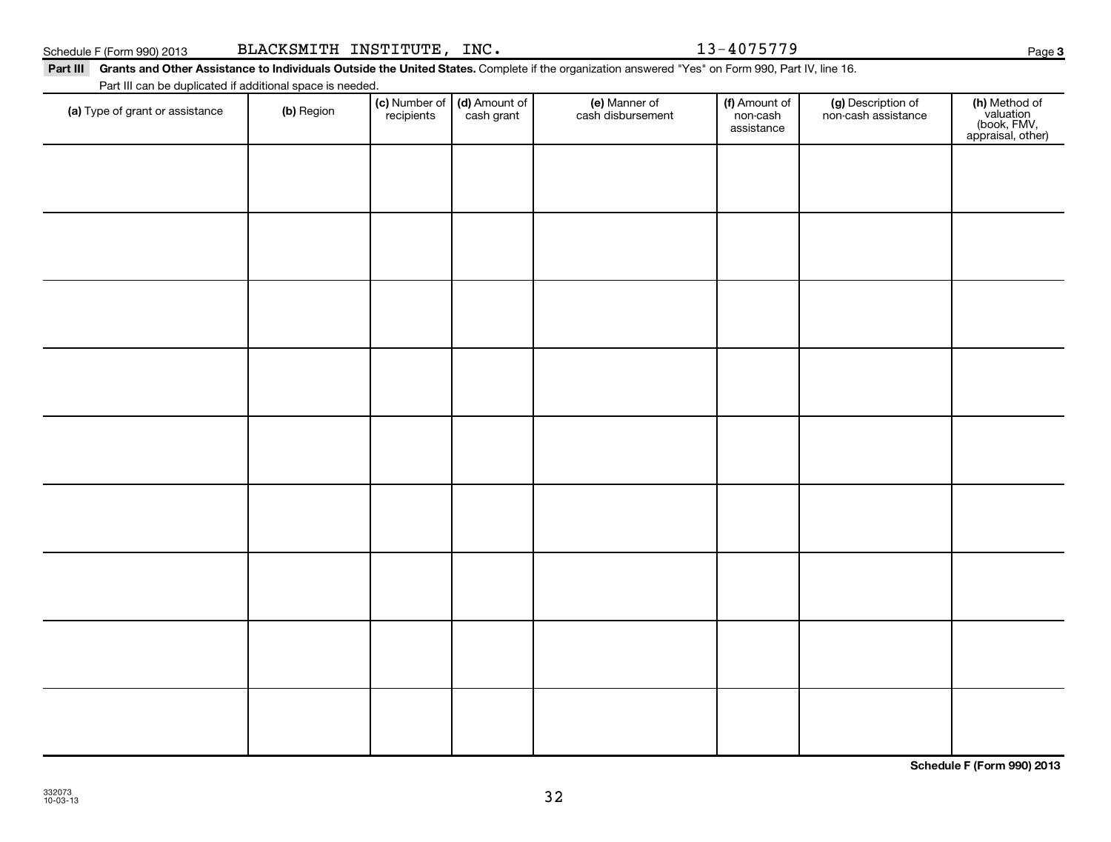**Schedule F (Form 990) 2013**

#### Part III Grants and Other Assistance to Individuals Outside the United States. Complete if the organization answered "Yes" on Form 990, Part IV, line 16.

Part III can be duplicated if additional space is needed.

| Part III can be duplicated if additional space is needed. |            |                                                      |                                    |                                         |                                           |                                                                |
|-----------------------------------------------------------|------------|------------------------------------------------------|------------------------------------|-----------------------------------------|-------------------------------------------|----------------------------------------------------------------|
| (a) Type of grant or assistance                           | (b) Region | (c) Number of (d) Amount of<br>recipients cash grant | (e) Manner of<br>cash disbursement | (f) Amount of<br>non-cash<br>assistance | (g) Description of<br>non-cash assistance | (h) Method of<br>valuation<br>(book, FMV,<br>appraisal, other) |
|                                                           |            |                                                      |                                    |                                         |                                           |                                                                |
|                                                           |            |                                                      |                                    |                                         |                                           |                                                                |
|                                                           |            |                                                      |                                    |                                         |                                           |                                                                |
|                                                           |            |                                                      |                                    |                                         |                                           |                                                                |
|                                                           |            |                                                      |                                    |                                         |                                           |                                                                |
|                                                           |            |                                                      |                                    |                                         |                                           |                                                                |
|                                                           |            |                                                      |                                    |                                         |                                           |                                                                |
|                                                           |            |                                                      |                                    |                                         |                                           |                                                                |
|                                                           |            |                                                      |                                    |                                         |                                           |                                                                |
|                                                           |            |                                                      |                                    |                                         |                                           |                                                                |
|                                                           |            |                                                      |                                    |                                         |                                           |                                                                |
|                                                           |            |                                                      |                                    |                                         |                                           |                                                                |
|                                                           |            |                                                      |                                    |                                         |                                           |                                                                |
|                                                           |            |                                                      |                                    |                                         |                                           |                                                                |
|                                                           |            |                                                      |                                    |                                         |                                           |                                                                |
|                                                           |            |                                                      |                                    |                                         |                                           |                                                                |
|                                                           |            |                                                      |                                    |                                         |                                           |                                                                |
|                                                           |            |                                                      |                                    |                                         |                                           |                                                                |
|                                                           |            |                                                      |                                    |                                         |                                           |                                                                |

32

| Schedule F (Form 990) 2013 | BLACKSMITH INSTITUTE,<br>INC. | $.3 - 4075779$ | Page |
|----------------------------|-------------------------------|----------------|------|
|----------------------------|-------------------------------|----------------|------|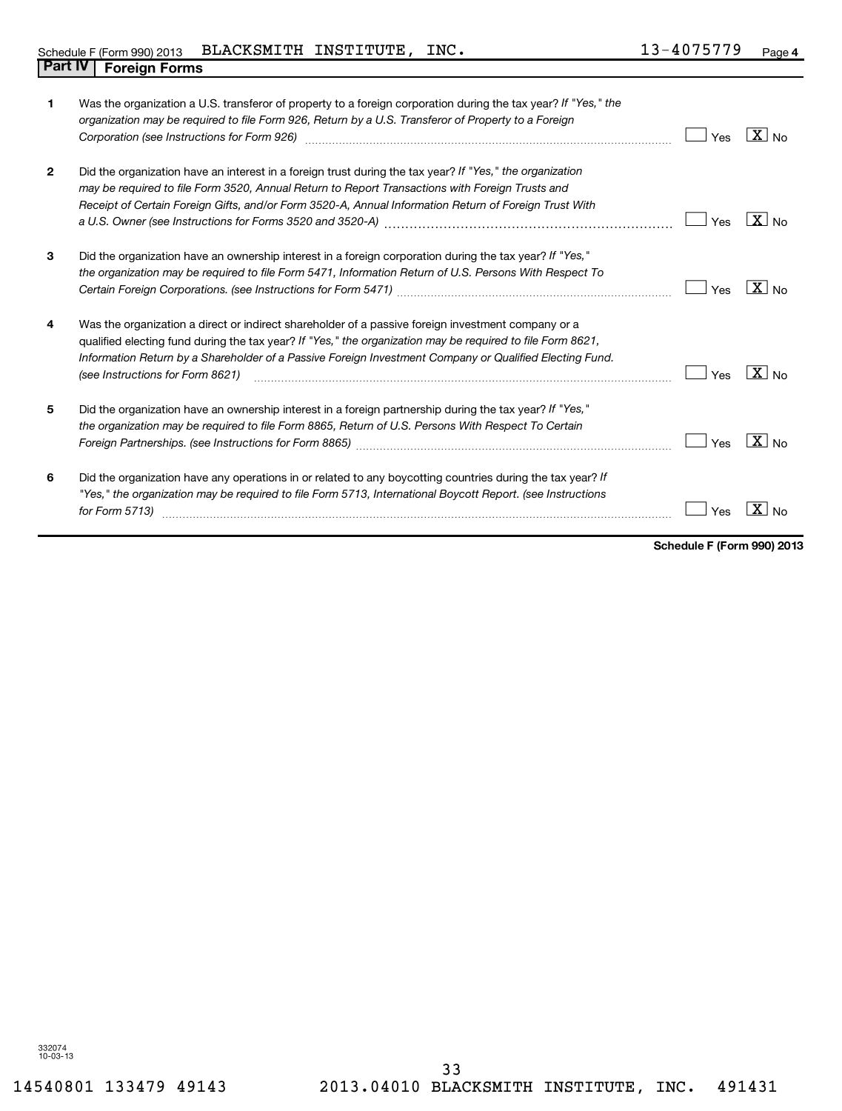| 1            | Was the organization a U.S. transferor of property to a foreign corporation during the tax year? If "Yes," the<br>organization may be required to file Form 926, Return by a U.S. Transferor of Property to a Foreign<br>Corporation (see Instructions for Form 926) [11] matter continuum matter of the Instruction (see Instructions for Form 926)            | Yes | $\overline{\mathbf{X}}$ No |
|--------------|-----------------------------------------------------------------------------------------------------------------------------------------------------------------------------------------------------------------------------------------------------------------------------------------------------------------------------------------------------------------|-----|----------------------------|
| $\mathbf{2}$ | Did the organization have an interest in a foreign trust during the tax year? If "Yes," the organization<br>may be required to file Form 3520, Annual Return to Report Transactions with Foreign Trusts and<br>Receipt of Certain Foreign Gifts, and/or Form 3520-A, Annual Information Return of Foreign Trust With                                            | Yes | $X _{N0}$                  |
| 3            | Did the organization have an ownership interest in a foreign corporation during the tax year? If "Yes,"<br>the organization may be required to file Form 5471, Information Return of U.S. Persons With Respect To                                                                                                                                               | Yes | $X _{N_Q}$                 |
| 4            | Was the organization a direct or indirect shareholder of a passive foreign investment company or a<br>qualified electing fund during the tax year? If "Yes," the organization may be required to file Form 8621,<br>Information Return by a Shareholder of a Passive Foreign Investment Company or Qualified Electing Fund.<br>(see Instructions for Form 8621) | Yes | $ X _{\sf No}$             |
| 5            | Did the organization have an ownership interest in a foreign partnership during the tax year? If "Yes,"<br>the organization may be required to file Form 8865, Return of U.S. Persons With Respect To Certain                                                                                                                                                   | Yes | N <sub>0</sub>             |
| 6            | Did the organization have any operations in or related to any boycotting countries during the tax year? If<br>"Yes," the organization may be required to file Form 5713, International Boycott Report. (see Instructions<br>for Form 5713)                                                                                                                      | Yes |                            |

**Schedule F (Form 990) 2013**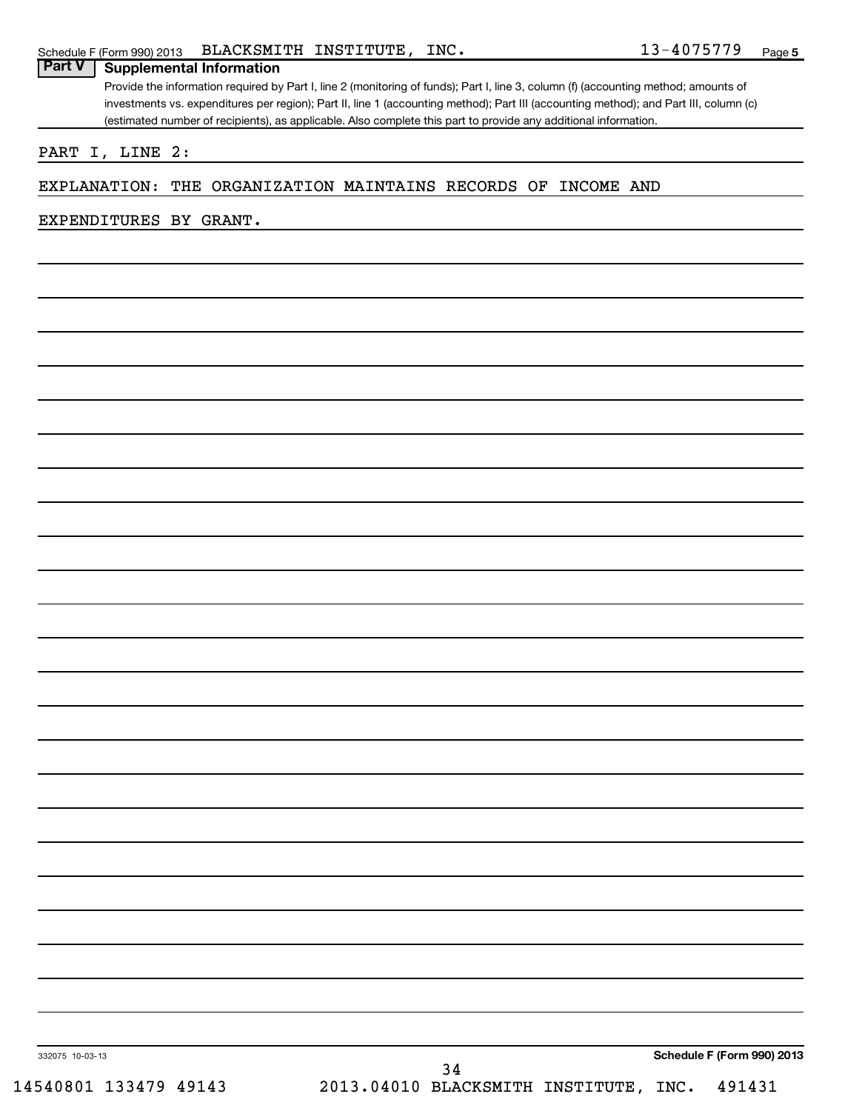| PART I, LINE 2:                                    |  |  |                   |  |
|----------------------------------------------------|--|--|-------------------|--|
| EXPLANATION: THE ORGANIZATION MAINTAINS RECORDS OF |  |  | <b>INCOME AND</b> |  |
| EXPENDITURES BY GRANT.                             |  |  |                   |  |
|                                                    |  |  |                   |  |
|                                                    |  |  |                   |  |
|                                                    |  |  |                   |  |
|                                                    |  |  |                   |  |
|                                                    |  |  |                   |  |
|                                                    |  |  |                   |  |
|                                                    |  |  |                   |  |
|                                                    |  |  |                   |  |
|                                                    |  |  |                   |  |
|                                                    |  |  |                   |  |
|                                                    |  |  |                   |  |
|                                                    |  |  |                   |  |
|                                                    |  |  |                   |  |
|                                                    |  |  |                   |  |
|                                                    |  |  |                   |  |
|                                                    |  |  |                   |  |
|                                                    |  |  |                   |  |
|                                                    |  |  |                   |  |
|                                                    |  |  |                   |  |
|                                                    |  |  |                   |  |
|                                                    |  |  |                   |  |
|                                                    |  |  |                   |  |
|                                                    |  |  |                   |  |
|                                                    |  |  |                   |  |
|                                                    |  |  |                   |  |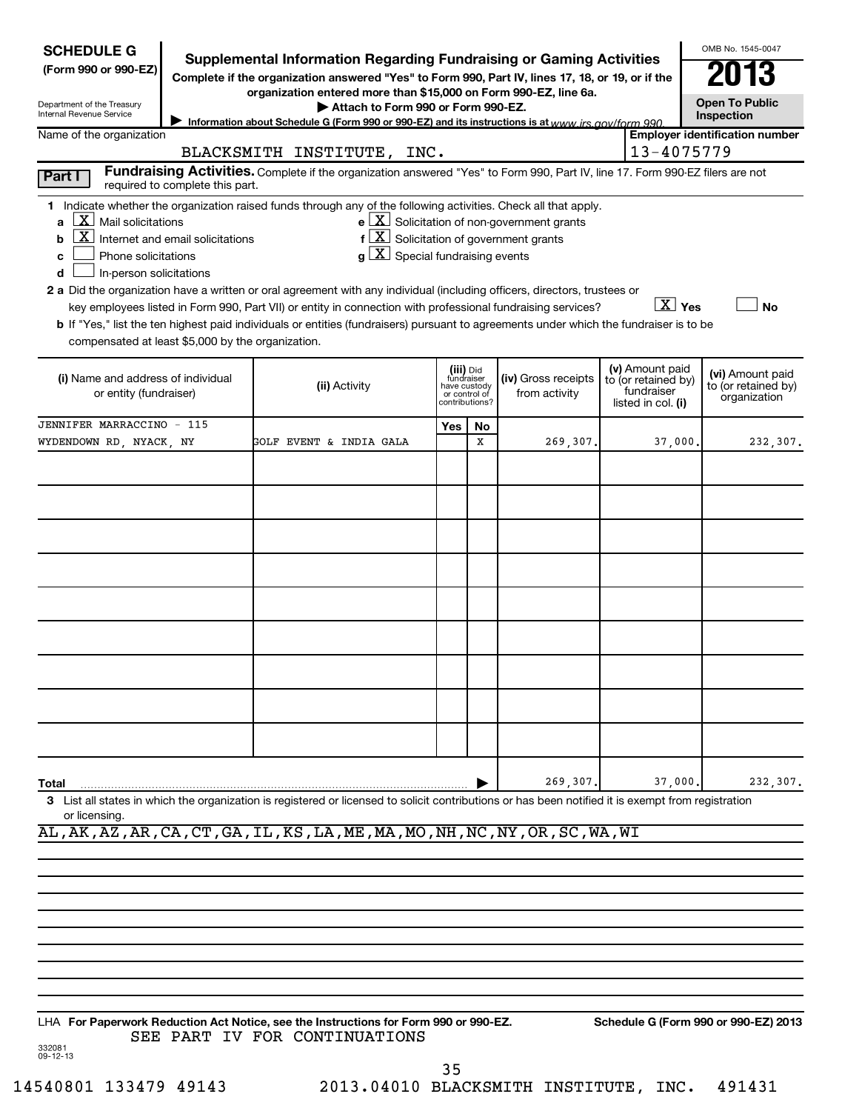| <b>SCHEDULE G</b>                                                                                                                      |                                                                                                   | Supplemental Information Regarding Fundraising or Gaming Activities                                                                                                                                                                                                                                                                                                                                                                                                                               |                                                                            |    |                                                              |  |                                                                            | OMB No. 1545-0047                                       |  |
|----------------------------------------------------------------------------------------------------------------------------------------|---------------------------------------------------------------------------------------------------|---------------------------------------------------------------------------------------------------------------------------------------------------------------------------------------------------------------------------------------------------------------------------------------------------------------------------------------------------------------------------------------------------------------------------------------------------------------------------------------------------|----------------------------------------------------------------------------|----|--------------------------------------------------------------|--|----------------------------------------------------------------------------|---------------------------------------------------------|--|
| (Form 990 or 990-EZ)                                                                                                                   |                                                                                                   | Complete if the organization answered "Yes" to Form 990, Part IV, lines 17, 18, or 19, or if the                                                                                                                                                                                                                                                                                                                                                                                                  |                                                                            |    |                                                              |  |                                                                            |                                                         |  |
| Department of the Treasury                                                                                                             |                                                                                                   | organization entered more than \$15,000 on Form 990-EZ, line 6a.<br>Attach to Form 990 or Form 990-EZ.                                                                                                                                                                                                                                                                                                                                                                                            |                                                                            |    |                                                              |  |                                                                            | <b>Open To Public</b>                                   |  |
| Internal Revenue Service                                                                                                               | Information about Schedule G (Form 990 or 990-EZ) and its instructions is at www irs gov/form 990 |                                                                                                                                                                                                                                                                                                                                                                                                                                                                                                   |                                                                            |    |                                                              |  |                                                                            |                                                         |  |
| Name of the organization                                                                                                               |                                                                                                   | BLACKSMITH INSTITUTE, INC.                                                                                                                                                                                                                                                                                                                                                                                                                                                                        |                                                                            |    |                                                              |  | 13-4075779                                                                 | <b>Employer identification number</b>                   |  |
| Part I                                                                                                                                 | required to complete this part.                                                                   | Fundraising Activities. Complete if the organization answered "Yes" to Form 990, Part IV, line 17. Form 990-EZ filers are not                                                                                                                                                                                                                                                                                                                                                                     |                                                                            |    |                                                              |  |                                                                            |                                                         |  |
| $\lfloor x \rfloor$<br>Mail solicitations<br>a<br>$\lfloor x \rfloor$<br>b<br>Phone solicitations<br>c<br>In-person solicitations<br>d | Internet and email solicitations                                                                  | 1 Indicate whether the organization raised funds through any of the following activities. Check all that apply.<br>$f\left[\frac{\mathbf{X}}{\mathbf{X}}\right]$ Solicitation of government grants<br>$g\lfloor X \rfloor$ Special fundraising events<br>2 a Did the organization have a written or oral agreement with any individual (including officers, directors, trustees or<br>key employees listed in Form 990, Part VII) or entity in connection with professional fundraising services? |                                                                            |    | $e$ $\boxed{\text{X}}$ Solicitation of non-government grants |  | $X \times$                                                                 | <b>No</b>                                               |  |
| compensated at least \$5,000 by the organization.                                                                                      |                                                                                                   | b If "Yes," list the ten highest paid individuals or entities (fundraisers) pursuant to agreements under which the fundraiser is to be                                                                                                                                                                                                                                                                                                                                                            |                                                                            |    |                                                              |  |                                                                            |                                                         |  |
| (i) Name and address of individual<br>or entity (fundraiser)                                                                           |                                                                                                   | (ii) Activity                                                                                                                                                                                                                                                                                                                                                                                                                                                                                     | (iii) Did<br>fundraiser<br>have custody<br>or control of<br>contributions? |    | (iv) Gross receipts<br>from activity                         |  | (v) Amount paid<br>to (or retained by)<br>fundraiser<br>listed in col. (i) | (vi) Amount paid<br>to (or retained by)<br>organization |  |
| JENNIFER MARRACCINO - 115                                                                                                              |                                                                                                   |                                                                                                                                                                                                                                                                                                                                                                                                                                                                                                   | Yes                                                                        | No |                                                              |  |                                                                            |                                                         |  |
| WYDENDOWN RD, NYACK, NY                                                                                                                |                                                                                                   | GOLF EVENT & INDIA GALA                                                                                                                                                                                                                                                                                                                                                                                                                                                                           |                                                                            | X  | 269,307.                                                     |  | 37,000.                                                                    | 232,307.                                                |  |
|                                                                                                                                        |                                                                                                   |                                                                                                                                                                                                                                                                                                                                                                                                                                                                                                   |                                                                            |    |                                                              |  |                                                                            |                                                         |  |
|                                                                                                                                        |                                                                                                   |                                                                                                                                                                                                                                                                                                                                                                                                                                                                                                   |                                                                            |    |                                                              |  |                                                                            |                                                         |  |
|                                                                                                                                        |                                                                                                   |                                                                                                                                                                                                                                                                                                                                                                                                                                                                                                   |                                                                            |    |                                                              |  |                                                                            |                                                         |  |
|                                                                                                                                        |                                                                                                   |                                                                                                                                                                                                                                                                                                                                                                                                                                                                                                   |                                                                            |    |                                                              |  |                                                                            |                                                         |  |
|                                                                                                                                        |                                                                                                   |                                                                                                                                                                                                                                                                                                                                                                                                                                                                                                   |                                                                            |    |                                                              |  |                                                                            |                                                         |  |
|                                                                                                                                        |                                                                                                   |                                                                                                                                                                                                                                                                                                                                                                                                                                                                                                   |                                                                            |    |                                                              |  |                                                                            |                                                         |  |
|                                                                                                                                        |                                                                                                   |                                                                                                                                                                                                                                                                                                                                                                                                                                                                                                   |                                                                            |    |                                                              |  |                                                                            |                                                         |  |
|                                                                                                                                        |                                                                                                   |                                                                                                                                                                                                                                                                                                                                                                                                                                                                                                   |                                                                            |    |                                                              |  |                                                                            |                                                         |  |
|                                                                                                                                        |                                                                                                   |                                                                                                                                                                                                                                                                                                                                                                                                                                                                                                   |                                                                            |    |                                                              |  |                                                                            |                                                         |  |
|                                                                                                                                        |                                                                                                   |                                                                                                                                                                                                                                                                                                                                                                                                                                                                                                   |                                                                            |    |                                                              |  |                                                                            |                                                         |  |
|                                                                                                                                        |                                                                                                   |                                                                                                                                                                                                                                                                                                                                                                                                                                                                                                   |                                                                            |    |                                                              |  |                                                                            |                                                         |  |
|                                                                                                                                        |                                                                                                   |                                                                                                                                                                                                                                                                                                                                                                                                                                                                                                   |                                                                            |    |                                                              |  |                                                                            |                                                         |  |
|                                                                                                                                        |                                                                                                   |                                                                                                                                                                                                                                                                                                                                                                                                                                                                                                   |                                                                            |    | 269,307.                                                     |  | 37,000.                                                                    |                                                         |  |
| Total<br>or licensing.                                                                                                                 |                                                                                                   | 3 List all states in which the organization is registered or licensed to solicit contributions or has been notified it is exempt from registration                                                                                                                                                                                                                                                                                                                                                |                                                                            |    |                                                              |  |                                                                            | 232,307.                                                |  |
|                                                                                                                                        |                                                                                                   | AL, AK, AZ, AR, CA, CT, GA, IL, KS, LA, ME, MA, MO, NH, NC, NY, OR, SC, WA, WI                                                                                                                                                                                                                                                                                                                                                                                                                    |                                                                            |    |                                                              |  |                                                                            |                                                         |  |
|                                                                                                                                        |                                                                                                   |                                                                                                                                                                                                                                                                                                                                                                                                                                                                                                   |                                                                            |    |                                                              |  |                                                                            |                                                         |  |
|                                                                                                                                        |                                                                                                   |                                                                                                                                                                                                                                                                                                                                                                                                                                                                                                   |                                                                            |    |                                                              |  |                                                                            |                                                         |  |
|                                                                                                                                        |                                                                                                   |                                                                                                                                                                                                                                                                                                                                                                                                                                                                                                   |                                                                            |    |                                                              |  |                                                                            |                                                         |  |
|                                                                                                                                        |                                                                                                   |                                                                                                                                                                                                                                                                                                                                                                                                                                                                                                   |                                                                            |    |                                                              |  |                                                                            |                                                         |  |
|                                                                                                                                        |                                                                                                   |                                                                                                                                                                                                                                                                                                                                                                                                                                                                                                   |                                                                            |    |                                                              |  |                                                                            |                                                         |  |
|                                                                                                                                        |                                                                                                   |                                                                                                                                                                                                                                                                                                                                                                                                                                                                                                   |                                                                            |    |                                                              |  |                                                                            |                                                         |  |
|                                                                                                                                        |                                                                                                   |                                                                                                                                                                                                                                                                                                                                                                                                                                                                                                   |                                                                            |    |                                                              |  |                                                                            |                                                         |  |
| 332081<br>09-12-13                                                                                                                     |                                                                                                   | LHA For Paperwork Reduction Act Notice, see the Instructions for Form 990 or 990-EZ.<br>SEE PART IV FOR CONTINUATIONS                                                                                                                                                                                                                                                                                                                                                                             |                                                                            |    |                                                              |  |                                                                            | Schedule G (Form 990 or 990-EZ) 2013                    |  |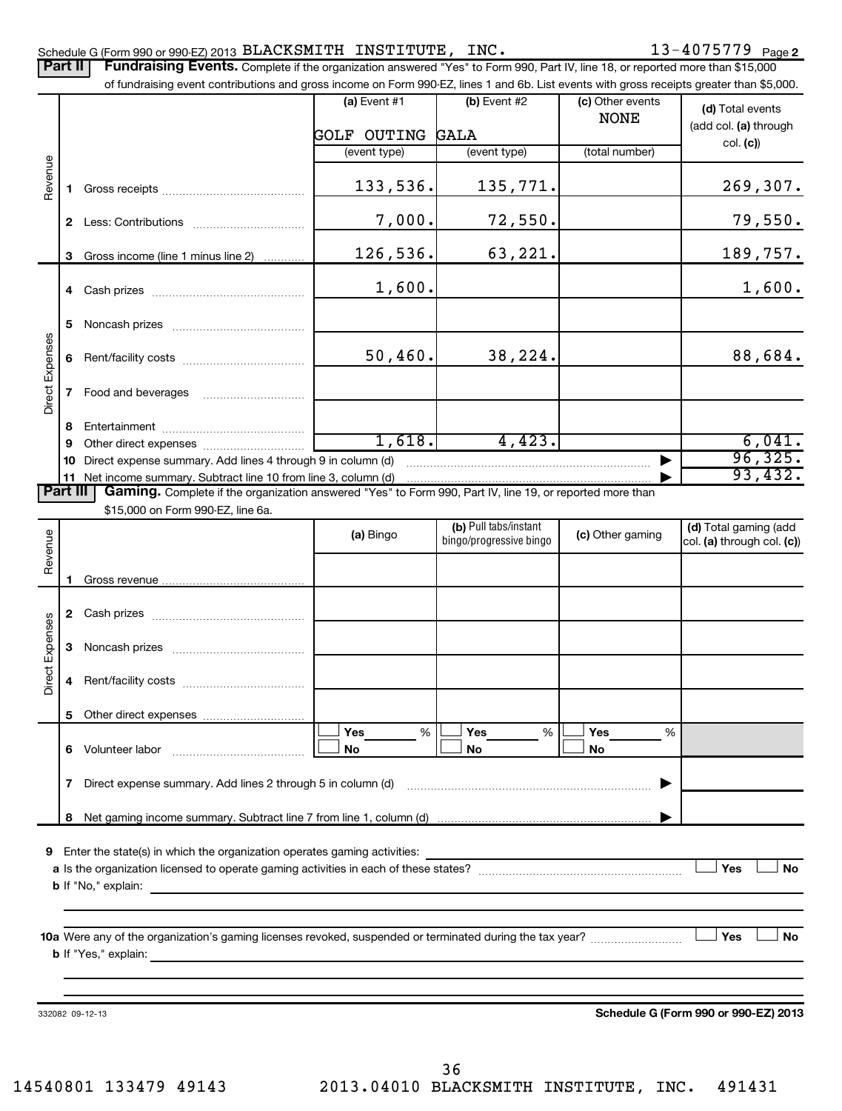## BLACKSMITH INSTITUTE, INC. 13-4075779

|                 | Part II      | Schedule G (Form 990 or 990-EZ) 2013 BLACKSMITH INSTITUTE, INC.<br>Fundraising Events. Complete if the organization answered "Yes" to Form 990, Part IV, line 18, or reported more than \$15,000 |                    |                         |                                 | $13 - 40/5/79$ Page 2                     |
|-----------------|--------------|--------------------------------------------------------------------------------------------------------------------------------------------------------------------------------------------------|--------------------|-------------------------|---------------------------------|-------------------------------------------|
|                 |              | of fundraising event contributions and gross income on Form 990-EZ, lines 1 and 6b. List events with gross receipts greater than \$5,000.                                                        |                    |                         |                                 |                                           |
|                 |              |                                                                                                                                                                                                  | (a) Event $#1$     | $(b)$ Event #2          | (c) Other events<br><b>NONE</b> | (d) Total events<br>(add col. (a) through |
|                 |              |                                                                                                                                                                                                  | <b>GOLF OUTING</b> | <b>GALA</b>             |                                 | col. (c)                                  |
|                 |              |                                                                                                                                                                                                  | (event type)       | (event type)            | (total number)                  |                                           |
| Revenue         | 1.           |                                                                                                                                                                                                  | 133,536.           | 135,771.                |                                 | 269,307.                                  |
|                 |              |                                                                                                                                                                                                  | 7,000.             | 72,550.                 |                                 | 79,550.                                   |
|                 | 3            | Gross income (line 1 minus line 2)                                                                                                                                                               | 126,536.           | 63,221.                 |                                 | 189,757.                                  |
|                 |              |                                                                                                                                                                                                  | 1,600.             |                         |                                 | 1,600.                                    |
|                 | 5            |                                                                                                                                                                                                  |                    |                         |                                 |                                           |
| Direct Expenses | 6            |                                                                                                                                                                                                  | 50,460.            | 38,224.                 |                                 | 88,684.                                   |
|                 | $\mathbf{7}$ | Food and beverages                                                                                                                                                                               |                    |                         |                                 |                                           |
|                 | 8            |                                                                                                                                                                                                  |                    |                         |                                 |                                           |
|                 | 9            |                                                                                                                                                                                                  | 1,618.             | 4,423.                  |                                 | 6,041.                                    |
|                 | 10           | Direct expense summary. Add lines 4 through 9 in column (d)                                                                                                                                      |                    |                         |                                 | 96, 325.                                  |
| <b>Part III</b> |              | 11 Net income summary. Subtract line 10 from line 3, column (d)<br>Gaming. Complete if the organization answered "Yes" to Form 990, Part IV, line 19, or reported more than                      |                    |                         |                                 | 93,432.                                   |
|                 |              | \$15,000 on Form 990-EZ, line 6a.                                                                                                                                                                |                    |                         |                                 |                                           |
|                 |              |                                                                                                                                                                                                  |                    | (b) Pull tabs/instant   | (c) Other gaming                | (d) Total gaming (add                     |
| Revenue         |              |                                                                                                                                                                                                  | (a) Bingo          | bingo/progressive bingo |                                 | col. (a) through col. (c))                |
|                 |              |                                                                                                                                                                                                  |                    |                         |                                 |                                           |
|                 | 1.           |                                                                                                                                                                                                  |                    |                         |                                 |                                           |
|                 |              |                                                                                                                                                                                                  |                    |                         |                                 |                                           |
| ect Expenses    | 3            |                                                                                                                                                                                                  |                    |                         |                                 |                                           |
| ة               |              | 4 Rent/facility costs                                                                                                                                                                            |                    |                         |                                 |                                           |
|                 | 5.           | Other direct expenses                                                                                                                                                                            |                    |                         |                                 |                                           |
|                 |              | 6 Volunteer labor                                                                                                                                                                                | Yes<br>%<br>No     | Yes<br>%<br>No          | Yes<br>%<br>No                  |                                           |
|                 | $\mathbf{7}$ | Direct expense summary. Add lines 2 through 5 in column (d)                                                                                                                                      |                    |                         |                                 |                                           |
|                 |              |                                                                                                                                                                                                  |                    |                         |                                 |                                           |
|                 |              |                                                                                                                                                                                                  |                    |                         |                                 |                                           |
| 9               |              | Enter the state(s) in which the organization operates gaming activities:                                                                                                                         |                    |                         |                                 |                                           |
|                 |              |                                                                                                                                                                                                  |                    |                         |                                 | Yes<br><b>No</b>                          |
|                 |              |                                                                                                                                                                                                  |                    |                         |                                 |                                           |
|                 |              |                                                                                                                                                                                                  |                    |                         |                                 |                                           |
|                 |              |                                                                                                                                                                                                  |                    |                         |                                 | Yes<br>No                                 |
|                 |              | <b>b</b> If "Yes," explain:                                                                                                                                                                      |                    |                         |                                 |                                           |
|                 |              |                                                                                                                                                                                                  |                    |                         |                                 |                                           |
|                 |              |                                                                                                                                                                                                  |                    |                         |                                 |                                           |

332082 09-12-13

**Schedule G (Form 990 or 990-EZ) 2013**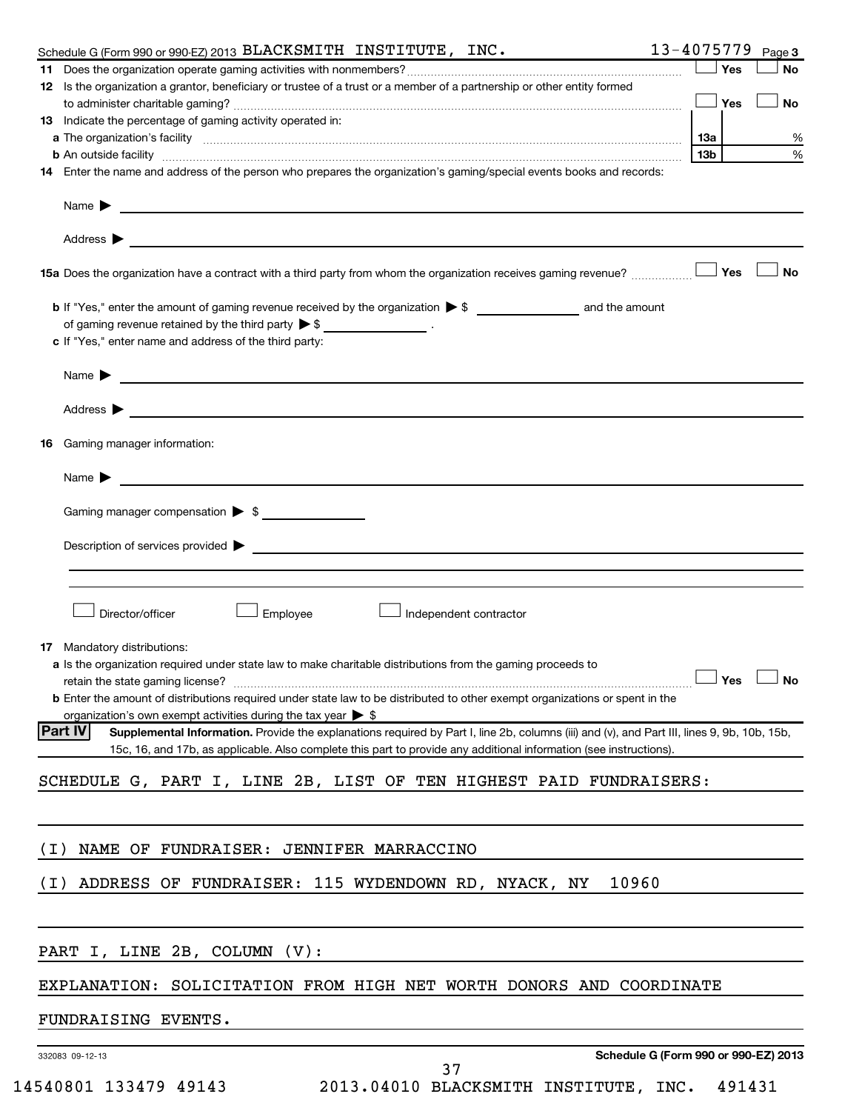|                                                                                      | Schedule G (Form 990 or 990-EZ) 2013 $\mathbf{BLACKSMITH}$ INSTITUTE, INC.                                                                                                                                                    |                                      | 13-4075779     | Page 3    |
|--------------------------------------------------------------------------------------|-------------------------------------------------------------------------------------------------------------------------------------------------------------------------------------------------------------------------------|--------------------------------------|----------------|-----------|
|                                                                                      |                                                                                                                                                                                                                               |                                      | Yes            | <b>No</b> |
|                                                                                      | 12 Is the organization a grantor, beneficiary or trustee of a trust or a member of a partnership or other entity formed                                                                                                       |                                      |                |           |
|                                                                                      |                                                                                                                                                                                                                               |                                      | <b>_l Yes</b>  | No        |
| 13 Indicate the percentage of gaming activity operated in:                           |                                                                                                                                                                                                                               |                                      |                |           |
|                                                                                      | a The organization's facility measurements are constructed as the construction of the construction of the construction of the construction of the construction of the construction of the construction of the construction of |                                      | 1За            | %         |
|                                                                                      |                                                                                                                                                                                                                               |                                      | 13b            | $\%$      |
|                                                                                      | 14 Enter the name and address of the person who prepares the organization's gaming/special events books and records:                                                                                                          |                                      |                |           |
|                                                                                      | Name ▶ <u>────────────────</u>                                                                                                                                                                                                |                                      |                |           |
| Address $\blacktriangleright$                                                        | and the control of the control of the control of the control of the control of the control of the control of the                                                                                                              |                                      |                |           |
|                                                                                      | 15a Does the organization have a contract with a third party from whom the organization receives gaming revenue?                                                                                                              |                                      | Yes            | <b>No</b> |
|                                                                                      |                                                                                                                                                                                                                               |                                      |                |           |
| of gaming revenue retained by the third party $\triangleright$ \$ _________________. |                                                                                                                                                                                                                               |                                      |                |           |
| c If "Yes," enter name and address of the third party:                               |                                                                                                                                                                                                                               |                                      |                |           |
|                                                                                      |                                                                                                                                                                                                                               |                                      |                |           |
|                                                                                      | Name $\blacktriangleright$ $\frac{1}{\sqrt{1-\frac{1}{2}}\left(1-\frac{1}{2}\right)}$                                                                                                                                         |                                      |                |           |
| Address $\blacktriangleright$                                                        | <u> 1989 - Johann John Stone, markin sanat masjid a shekara ta 1989 - An tsara ta 1989 - An tsara ta 1989 - An ts</u>                                                                                                         |                                      |                |           |
| Gaming manager information:<br>16                                                    |                                                                                                                                                                                                                               |                                      |                |           |
| Name $\blacktriangleright$                                                           | <u> 1989 - Andrea State Barbara, amerikan personal di sebagai personal di sebagai personal di sebagai personal di</u>                                                                                                         |                                      |                |           |
|                                                                                      |                                                                                                                                                                                                                               |                                      |                |           |
| Gaming manager compensation > \$                                                     |                                                                                                                                                                                                                               |                                      |                |           |
|                                                                                      |                                                                                                                                                                                                                               |                                      |                |           |
|                                                                                      |                                                                                                                                                                                                                               |                                      |                |           |
|                                                                                      |                                                                                                                                                                                                                               |                                      |                |           |
|                                                                                      |                                                                                                                                                                                                                               |                                      |                |           |
| Director/officer                                                                     | Employee<br>Independent contractor                                                                                                                                                                                            |                                      |                |           |
|                                                                                      |                                                                                                                                                                                                                               |                                      |                |           |
| Mandatory distributions:<br>17                                                       |                                                                                                                                                                                                                               |                                      |                |           |
| retain the state gaming license?                                                     | a Is the organization required under state law to make charitable distributions from the gaming proceeds to                                                                                                                   |                                      | $\sqrt{ }$ Yes | $\Box$ No |
|                                                                                      | <b>b</b> Enter the amount of distributions required under state law to be distributed to other exempt organizations or spent in the                                                                                           |                                      |                |           |
| organization's own exempt activities during the tax year $\triangleright$ \$         |                                                                                                                                                                                                                               |                                      |                |           |
| <b>Part IV</b>                                                                       | Supplemental Information. Provide the explanations required by Part I, line 2b, columns (iii) and (v), and Part III, lines 9, 9b, 10b, 15b,                                                                                   |                                      |                |           |
|                                                                                      | 15c, 16, and 17b, as applicable. Also complete this part to provide any additional information (see instructions).                                                                                                            |                                      |                |           |
|                                                                                      | SCHEDULE G, PART I, LINE 2B, LIST OF TEN HIGHEST PAID FUNDRAISERS:                                                                                                                                                            |                                      |                |           |
|                                                                                      |                                                                                                                                                                                                                               |                                      |                |           |
| ( I )                                                                                | NAME OF FUNDRAISER: JENNIFER MARRACCINO                                                                                                                                                                                       |                                      |                |           |
|                                                                                      |                                                                                                                                                                                                                               |                                      |                |           |
| (I)                                                                                  | ADDRESS OF FUNDRAISER: 115 WYDENDOWN RD, NYACK, NY                                                                                                                                                                            | 10960                                |                |           |
|                                                                                      |                                                                                                                                                                                                                               |                                      |                |           |
| PART I, LINE 2B, COLUMN (V):                                                         |                                                                                                                                                                                                                               |                                      |                |           |
|                                                                                      |                                                                                                                                                                                                                               |                                      |                |           |
|                                                                                      | EXPLANATION: SOLICITATION FROM HIGH NET WORTH DONORS AND COORDINATE                                                                                                                                                           |                                      |                |           |
| FUNDRAISING EVENTS.                                                                  |                                                                                                                                                                                                                               |                                      |                |           |
| 332083 09-12-13                                                                      |                                                                                                                                                                                                                               | Schedule G (Form 990 or 990-EZ) 2013 |                |           |
|                                                                                      | 37                                                                                                                                                                                                                            |                                      |                |           |
| 14540801 133479 49143                                                                | 2013.04010 BLACKSMITH INSTITUTE, INC.                                                                                                                                                                                         |                                      | 491431         |           |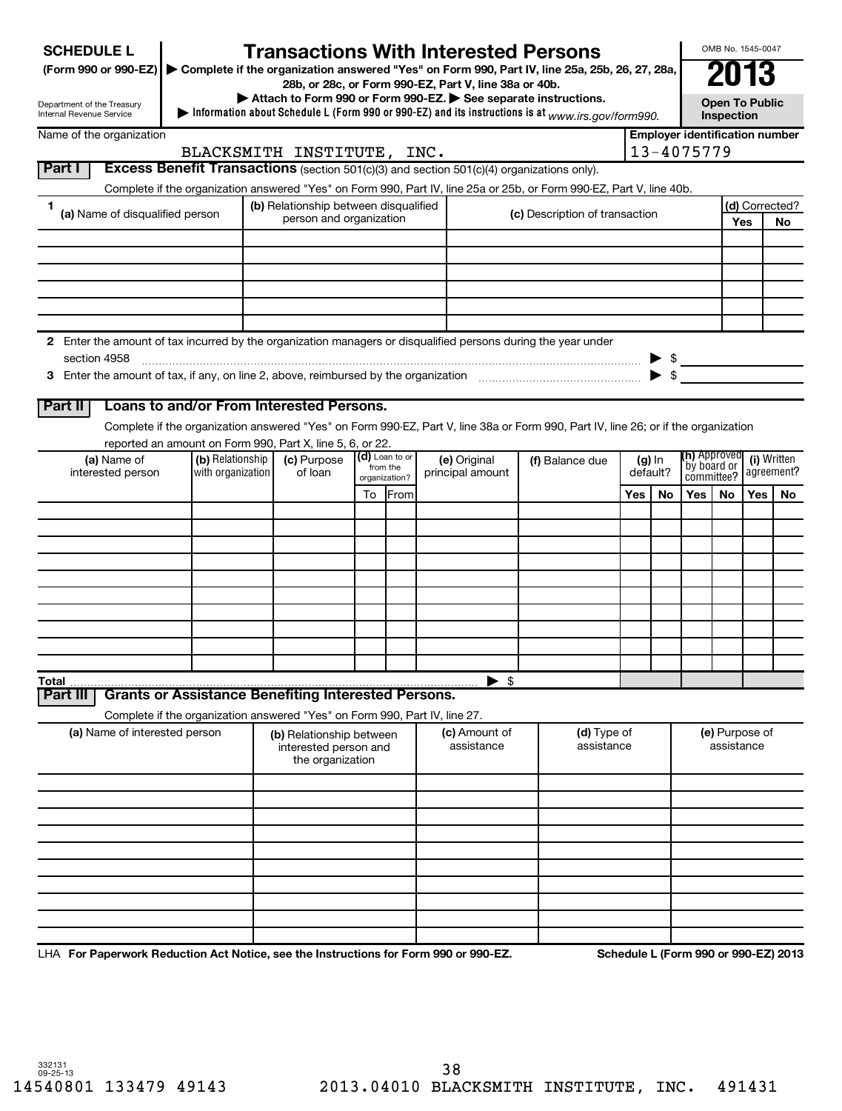| <b>SCHEDULE L</b> |  |
|-------------------|--|
|-------------------|--|

## **Transactions With Interested Persons**<br>the organization answered "Yes" on Form 990, Part IV, line 25a, 25b, 26, 27, 28a, 200 13<br>28b, or 28c, or Form 990-EZ, Part V, line 38a or 40b.

**(Form 990 or 990-EZ) | Complete if the organization answered "Yes" on Form 990, Part IV, line 25a, 25b, 26, 27, 28a, 28b, or 28c, or Form 990-EZ, Part V, line 38a or 40b.**

| Attach to Form 990 or Form 990-EZ. See separate instructions. |  |  |
|---------------------------------------------------------------|--|--|

 **Information about Schedule L (Form 990 or 990-EZ) and its instructions is at**  $\blacktriangleright$  Information about Schedule L (Form 990 or 990-EZ) and its instructions is at  $_{www.irs. gov/form990.}$ 

**Open To Public Inspection**

OMB No. 1545-0047

| Department of the Treasury |
|----------------------------|
| Internal Revenue Service   |
|                            |

| Name of the organization                                                                                          |                                                                                                                      |                                | <b>Employer identification number</b> |                |           |  |
|-------------------------------------------------------------------------------------------------------------------|----------------------------------------------------------------------------------------------------------------------|--------------------------------|---------------------------------------|----------------|-----------|--|
| BLACKSMITH INSTITUTE, INC.                                                                                        | 13-4075779                                                                                                           |                                |                                       |                |           |  |
| <b>Part</b> I<br><b>Excess Benefit Transactions</b> (section 501(c)(3) and section 501(c)(4) organizations only). |                                                                                                                      |                                |                                       |                |           |  |
|                                                                                                                   | Complete if the organization answered "Yes" on Form 990, Part IV, line 25a or 25b, or Form 990-EZ, Part V, line 40b. |                                |                                       |                |           |  |
| (a) Name of disqualified person                                                                                   | (b) Relationship between disqualified                                                                                | (c) Description of transaction |                                       | (d) Corrected? |           |  |
|                                                                                                                   | person and organization                                                                                              |                                |                                       | Yes            | <b>No</b> |  |
|                                                                                                                   |                                                                                                                      |                                |                                       |                |           |  |

|              | Enter the amount of tax incurred by the organization managers or disqualified persons during the year under |  |  |
|--------------|-------------------------------------------------------------------------------------------------------------|--|--|
| section 4958 |                                                                                                             |  |  |
|              | Enter the amount of tax, if any, on line 2, above, reimbursed by the organization                           |  |  |

**3** Enter the amount of tax, if any, on line 2, above, reimbursed by the organization  $\ldots$  $\ldots$  $\ldots$  $\ldots$  $\ldots$  $\ldots$ 

### **Part II Loans to and/or From Interested Persons.**

Complete if the organization answered "Yes" on Form 990-EZ, Part V, line 38a or Form 990, Part IV, line 26; or if the organization reported an amount on Form 990, Part X, line 5, 6, or 22.

| (a) Name of<br>interested person | (b) Relationship<br>with organization | , ,<br>(c) Purpose<br>of loan | (d) Loan to or<br>from the<br>organization? |      | (e) Original<br>principal amount | (f) Balance due | (g) In<br>default? |    | (h) Approved<br>by board or<br>committee? agreement? |    |     |    |
|----------------------------------|---------------------------------------|-------------------------------|---------------------------------------------|------|----------------------------------|-----------------|--------------------|----|------------------------------------------------------|----|-----|----|
|                                  |                                       |                               | To                                          | From |                                  |                 | Yes                | No | Yes                                                  | No | Yes | No |
|                                  |                                       |                               |                                             |      |                                  |                 |                    |    |                                                      |    |     |    |
|                                  |                                       |                               |                                             |      |                                  |                 |                    |    |                                                      |    |     |    |
|                                  |                                       |                               |                                             |      |                                  |                 |                    |    |                                                      |    |     |    |
|                                  |                                       |                               |                                             |      |                                  |                 |                    |    |                                                      |    |     |    |
|                                  |                                       |                               |                                             |      |                                  |                 |                    |    |                                                      |    |     |    |
|                                  |                                       |                               |                                             |      |                                  |                 |                    |    |                                                      |    |     |    |
|                                  |                                       |                               |                                             |      |                                  |                 |                    |    |                                                      |    |     |    |
|                                  |                                       |                               |                                             |      |                                  |                 |                    |    |                                                      |    |     |    |
|                                  |                                       |                               |                                             |      |                                  |                 |                    |    |                                                      |    |     |    |
|                                  |                                       |                               |                                             |      |                                  |                 |                    |    |                                                      |    |     |    |
| Total                            |                                       |                               |                                             |      | -\$<br>▸                         |                 |                    |    |                                                      |    |     |    |

#### **Part III Grants or Assistance Benefiting Interested Persons.**

Complete if the organization answered "Yes" on Form 990, Part IV, line 27.

| (a) Name of interested person | (b) Relationship between<br>interested person and<br>the organization | (c) Amount of<br>assistance | (d) Type of<br>assistance | (e) Purpose of<br>assistance |
|-------------------------------|-----------------------------------------------------------------------|-----------------------------|---------------------------|------------------------------|
|                               |                                                                       |                             |                           |                              |
|                               |                                                                       |                             |                           |                              |
|                               |                                                                       |                             |                           |                              |
|                               |                                                                       |                             |                           |                              |
|                               |                                                                       |                             |                           |                              |
|                               |                                                                       |                             |                           |                              |
|                               |                                                                       |                             |                           |                              |
|                               |                                                                       |                             |                           |                              |
|                               |                                                                       |                             |                           |                              |
|                               |                                                                       |                             |                           |                              |

LHA For Paperwork Reduction Act Notice, see the Instructions for Form 990 or 990-EZ. Schedule L (Form 990 or 990-EZ) 2013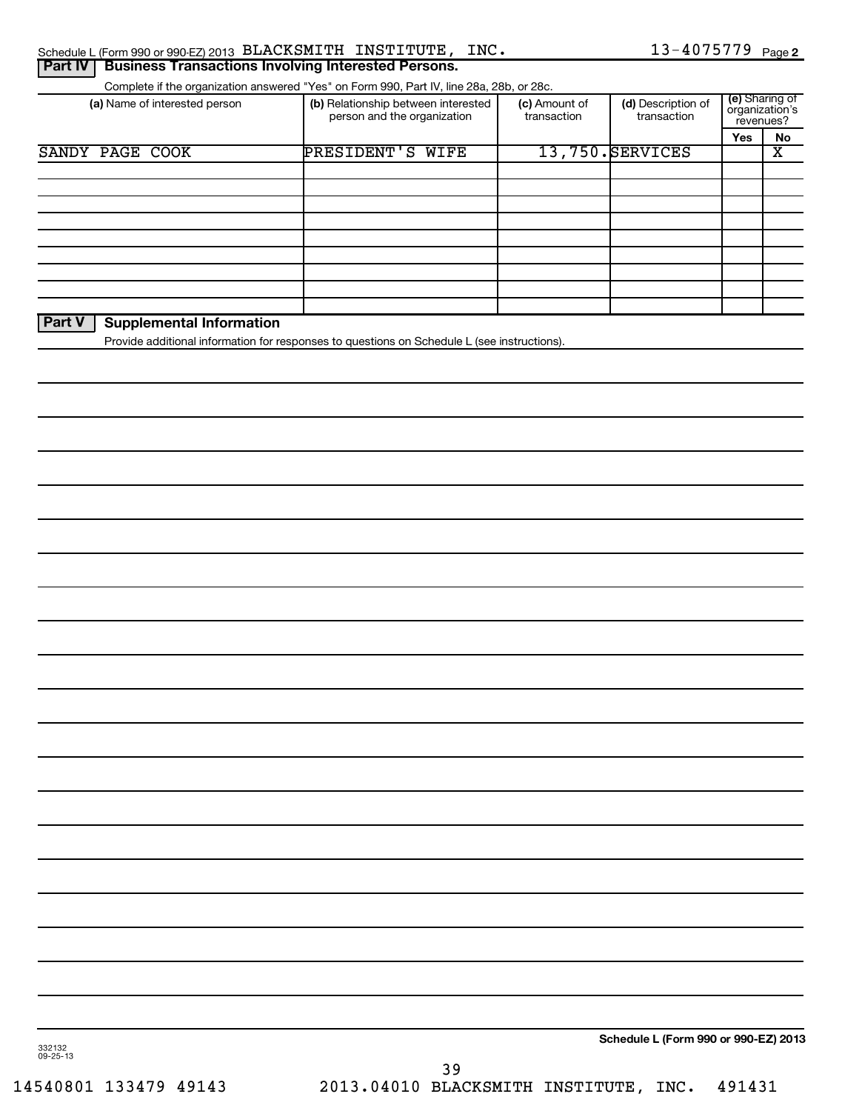| Schedule L (Form 990 or 990-EZ) 2013 BLACKSMITH INSTITUTE, INC.      |  | $13 - 4075779$ Page 2 |  |
|----------------------------------------------------------------------|--|-----------------------|--|
| <b>Part IV   Business Transactions Involving Interested Persons.</b> |  |                       |  |

| Complete if the organization answered "Yes" on Form 990, Part IV, line 28a, 28b, or 28c. |  |  |  |  |
|------------------------------------------------------------------------------------------|--|--|--|--|

| (a) Name of interested person | (b) Relationship between interested<br>person and the organization | (c) Amount of<br>transaction | (d) Description of<br>transaction |     | (e) Sharing of<br>organization's<br>revenues? |  |
|-------------------------------|--------------------------------------------------------------------|------------------------------|-----------------------------------|-----|-----------------------------------------------|--|
|                               |                                                                    |                              |                                   | Yes | No                                            |  |
| SANDY PAGE COOK               | PRESIDENT'S WIFE                                                   |                              | 13,750. SERVICES                  |     | х                                             |  |
|                               |                                                                    |                              |                                   |     |                                               |  |
|                               |                                                                    |                              |                                   |     |                                               |  |
|                               |                                                                    |                              |                                   |     |                                               |  |
|                               |                                                                    |                              |                                   |     |                                               |  |
|                               |                                                                    |                              |                                   |     |                                               |  |
|                               |                                                                    |                              |                                   |     |                                               |  |
|                               |                                                                    |                              |                                   |     |                                               |  |
|                               |                                                                    |                              |                                   |     |                                               |  |
|                               |                                                                    |                              |                                   |     |                                               |  |

### **Part V Supplemental Information**

Provide additional information for responses to questions on Schedule L (see instructions).

**Schedule L (Form 990 or 990-EZ) 2013**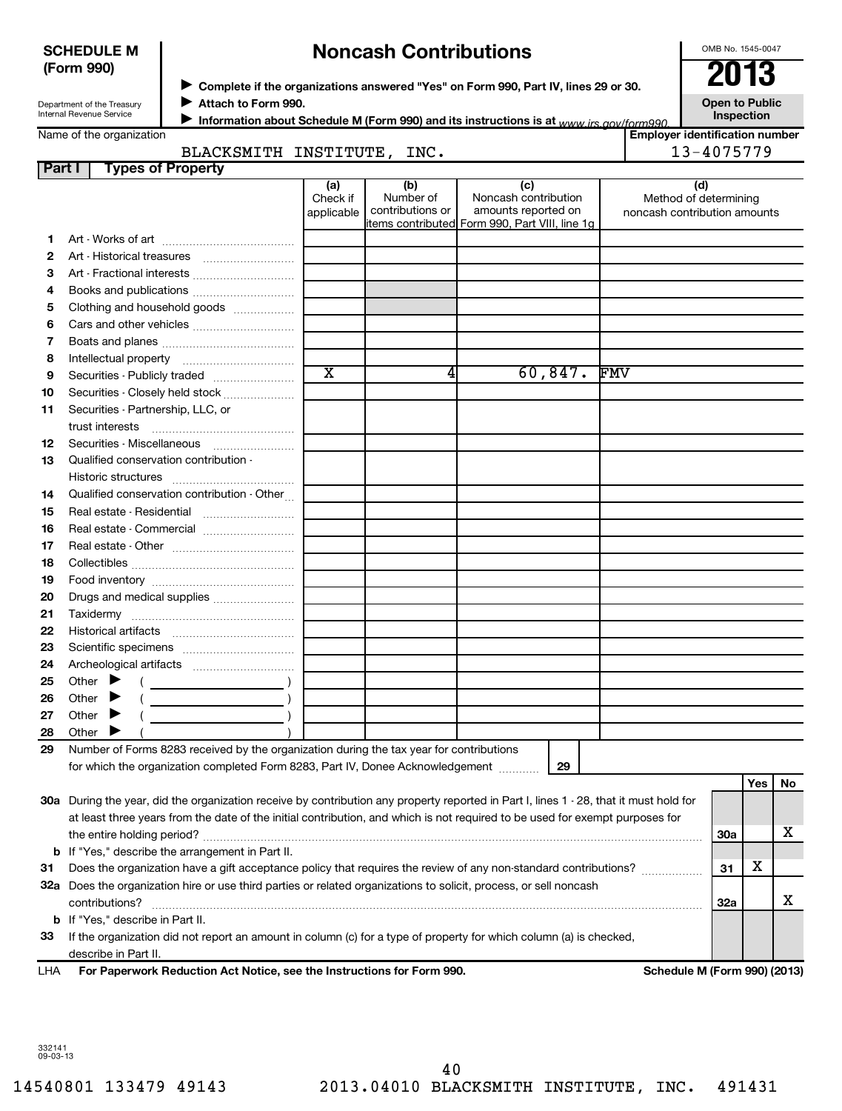#### **SCHEDULE M (Form 990)**

## **Noncash Contributions**

OMB No. 1545-0047

| Department of the Treasury |
|----------------------------|
| Internal Revenue Service   |

◆ Complete if the organizations answered "Yes" on Form 990, Part IV, lines 29 or 30.<br>▶ Complete if the organizations answered "Yes" on Form 990, Part IV, lines 29 or 30.

**Attach to Form 990.** J

**Open to Public Inspection**

Name of the organization

**Information about Schedule M (Form 990) and its instructions is at www irs gov/form990.** 

#### **Employer identification number** BLACKSMITH INSTITUTE, INC. 13-4075779

| Part I   | BLACKSMITH INSTITUTE,<br><b>Types of Property</b>                                                                                                                                                                                                                                                                                                                                                                                            |                        | TMC.                          |                                                                                                      | 13-4075779                                            |            |          |   |
|----------|----------------------------------------------------------------------------------------------------------------------------------------------------------------------------------------------------------------------------------------------------------------------------------------------------------------------------------------------------------------------------------------------------------------------------------------------|------------------------|-------------------------------|------------------------------------------------------------------------------------------------------|-------------------------------------------------------|------------|----------|---|
|          |                                                                                                                                                                                                                                                                                                                                                                                                                                              | (a)                    | (b)                           |                                                                                                      | (d)                                                   |            |          |   |
|          |                                                                                                                                                                                                                                                                                                                                                                                                                                              | Check if<br>applicable | Number of<br>contributions or | (c)<br>Noncash contribution<br>amounts reported on<br>items contributed Form 990, Part VIII, line 1g | Method of determining<br>noncash contribution amounts |            |          |   |
| 1.       |                                                                                                                                                                                                                                                                                                                                                                                                                                              |                        |                               |                                                                                                      |                                                       |            |          |   |
| 2        |                                                                                                                                                                                                                                                                                                                                                                                                                                              |                        |                               |                                                                                                      |                                                       |            |          |   |
| з        | Art - Fractional interests                                                                                                                                                                                                                                                                                                                                                                                                                   |                        |                               |                                                                                                      |                                                       |            |          |   |
| 4        |                                                                                                                                                                                                                                                                                                                                                                                                                                              |                        |                               |                                                                                                      |                                                       |            |          |   |
| 5        | Clothing and household goods                                                                                                                                                                                                                                                                                                                                                                                                                 |                        |                               |                                                                                                      |                                                       |            |          |   |
| 6        |                                                                                                                                                                                                                                                                                                                                                                                                                                              |                        |                               |                                                                                                      |                                                       |            |          |   |
| 7        |                                                                                                                                                                                                                                                                                                                                                                                                                                              |                        |                               |                                                                                                      |                                                       |            |          |   |
| 8        |                                                                                                                                                                                                                                                                                                                                                                                                                                              |                        |                               |                                                                                                      |                                                       |            |          |   |
| 9        |                                                                                                                                                                                                                                                                                                                                                                                                                                              | $\overline{\text{x}}$  | 4                             | 60,847.                                                                                              | <b>FMV</b>                                            |            |          |   |
| 10       | Securities - Closely held stock                                                                                                                                                                                                                                                                                                                                                                                                              |                        |                               |                                                                                                      |                                                       |            |          |   |
| 11       | Securities - Partnership, LLC, or                                                                                                                                                                                                                                                                                                                                                                                                            |                        |                               |                                                                                                      |                                                       |            |          |   |
|          | trust interests                                                                                                                                                                                                                                                                                                                                                                                                                              |                        |                               |                                                                                                      |                                                       |            |          |   |
| 12       |                                                                                                                                                                                                                                                                                                                                                                                                                                              |                        |                               |                                                                                                      |                                                       |            |          |   |
| 13       | Qualified conservation contribution -                                                                                                                                                                                                                                                                                                                                                                                                        |                        |                               |                                                                                                      |                                                       |            |          |   |
|          |                                                                                                                                                                                                                                                                                                                                                                                                                                              |                        |                               |                                                                                                      |                                                       |            |          |   |
| 14       | Qualified conservation contribution - Other                                                                                                                                                                                                                                                                                                                                                                                                  |                        |                               |                                                                                                      |                                                       |            |          |   |
| 15       |                                                                                                                                                                                                                                                                                                                                                                                                                                              |                        |                               |                                                                                                      |                                                       |            |          |   |
| 16       |                                                                                                                                                                                                                                                                                                                                                                                                                                              |                        |                               |                                                                                                      |                                                       |            |          |   |
| 17       |                                                                                                                                                                                                                                                                                                                                                                                                                                              |                        |                               |                                                                                                      |                                                       |            |          |   |
| 18       |                                                                                                                                                                                                                                                                                                                                                                                                                                              |                        |                               |                                                                                                      |                                                       |            |          |   |
| 19       |                                                                                                                                                                                                                                                                                                                                                                                                                                              |                        |                               |                                                                                                      |                                                       |            |          |   |
| 20       | Drugs and medical supplies                                                                                                                                                                                                                                                                                                                                                                                                                   |                        |                               |                                                                                                      |                                                       |            |          |   |
| 21       |                                                                                                                                                                                                                                                                                                                                                                                                                                              |                        |                               |                                                                                                      |                                                       |            |          |   |
| 22       |                                                                                                                                                                                                                                                                                                                                                                                                                                              |                        |                               |                                                                                                      |                                                       |            |          |   |
| 23       |                                                                                                                                                                                                                                                                                                                                                                                                                                              |                        |                               |                                                                                                      |                                                       |            |          |   |
| 24       | Other $\blacktriangleright$                                                                                                                                                                                                                                                                                                                                                                                                                  |                        |                               |                                                                                                      |                                                       |            |          |   |
| 25       | $\left(\begin{array}{ccc}\n\frac{1}{2} & \frac{1}{2} & \frac{1}{2} & \frac{1}{2} & \frac{1}{2} & \frac{1}{2} & \frac{1}{2} & \frac{1}{2} & \frac{1}{2} & \frac{1}{2} & \frac{1}{2} & \frac{1}{2} & \frac{1}{2} & \frac{1}{2} & \frac{1}{2} & \frac{1}{2} & \frac{1}{2} & \frac{1}{2} & \frac{1}{2} & \frac{1}{2} & \frac{1}{2} & \frac{1}{2} & \frac{1}{2} & \frac{1}{2} & \frac{1}{2} & \frac{1}{2} & \frac$<br>Other $\blacktriangleright$ |                        |                               |                                                                                                      |                                                       |            |          |   |
| 26<br>27 | Other $\blacktriangleright$                                                                                                                                                                                                                                                                                                                                                                                                                  |                        |                               |                                                                                                      |                                                       |            |          |   |
| 28       | Other                                                                                                                                                                                                                                                                                                                                                                                                                                        |                        |                               |                                                                                                      |                                                       |            |          |   |
| 29       | Number of Forms 8283 received by the organization during the tax year for contributions                                                                                                                                                                                                                                                                                                                                                      |                        |                               |                                                                                                      |                                                       |            |          |   |
|          | for which the organization completed Form 8283, Part IV, Donee Acknowledgement                                                                                                                                                                                                                                                                                                                                                               |                        |                               | 29                                                                                                   |                                                       |            |          |   |
|          |                                                                                                                                                                                                                                                                                                                                                                                                                                              |                        |                               |                                                                                                      |                                                       |            | Yes   No |   |
|          | 30a During the year, did the organization receive by contribution any property reported in Part I, lines 1 - 28, that it must hold for                                                                                                                                                                                                                                                                                                       |                        |                               |                                                                                                      |                                                       |            |          |   |
|          | at least three years from the date of the initial contribution, and which is not required to be used for exempt purposes for                                                                                                                                                                                                                                                                                                                 |                        |                               |                                                                                                      |                                                       |            |          |   |
|          |                                                                                                                                                                                                                                                                                                                                                                                                                                              |                        |                               |                                                                                                      |                                                       | <b>30a</b> |          | X |
|          | <b>b</b> If "Yes," describe the arrangement in Part II.                                                                                                                                                                                                                                                                                                                                                                                      |                        |                               |                                                                                                      |                                                       |            |          |   |
| 31       | Does the organization have a gift acceptance policy that requires the review of any non-standard contributions?                                                                                                                                                                                                                                                                                                                              |                        |                               |                                                                                                      |                                                       | 31         | Х        |   |
|          | 32a Does the organization hire or use third parties or related organizations to solicit, process, or sell noncash                                                                                                                                                                                                                                                                                                                            |                        |                               |                                                                                                      |                                                       |            |          |   |
|          | contributions?                                                                                                                                                                                                                                                                                                                                                                                                                               |                        |                               |                                                                                                      |                                                       | 32a        |          | x |
| b        | If "Yes," describe in Part II.                                                                                                                                                                                                                                                                                                                                                                                                               |                        |                               |                                                                                                      |                                                       |            |          |   |
| 33       | If the organization did not report an amount in column (c) for a type of property for which column (a) is checked,                                                                                                                                                                                                                                                                                                                           |                        |                               |                                                                                                      |                                                       |            |          |   |
|          | describe in Part II.                                                                                                                                                                                                                                                                                                                                                                                                                         |                        |                               |                                                                                                      |                                                       |            |          |   |
|          | <b>Atom And Moding</b>                                                                                                                                                                                                                                                                                                                                                                                                                       |                        |                               |                                                                                                      | <b>MA / E</b>                                         |            |          |   |

**For Paperwork Reduction Act Notice, see the Instructions for Form 990. Schedule M (Form 990) (2013)** LHA

332141 09-03-13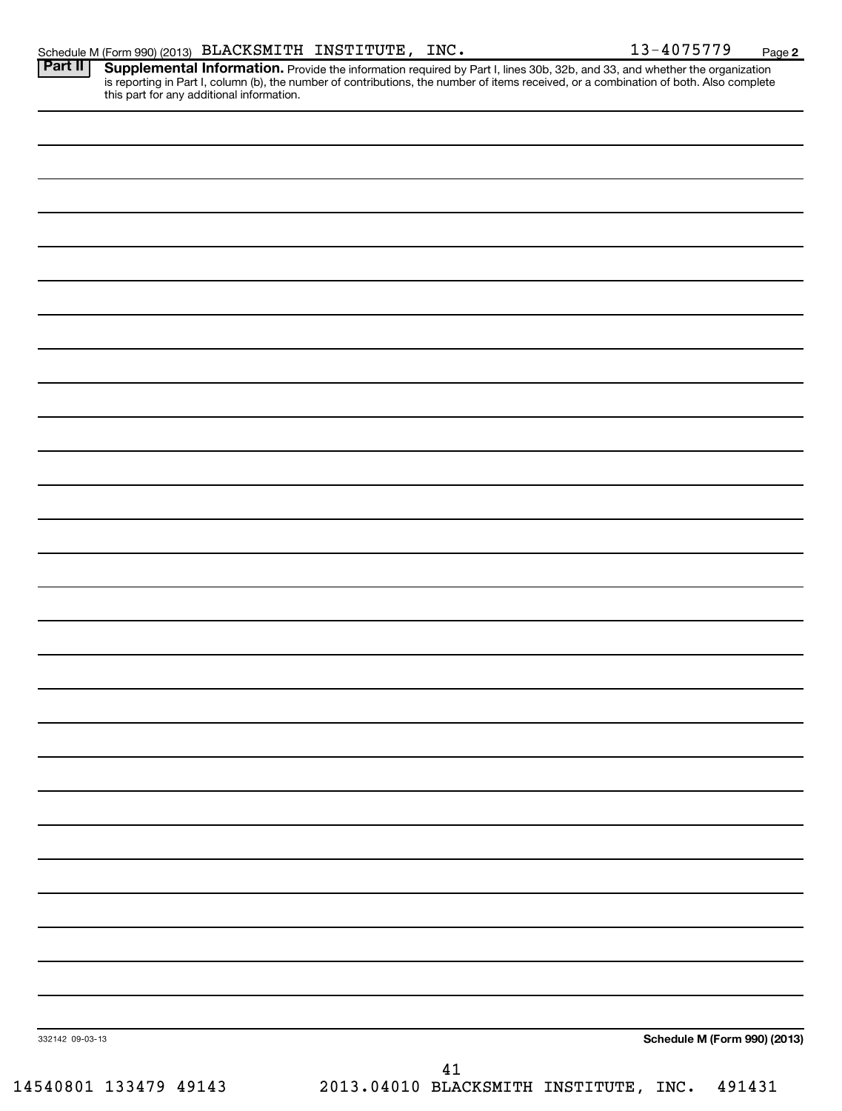| Part II         | <b>Supplemental Information.</b> Provide the information required by Part I, lines 30b, 32b, and 33, and whether the organization is reporting in Part I, column (b), the number of contributions, the number of items received, or |
|-----------------|-------------------------------------------------------------------------------------------------------------------------------------------------------------------------------------------------------------------------------------|
|                 |                                                                                                                                                                                                                                     |
|                 |                                                                                                                                                                                                                                     |
|                 |                                                                                                                                                                                                                                     |
|                 |                                                                                                                                                                                                                                     |
|                 |                                                                                                                                                                                                                                     |
|                 |                                                                                                                                                                                                                                     |
|                 |                                                                                                                                                                                                                                     |
|                 |                                                                                                                                                                                                                                     |
|                 |                                                                                                                                                                                                                                     |
|                 |                                                                                                                                                                                                                                     |
|                 |                                                                                                                                                                                                                                     |
|                 |                                                                                                                                                                                                                                     |
|                 |                                                                                                                                                                                                                                     |
|                 |                                                                                                                                                                                                                                     |
|                 |                                                                                                                                                                                                                                     |
|                 |                                                                                                                                                                                                                                     |
|                 |                                                                                                                                                                                                                                     |
|                 |                                                                                                                                                                                                                                     |
|                 |                                                                                                                                                                                                                                     |
|                 |                                                                                                                                                                                                                                     |
|                 |                                                                                                                                                                                                                                     |
|                 |                                                                                                                                                                                                                                     |
|                 |                                                                                                                                                                                                                                     |
|                 |                                                                                                                                                                                                                                     |
|                 |                                                                                                                                                                                                                                     |
|                 |                                                                                                                                                                                                                                     |
|                 |                                                                                                                                                                                                                                     |
|                 |                                                                                                                                                                                                                                     |
| 332142 09-03-13 | Schedule M (Form 990) (2013)                                                                                                                                                                                                        |
|                 | 41                                                                                                                                                                                                                                  |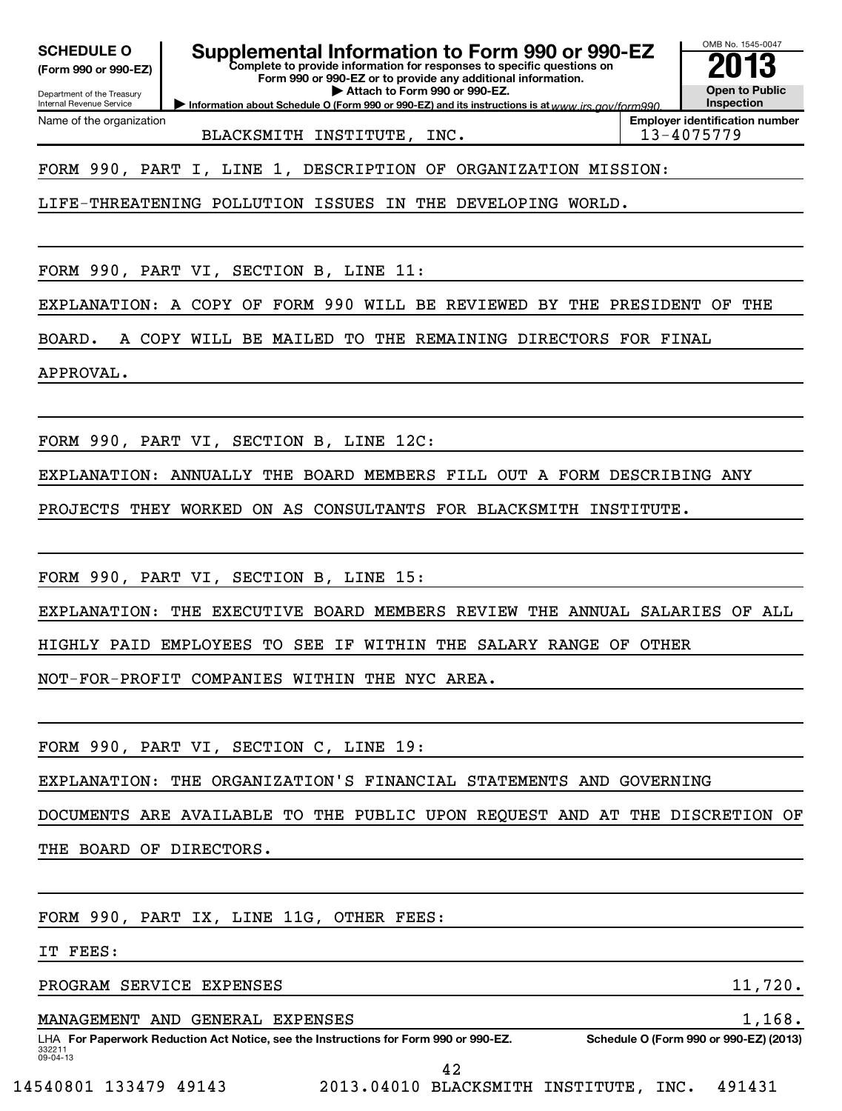**(Form 990 or 990-EZ)**

**Complete to provide information for responses to specific questions on SCHEDULE O Supplemental Information to Form 990 or 990-EZ 2013**

**Form 990 or 990-EZ or to provide any additional information. | Attach to Form 990 or 990-EZ.**

Department of the Treasury Internal Revenue Service Name of the organization

**Information about Schedule O (Form 990 or 990-EZ) and its instructions is at www.irs.gov/form990.** 

**Inspection Employer identification number** BLACKSMITH INSTITUTE, INC. 13-4075779

OMB No. 1545-0047

**Open to Public**

FORM 990, PART I, LINE 1, DESCRIPTION OF ORGANIZATION MISSION:

LIFE-THREATENING POLLUTION ISSUES IN THE DEVELOPING WORLD.

FORM 990, PART VI, SECTION B, LINE 11:

EXPLANATION: A COPY OF FORM 990 WILL BE REVIEWED BY THE PRESIDENT OF THE

BOARD. A COPY WILL BE MAILED TO THE REMAINING DIRECTORS FOR FINAL

APPROVAL.

FORM 990, PART VI, SECTION B, LINE 12C:

EXPLANATION: ANNUALLY THE BOARD MEMBERS FILL OUT A FORM DESCRIBING ANY

PROJECTS THEY WORKED ON AS CONSULTANTS FOR BLACKSMITH INSTITUTE.

FORM 990, PART VI, SECTION B, LINE 15:

EXPLANATION: THE EXECUTIVE BOARD MEMBERS REVIEW THE ANNUAL SALARIES OF ALL

HIGHLY PAID EMPLOYEES TO SEE IF WITHIN THE SALARY RANGE OF OTHER

NOT-FOR-PROFIT COMPANIES WITHIN THE NYC AREA.

FORM 990, PART VI, SECTION C, LINE 19:

EXPLANATION: THE ORGANIZATION'S FINANCIAL STATEMENTS AND GOVERNING

DOCUMENTS ARE AVAILABLE TO THE PUBLIC UPON REQUEST AND AT THE DISCRETION OF

THE BOARD OF DIRECTORS.

FORM 990, PART IX, LINE 11G, OTHER FEES:

IT FEES:

PROGRAM SERVICE EXPENSES 11,720.

MANAGEMENT AND GENERAL EXPENSES 1,168.

332211 09-04-13 LHA For Paperwork Reduction Act Notice, see the Instructions for Form 990 or 990-EZ. Schedule O (Form 990 or 990-EZ) (2013)

42

14540801 133479 49143 2013.04010 BLACKSMITH INSTITUTE, INC. 491431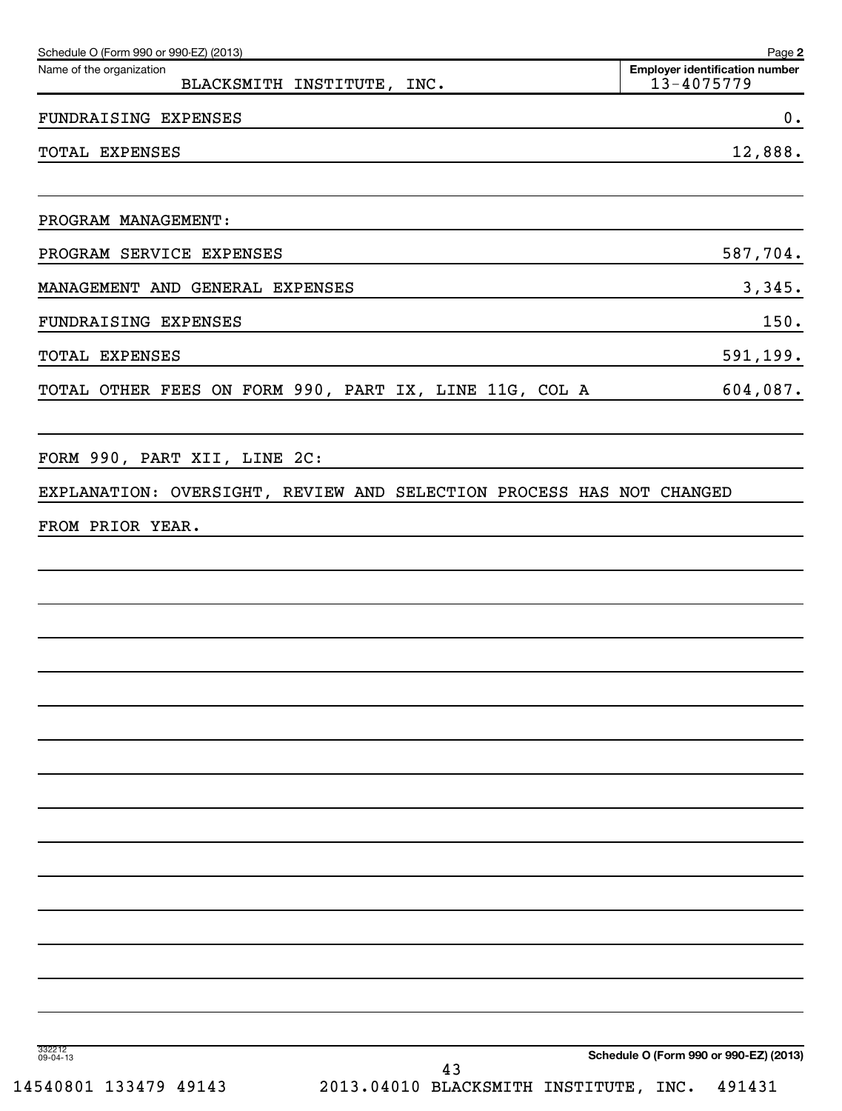| Schedule O (Form 990 or 990-EZ) (2013)<br>Name of the organization   | Page 2<br><b>Employer identification number</b> |
|----------------------------------------------------------------------|-------------------------------------------------|
| BLACKSMITH INSTITUTE, INC.                                           | 13-4075779                                      |
| FUNDRAISING EXPENSES                                                 | 0.                                              |
| TOTAL EXPENSES                                                       | 12,888.                                         |
|                                                                      |                                                 |
| PROGRAM MANAGEMENT:                                                  |                                                 |
| PROGRAM SERVICE EXPENSES                                             | 587,704.                                        |
| MANAGEMENT AND GENERAL EXPENSES                                      | 3,345.                                          |
| FUNDRAISING EXPENSES                                                 | 150.                                            |
| TOTAL EXPENSES                                                       | 591,199.                                        |
| TOTAL OTHER FEES ON FORM 990, PART IX, LINE 11G, COL A               | 604,087.                                        |
|                                                                      |                                                 |
| FORM 990, PART XII, LINE 2C:                                         |                                                 |
| EXPLANATION: OVERSIGHT, REVIEW AND SELECTION PROCESS HAS NOT CHANGED |                                                 |
| FROM PRIOR YEAR.                                                     |                                                 |
|                                                                      |                                                 |
|                                                                      |                                                 |
|                                                                      |                                                 |
|                                                                      |                                                 |
|                                                                      |                                                 |
|                                                                      |                                                 |
|                                                                      |                                                 |
|                                                                      |                                                 |
|                                                                      |                                                 |
|                                                                      |                                                 |
|                                                                      |                                                 |
|                                                                      |                                                 |
|                                                                      |                                                 |
|                                                                      |                                                 |
|                                                                      |                                                 |
| 332212<br>09-04-13                                                   | Schedule O (Form 990 or 990-EZ) (2013)          |
| 43                                                                   |                                                 |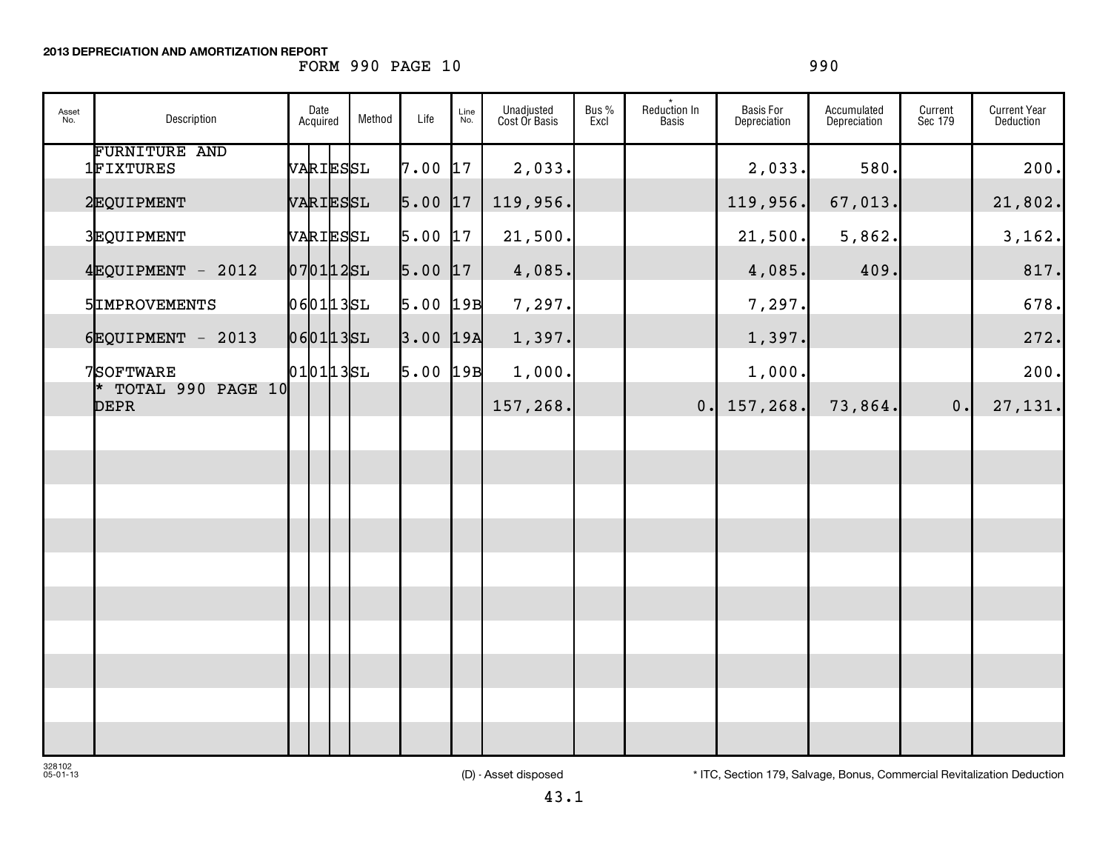**2013 DEPRECIATION AND AMORTIZATION REPORT**

## FORM 990 PAGE 10 990

| Asset<br>No. | Description                          | Date<br>Acquired | Method | Life       | Line<br>No. | Unadjusted<br>Cost Or Basis | Bus %<br>Excl | Reduction In<br><b>Basis</b> | <b>Basis For</b><br>Depreciation | Accumulated<br>Depreciation | Current<br>Sec 179 | <b>Current Year</b><br><b>Deduction</b> |
|--------------|--------------------------------------|------------------|--------|------------|-------------|-----------------------------|---------------|------------------------------|----------------------------------|-----------------------------|--------------------|-----------------------------------------|
|              | <b>FURNITURE AND</b><br>1FIXTURES    | VARIESSL         |        | 7.00       | 17          | 2,033.                      |               |                              | 2,033.                           | 580.                        |                    | 200.                                    |
|              | 2EQUIPMENT                           | VARIESSL         |        | $5.00$ 17  |             | 119,956.                    |               |                              | 119,956.                         | 67,013.                     |                    | 21,802.                                 |
|              | 3EQUIPMENT                           | VARIESSL         |        | $5.00$ 17  |             | 21,500.                     |               |                              | 21,500.                          | 5,862.                      |                    | 3,162.                                  |
|              | $4$ EQUIPMENT - 2012                 | $070112$ SL      |        | $5.00$ 17  |             | 4,085.                      |               |                              | 4,085.                           | 409.                        |                    | 817.                                    |
|              | 5IMPROVEMENTS                        | 0601135L         |        | $5.00$ 19B |             | 7,297.                      |               |                              | 7,297.                           |                             |                    | 678.                                    |
|              | $6$ EQUIPMENT - 2013                 | 0601135L         |        | $3.00$ 19A |             | 1,397.                      |               |                              | 1,397.                           |                             |                    | 272.                                    |
|              | 7SOFTWARE                            | 0101135L         |        | $5.00$ 19B |             | 1,000.                      |               |                              | 1,000.                           |                             |                    | 200.                                    |
|              | $*$ TOTAL 990 PAGE 10<br><b>DEPR</b> |                  |        |            |             | 157,268.                    |               |                              | $0.$   157,268.                  | 73,864.                     | 0.                 | 27,131.                                 |
|              |                                      |                  |        |            |             |                             |               |                              |                                  |                             |                    |                                         |
|              |                                      |                  |        |            |             |                             |               |                              |                                  |                             |                    |                                         |
|              |                                      |                  |        |            |             |                             |               |                              |                                  |                             |                    |                                         |
|              |                                      |                  |        |            |             |                             |               |                              |                                  |                             |                    |                                         |
|              |                                      |                  |        |            |             |                             |               |                              |                                  |                             |                    |                                         |
|              |                                      |                  |        |            |             |                             |               |                              |                                  |                             |                    |                                         |
|              |                                      |                  |        |            |             |                             |               |                              |                                  |                             |                    |                                         |
|              |                                      |                  |        |            |             |                             |               |                              |                                  |                             |                    |                                         |
|              |                                      |                  |        |            |             |                             |               |                              |                                  |                             |                    |                                         |
|              |                                      |                  |        |            |             |                             |               |                              |                                  |                             |                    |                                         |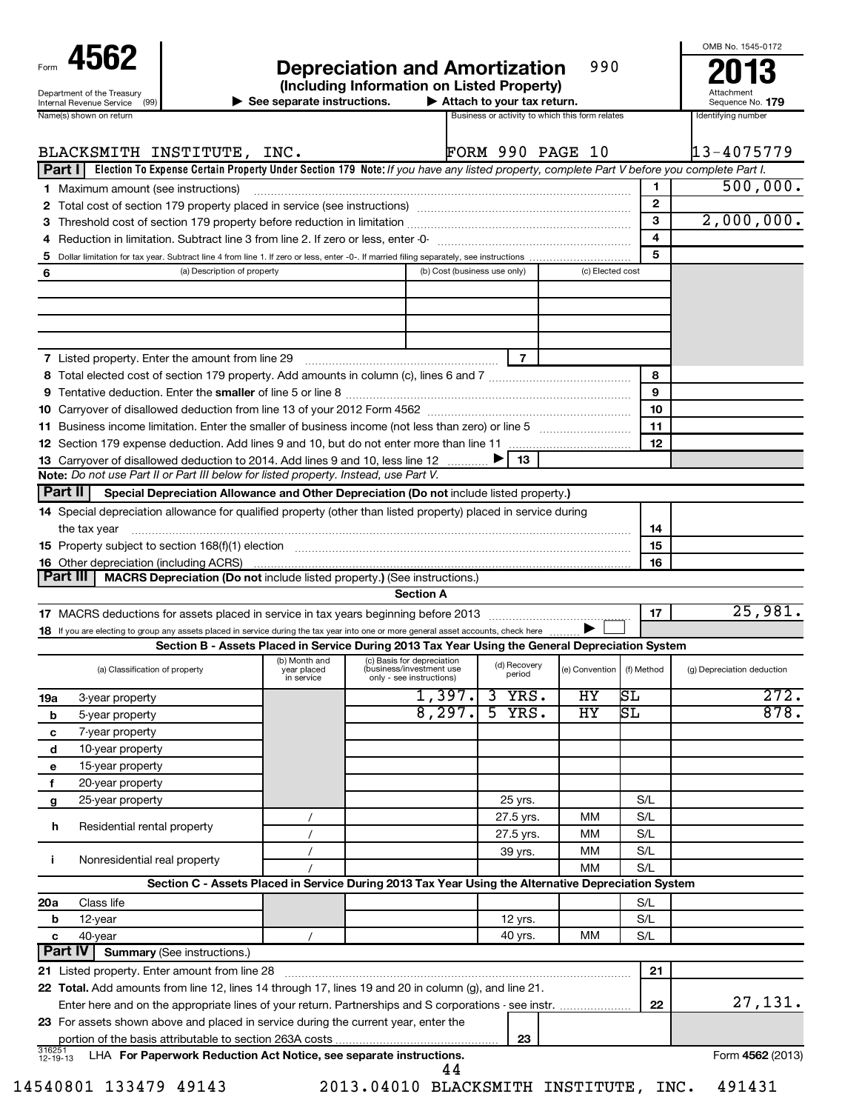| 4562                                                                                                                                                  |                                                                                                                  | <b>Depreciation and Amortization</b>                                                                 |                                                                                                     | 990              |                | OMB No. 1545-0172<br>2013              |
|-------------------------------------------------------------------------------------------------------------------------------------------------------|------------------------------------------------------------------------------------------------------------------|------------------------------------------------------------------------------------------------------|-----------------------------------------------------------------------------------------------------|------------------|----------------|----------------------------------------|
| Department of the Treasury                                                                                                                            |                                                                                                                  | (Including Information on Listed Property)                                                           |                                                                                                     |                  |                | Attachment                             |
| Internal Revenue Service (99)<br>Name(s) shown on return                                                                                              | $\blacktriangleright$ See separate instructions.                                                                 |                                                                                                      | $\blacktriangleright$ Attach to your tax return.<br>Business or activity to which this form relates |                  |                | Sequence No. 179<br>Identifying number |
|                                                                                                                                                       |                                                                                                                  |                                                                                                      |                                                                                                     |                  |                |                                        |
| BLACKSMITH INSTITUTE, INC.                                                                                                                            |                                                                                                                  |                                                                                                      | <b>FORM 990 PAGE 10</b>                                                                             |                  |                | 13-4075779                             |
| Part I   Election To Expense Certain Property Under Section 179 Note: If you have any listed property, complete Part V before you complete Part I.    |                                                                                                                  |                                                                                                      |                                                                                                     |                  |                |                                        |
| <b>1</b> Maximum amount (see instructions)                                                                                                            |                                                                                                                  |                                                                                                      |                                                                                                     |                  | 1.             | 500,000.                               |
|                                                                                                                                                       |                                                                                                                  |                                                                                                      |                                                                                                     |                  | $\overline{2}$ |                                        |
|                                                                                                                                                       |                                                                                                                  |                                                                                                      |                                                                                                     |                  | 3              | 2,000,000.                             |
|                                                                                                                                                       |                                                                                                                  |                                                                                                      |                                                                                                     |                  | 4              |                                        |
| 5                                                                                                                                                     |                                                                                                                  |                                                                                                      |                                                                                                     |                  | 5              |                                        |
| 6                                                                                                                                                     | (a) Description of property                                                                                      | (b) Cost (business use only)                                                                         |                                                                                                     | (c) Elected cost |                |                                        |
|                                                                                                                                                       |                                                                                                                  |                                                                                                      |                                                                                                     |                  |                |                                        |
| <b>7</b> Listed property. Enter the amount from line 29                                                                                               |                                                                                                                  |                                                                                                      | $\overline{7}$                                                                                      |                  |                |                                        |
|                                                                                                                                                       |                                                                                                                  |                                                                                                      |                                                                                                     |                  | 8              |                                        |
|                                                                                                                                                       |                                                                                                                  |                                                                                                      |                                                                                                     |                  | 9<br>10        |                                        |
|                                                                                                                                                       |                                                                                                                  |                                                                                                      |                                                                                                     |                  | 11             |                                        |
|                                                                                                                                                       |                                                                                                                  |                                                                                                      |                                                                                                     |                  | 12             |                                        |
| 13 Carryover of disallowed deduction to 2014. Add lines 9 and 10, less line 12                                                                        |                                                                                                                  |                                                                                                      | 13                                                                                                  |                  |                |                                        |
| Note: Do not use Part II or Part III below for listed property. Instead, use Part V.                                                                  |                                                                                                                  |                                                                                                      |                                                                                                     |                  |                |                                        |
| <b>Part II</b>                                                                                                                                        | Special Depreciation Allowance and Other Depreciation (Do not include listed property.)                          |                                                                                                      |                                                                                                     |                  |                |                                        |
| 14 Special depreciation allowance for qualified property (other than listed property) placed in service during                                        |                                                                                                                  |                                                                                                      |                                                                                                     |                  |                |                                        |
| the tax year                                                                                                                                          |                                                                                                                  |                                                                                                      |                                                                                                     |                  | 14             |                                        |
|                                                                                                                                                       |                                                                                                                  |                                                                                                      |                                                                                                     |                  | 15             |                                        |
|                                                                                                                                                       |                                                                                                                  |                                                                                                      |                                                                                                     |                  | 16             |                                        |
| Part III                                                                                                                                              | MACRS Depreciation (Do not include listed property.) (See instructions.)                                         |                                                                                                      |                                                                                                     |                  |                |                                        |
|                                                                                                                                                       |                                                                                                                  | <b>Section A</b>                                                                                     |                                                                                                     |                  |                |                                        |
|                                                                                                                                                       |                                                                                                                  |                                                                                                      |                                                                                                     |                  | 17             | 25,981.                                |
| 18 If you are electing to group any assets placed in service during the tax year into one or more general asset accounts, check here                  |                                                                                                                  |                                                                                                      |                                                                                                     |                  |                |                                        |
|                                                                                                                                                       | Section B - Assets Placed in Service During 2013 Tax Year Using the General Depreciation System<br>(b) Month and | (c) Basis for depreciation                                                                           |                                                                                                     |                  |                |                                        |
| (a) Classification of property                                                                                                                        | year placed<br>in service                                                                                        | (business/investment use<br>only - see instructions)                                                 | (d) Recovery<br>period                                                                              | (e) Convention   | (f) Method     | (g) Depreciation deduction             |
| 19a<br>3-year property                                                                                                                                |                                                                                                                  | 1,397.                                                                                               | 3<br>YRS.                                                                                           | HY               | SL             | 272.                                   |
| b<br>5-year property                                                                                                                                  |                                                                                                                  | 8,297.                                                                                               | 5<br>YRS.                                                                                           | ΗY               | SL             | 878.                                   |
| 7-year property<br>с                                                                                                                                  |                                                                                                                  |                                                                                                      |                                                                                                     |                  |                |                                        |
| 10-year property<br>d                                                                                                                                 |                                                                                                                  |                                                                                                      |                                                                                                     |                  |                |                                        |
| 15-year property<br>е                                                                                                                                 |                                                                                                                  |                                                                                                      |                                                                                                     |                  |                |                                        |
| 20-year property<br>f                                                                                                                                 |                                                                                                                  |                                                                                                      |                                                                                                     |                  |                |                                        |
| 25-year property<br>g                                                                                                                                 |                                                                                                                  |                                                                                                      | 25 yrs.                                                                                             |                  | S/L            |                                        |
| h<br>Residential rental property                                                                                                                      |                                                                                                                  |                                                                                                      | 27.5 yrs.                                                                                           | MМ               | S/L            |                                        |
|                                                                                                                                                       |                                                                                                                  |                                                                                                      | 27.5 yrs.                                                                                           | MМ               | S/L            |                                        |
| Nonresidential real property<br>j.                                                                                                                    |                                                                                                                  |                                                                                                      | 39 yrs.                                                                                             | MМ               | S/L            |                                        |
|                                                                                                                                                       |                                                                                                                  |                                                                                                      |                                                                                                     | <b>MM</b>        | S/L            |                                        |
|                                                                                                                                                       | Section C - Assets Placed in Service During 2013 Tax Year Using the Alternative Depreciation System              |                                                                                                      |                                                                                                     |                  |                |                                        |
| 20a<br>Class life                                                                                                                                     |                                                                                                                  |                                                                                                      |                                                                                                     |                  | S/L            |                                        |
| 12-year<br>b                                                                                                                                          |                                                                                                                  |                                                                                                      | <b>12 yrs.</b>                                                                                      |                  | S/L            |                                        |
| 40-year<br>c<br><b>Part IV</b><br><b>Summary (See instructions.)</b>                                                                                  |                                                                                                                  |                                                                                                      | 40 yrs.                                                                                             | MМ               | S/L            |                                        |
|                                                                                                                                                       |                                                                                                                  |                                                                                                      |                                                                                                     |                  | 21             |                                        |
| 21 Listed property. Enter amount from line 28<br>22 Total. Add amounts from line 12, lines 14 through 17, lines 19 and 20 in column (g), and line 21. |                                                                                                                  |                                                                                                      |                                                                                                     |                  |                |                                        |
|                                                                                                                                                       |                                                                                                                  | Enter here and on the appropriate lines of your return. Partnerships and S corporations - see instr. |                                                                                                     |                  | 22             | 27,131.                                |

|                    | portion of the basis attributable to section 263A costs            | 00 |                         |
|--------------------|--------------------------------------------------------------------|----|-------------------------|
| 316251<br>12-19-13 | LHA For Paperwork Reduction Act Notice, see separate instructions. |    | Form <b>4562</b> (2013) |

**23** For assets shown above and placed in service during the current year, enter the

44